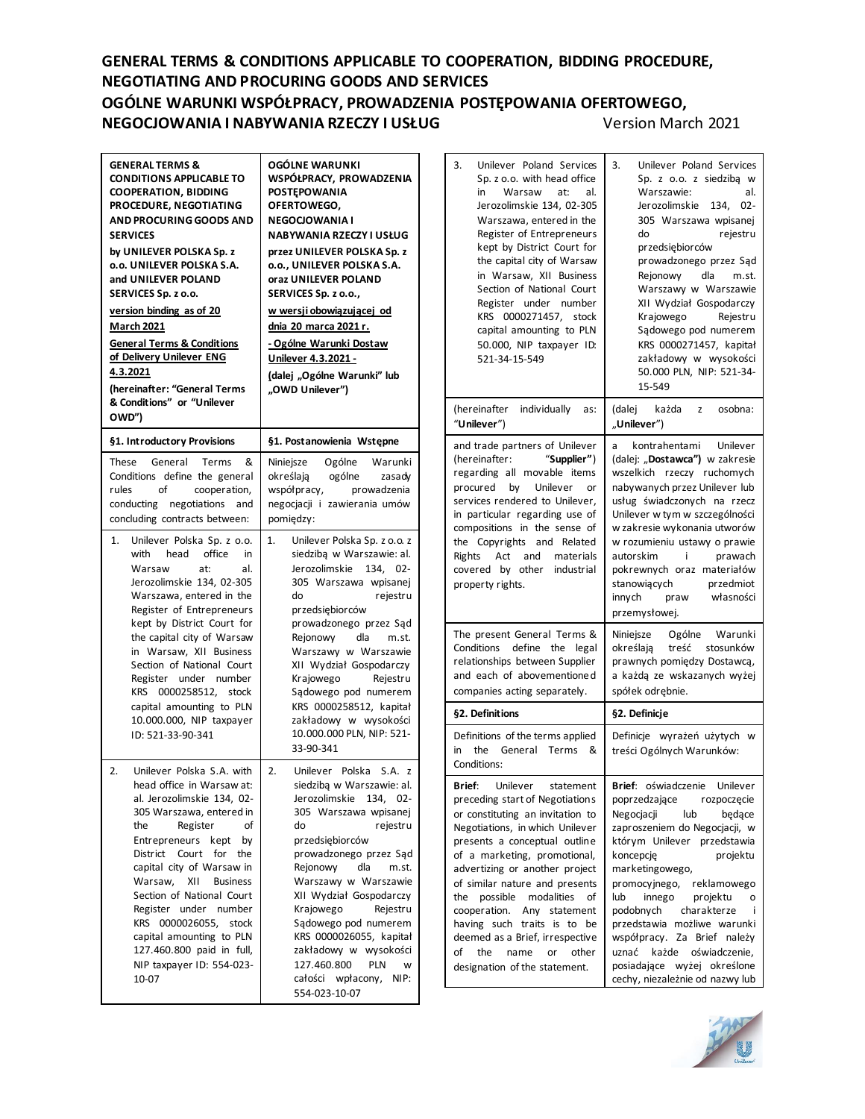## **GENERAL TERMS & CONDITIONS APPLICABLE TO COOPERATION, BIDDING PROCEDURE, NEGOTIATING AND PROCURING GOODS AND SERVICES OGÓLNE WARUNKI WSPÓŁPRACY, PROWADZENIA POSTĘPOWANIA OFERTOWEGO, NEGOCJOWANIA I NABYWANIA RZECZY I USŁUG** Version March 2021

| <b>GENERAL TERMS &amp;</b><br><b>CONDITIONS APPLICABLE TO</b><br><b>COOPERATION, BIDDING</b><br>PROCEDURE, NEGOTIATING<br>AND PROCURING GOODS AND<br><b>SERVICES</b><br>by UNILEVER POLSKA Sp. z<br>o.o. UNILEVER POLSKA S.A.<br>and UNILEVER POLAND<br>SERVICES Sp. z o.o.<br>version binding as of 20<br><u>March 2021</u><br><b>General Terms &amp; Conditions</b><br>of Delivery Unilever ENG<br>4.3.2021<br>(hereinafter: "General Terms<br>& Conditions" or "Unilever<br>OWD") | OGÓLNE WARUNKI<br>WSPÓŁPRACY, PROWADZENIA<br><b>POSTEPOWANIA</b><br>OFERTOWEGO,<br><b>NEGOCIOWANIA I</b><br>NABYWANIA RZECZY I USŁUG<br>przez UNILEVER POLSKA Sp. z<br>o.o., UNILEVER POLSKA S.A.<br>oraz UNILEVER POLAND<br>SERVICES Sp. z o.o.,<br>w wersji obowiązującej od<br>dnia 20 marca 2021 r.<br>- Ogólne Warunki Dostaw<br>Unilever 4.3.2021 -<br>(dalej "Ogólne Warunki" lub<br>"OWD Unilever")                                                    |  |  |  |
|--------------------------------------------------------------------------------------------------------------------------------------------------------------------------------------------------------------------------------------------------------------------------------------------------------------------------------------------------------------------------------------------------------------------------------------------------------------------------------------|----------------------------------------------------------------------------------------------------------------------------------------------------------------------------------------------------------------------------------------------------------------------------------------------------------------------------------------------------------------------------------------------------------------------------------------------------------------|--|--|--|
| §1. Introductory Provisions                                                                                                                                                                                                                                                                                                                                                                                                                                                          | §1. Postanowienia Wstępne<br>Niniejsze Ogólne Warunki<br>określają ogólne<br>zasadv                                                                                                                                                                                                                                                                                                                                                                            |  |  |  |
| These<br>General<br>Terms<br>&<br>Conditions define the general<br>οf<br>rules<br>cooperation,<br>conducting negotiations<br>and<br>concluding contracts between:                                                                                                                                                                                                                                                                                                                    | współpracy,<br>prowadzenia<br>negocjacji i zawierania umów<br>pomiedzy:                                                                                                                                                                                                                                                                                                                                                                                        |  |  |  |
| 1.<br>Unilever Polska Sp. z o.o.<br>with head<br>office<br>in<br>Warsaw<br>al.<br>at:<br>Jerozolimskie 134, 02-305<br>Warszawa, entered in the<br>Register of Entrepreneurs<br>kept by District Court for<br>the capital city of Warsaw<br>in Warsaw, XII Business<br>Section of National Court<br>Register under number<br>KRS 0000258512, stock<br>capital amounting to PLN<br>10.000.000, NIP taxpayer<br>ID: 521-33-90-341                                                       | 1.<br>Unilever Polska Sp. z o.o. z<br>siedzibą w Warszawie: al.<br>Jerozolimskie<br>134,<br>- 02<br>305 Warszawa wpisanej<br>do<br>rejestru<br>przedsiębiorców<br>prowadzonego przez Sąd<br>Rejonowy dla<br>m.st.<br>Warszawy w Warszawie<br>XII Wydział Gospodarczy<br>Krajowego<br>Rejestru<br>Sądowego pod numerem<br>KRS 0000258512, kapitał<br>zakładowy w wysokości<br>10.000.000 PLN, NIP: 521-<br>33-90-341                                            |  |  |  |
| Unilever Polska S.A. with<br>2.<br>head office in Warsaw at:<br>al. Jerozolimskie 134, 02-<br>305 Warszawa, entered in<br>Register<br>the<br>of<br>Entrepreneurs<br>kept<br>by<br>District<br>Court<br>for<br>the<br>capital city of Warsaw in<br>Warsaw,<br>XII<br><b>Business</b><br>Section of National Court<br>Register under<br>number<br>KRS 0000026055,<br>stock<br>capital amounting to PLN<br>127.460.800 paid in full,<br>NIP taxpayer ID: 554-023-<br>10-07              | 2.<br>Unilever Polska<br>S.A. z<br>siedzibą w Warszawie: al.<br>Jerozolimskie<br>134,<br>$02 -$<br>305 Warszawa wpisanej<br>do<br>rejestru<br>przedsiębiorców<br>prowadzonego przez Sąd<br>Rejonowy<br>dla<br>m.st.<br>Warszawy w Warszawie<br>XII Wydział Gospodarczy<br>Krajowego<br>Rejestru<br>Sądowego pod numerem<br>KRS 0000026055, kapitał<br>zakładowy w wysokości<br>127.460.800<br><b>PLN</b><br>w<br>całości<br>wpłacony,<br>NIP:<br>554-023-10-07 |  |  |  |

 $\blacksquare$ 

| 3.<br>Unilever Poland Services<br>Sp. z o.o. with head office<br>in Warsaw<br>at:<br>al.<br>Jerozolimskie 134, 02-305<br>Warszawa, entered in the<br>Register of Entrepreneurs<br>kept by District Court for<br>the capital city of Warsaw<br>in Warsaw, XII Business<br>Section of National Court<br>Register under number<br>KRS 0000271457, stock<br>capital amounting to PLN<br>50.000, NIP taxpayer ID:<br>521-34-15-549                                                     | 3.<br>Unilever Poland Services<br>Sp. z o.o. z siedzibą w<br>Warszawie:<br>al.<br>Jerozolimskie<br>134, 02-<br>305 Warszawa wpisanej<br>do<br>rejestru<br>przedsiębiorców<br>prowadzonego przez Sąd<br>Rejonowy dla m.st.<br>Warszawy w Warszawie<br>XII Wydział Gospodarczy<br>Krajowego<br>Rejestru<br>Sądowego pod numerem<br>KRS 0000271457, kapitał<br>zakładowy w wysokości<br>50.000 PLN, NIP: 521-34-<br>15-549                                         |
|-----------------------------------------------------------------------------------------------------------------------------------------------------------------------------------------------------------------------------------------------------------------------------------------------------------------------------------------------------------------------------------------------------------------------------------------------------------------------------------|-----------------------------------------------------------------------------------------------------------------------------------------------------------------------------------------------------------------------------------------------------------------------------------------------------------------------------------------------------------------------------------------------------------------------------------------------------------------|
| (hereinafter individually<br>as:<br>"Unilever")                                                                                                                                                                                                                                                                                                                                                                                                                                   | osobna:<br>(dalej<br>każda<br>z<br>"Unilever")                                                                                                                                                                                                                                                                                                                                                                                                                  |
| and trade partners of Unilever<br>"Supplier")<br>(hereinafter:<br>regarding all movable items<br>procured by Unilever<br>or<br>services rendered to Unilever,<br>in particular regarding use of<br>compositions in the sense of<br>the Copyrights<br>and Related<br>Rights<br>Act and<br>materials<br>covered by other industrial<br>property rights.                                                                                                                             | kontrahentami<br>Unilever<br>a<br>(dalej: "Dostawca") w zakresie<br>wszelkich rzeczy ruchomych<br>nabywanych przez Unilever lub<br>usług świadczonych na rzecz<br>Unilever w tym w szczególności<br>w zakresie wykonania utworów<br>w rozumieniu ustawy o prawie<br>autorskim<br>j.<br>prawach<br>pokrewnych oraz materiałów<br>stanowiących<br>przedmiot<br>własności<br>innych<br>praw<br>przemysłowej.                                                       |
| The present General Terms &<br>Conditions define the<br>legal<br>relationships between Supplier<br>and each of abovementioned<br>companies acting separately.                                                                                                                                                                                                                                                                                                                     | Ogólne Warunki<br>Niniejsze<br>określają<br>treść stosunków<br>prawnych pomiędzy Dostawcą,<br>a każdą ze wskazanych wyżej<br>spółek odrębnie.                                                                                                                                                                                                                                                                                                                   |
| §2. Definitions                                                                                                                                                                                                                                                                                                                                                                                                                                                                   | §2. Definicje                                                                                                                                                                                                                                                                                                                                                                                                                                                   |
| Definitions of the terms applied<br>General Terms<br>in<br>the<br>&<br>Conditions:                                                                                                                                                                                                                                                                                                                                                                                                | Definicje wyrażeń użytych w<br>treści Ogólnych Warunków:                                                                                                                                                                                                                                                                                                                                                                                                        |
| Brief: Unilever statement<br>preceding start of Negotiations<br>or constituting an invitation to<br>Negotiations, in which Unilever<br>presents a conceptual outline<br>of a marketing, promotional,<br>advertizing or another project<br>of similar nature and presents<br>the possible<br>modalities<br>of<br>cooperation. Any statement<br>having such traits is to be<br>deemed as a Brief, irrespective<br>of<br>the<br>name<br>other<br>or<br>designation of the statement. | Brief: oświadczenie Unilever<br>poprzedzające rozpoczęcie<br>Negocjacji<br>lub<br>będące<br>zaproszeniem do Negocjacji, w<br>którym Unilever przedstawia<br>koncepcję<br>projektu<br>marketingowego,<br>promocyjnego, reklamowego<br>lub<br>innego projektu<br>о<br>podobnych charakterze<br>-i<br>przedstawia możliwe warunki<br>współpracy. Za Brief należy<br>uznać<br>każde oświadczenie,<br>posiadające wyżej określone<br>cechy, niezależnie od nazwy lub |

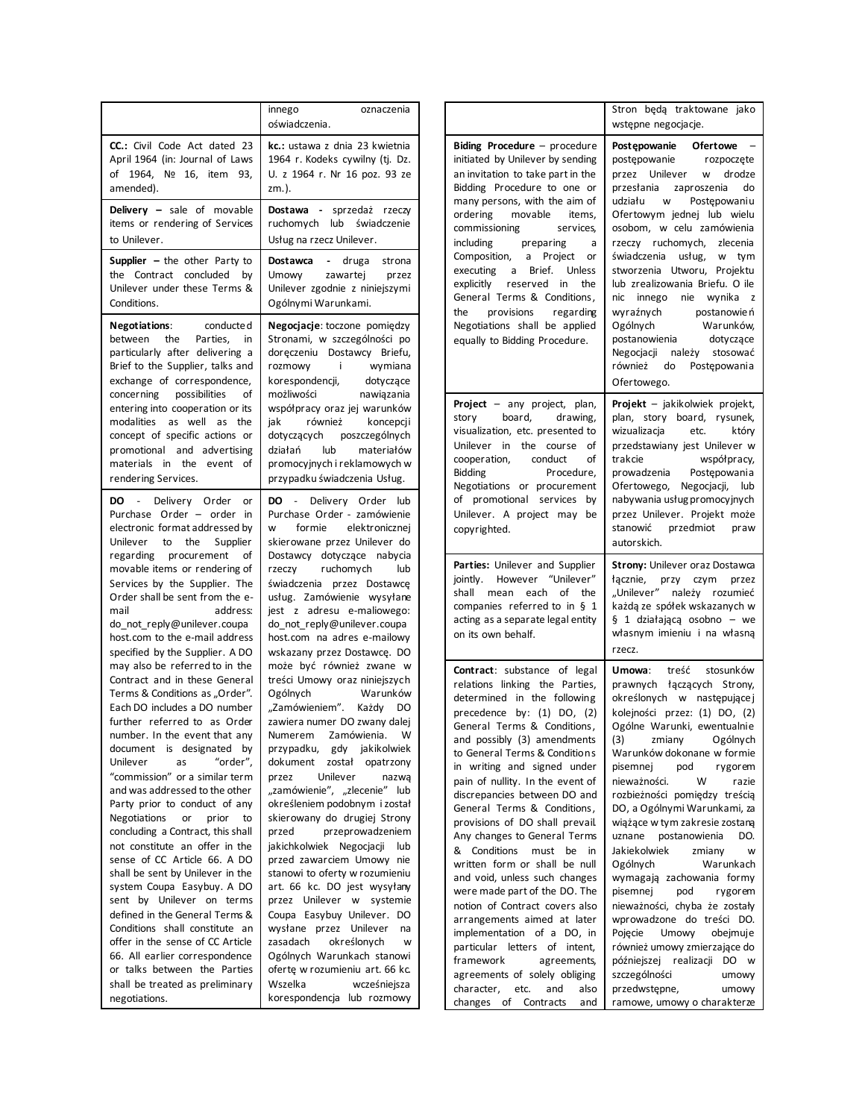|                                                                                                                                                                                                                                                          | innego<br>oznaczenia<br>oświadczenia.                                                                                                                                                                                                        |                                                           |
|----------------------------------------------------------------------------------------------------------------------------------------------------------------------------------------------------------------------------------------------------------|----------------------------------------------------------------------------------------------------------------------------------------------------------------------------------------------------------------------------------------------|-----------------------------------------------------------|
| CC.: Civil Code Act dated 23<br>April 1964 (in: Journal of Laws<br>of 1964, Nº 16,<br>item<br>93,<br>amended).                                                                                                                                           | kc.: ustawa z dnia 23 kwietnia<br>1964 r. Kodeks cywilny (tj. Dz.<br>U. z 1964 r. Nr 16 poz. 93 ze<br>zm.).                                                                                                                                  | <b>Bidin</b><br>initiat<br>an in<br>Biddi<br>many         |
| Delivery - sale of movable<br>items or rendering of Services<br>to Unilever.                                                                                                                                                                             | Dostawa - sprzedaż rzeczy<br>ruchomych lub<br>świadczenie<br>Usług na rzecz Unilever.                                                                                                                                                        | order<br>comr<br>incluo                                   |
| <b>Supplier</b> $-$ the other Party to<br>the Contract concluded<br>by<br>Unilever under these Terms &<br>Conditions.                                                                                                                                    | Dostawca<br>- druga<br>strona<br>zawartej<br>Umowy<br>przez<br>Unilever zgodnie z niniejszymi<br>Ogólnymi Warunkami.                                                                                                                         | Comp<br>execu<br>explic<br>Gene<br>the                    |
| <b>Negotiations:</b><br>conducte d<br>between<br>the<br>Parties,<br>in<br>particularly after delivering a<br>Brief to the Supplier, talks and<br>exchange of correspondence,                                                                             | Negocjacje: toczone pomiędzy<br>Stronami, w szczególności po<br>doręczeniu Dostawcy Briefu,<br>rozmowy<br>- i-<br>wymiana<br>korespondencji,<br>dotyczące                                                                                    | Nego<br>equa                                              |
| concerning<br>possibilities<br>of<br>entering into cooperation or its<br>modalities as well<br>as the<br>concept of specific actions or<br>promotional and advertising<br>materials in the event of<br>rendering Services.                               | możliwości<br>nawiązania<br>współpracy oraz jej warunków<br>jak<br>również<br>koncepcji<br>dotyczących poszczególnych<br>lub<br>działań<br>materiałów<br>promocyjnych i reklamowych w<br>przypadku świadczenia Usług.                        | Proje<br>story<br>visua<br>Unile<br>coop<br>Biddi<br>Nego |
| $\sim 10^{-11}$<br>Delivery Order<br>DO<br>or<br>Purchase Order - order in<br>electronic format addressed by<br>Unilever<br>to<br>the<br>Supplier                                                                                                        | <b>DO</b> - Delivery Order lub<br>Purchase Order - zamówienie<br>w<br>formie elektronicznej<br>skierowane przez Unilever do                                                                                                                  | of p<br>Unile<br>copy                                     |
| regarding procurement<br>οf<br>movable items or rendering of<br>Services by the Supplier. The<br>Order shall be sent from the e-<br>mail<br>address:<br>do_not_reply@unilever.coupa<br>host.com to the e-mail address<br>specified by the Supplier. A DO | Dostawcy dotyczące nabycia<br>rzeczy ruchomych<br>lub<br>świadczenia przez Dostawcę<br>usług. Zamówienie wysyłane<br>jest z adresu e-maliowego:<br>do_not_reply@unilever.coupa<br>host.com na adres e-mailowy<br>wskazany przez Dostawcę. DO | Parti<br>jointh<br>shall<br>comp<br>acting<br>on its      |
| may also be referred to in the<br>Contract and in these General<br>Terms & Conditions as "Order".                                                                                                                                                        | może być również zwane w<br>treści Umowy oraz niniejszych<br>Ogólnych<br>Warunków                                                                                                                                                            | Conti<br>relati<br>deter                                  |
| Each DO includes a DO number<br>further referred to as Order<br>number. In the event that any<br>document is designated<br>by<br>"order",<br>Unilever<br>as                                                                                              | "Zamówieniem". Każdy<br>DO.<br>zawiera numer DO zwany dalej<br>Numerem<br>Zamówienia.<br>w<br>przypadku,<br>gdy<br>jakikolwiek<br>dokument<br>został<br>opatrzony                                                                            | prece<br>Gene<br>and<br>to Ge<br>in w                     |
| "commission" or a similar term<br>and was addressed to the other<br>Party prior to conduct of any<br>Negotiations<br>or<br>prior<br>to<br>concluding a Contract, this shall                                                                              | Unilever<br>przez<br>nazwą<br>"zamówienie", "zlecenie" lub<br>określeniem podobnym i został<br>skierowany do drugiej Strony<br>przeprowadzeniem<br>przed                                                                                     | pain<br>discr<br>Gene<br>provi                            |
| not constitute an offer in the<br>sense of CC Article 66. A DO<br>shall be sent by Unilever in the<br>system Coupa Easybuy. A DO                                                                                                                         | jakichkolwiek Negocjacji<br>lub<br>przed zawarciem Umowy nie<br>stanowi to oferty w rozumieniu<br>art. 66 kc. DO jest wysyłany                                                                                                               | Any o<br>& C<br>writt<br>and \<br>were                    |
| sent by Unilever on terms<br>defined in the General Terms &<br>Conditions shall constitute an<br>offer in the sense of CC Article                                                                                                                        | przez Unilever<br>systemie<br>W<br>Coupa Easybuy Unilever. DO<br>wysłane przez Unilever<br>na<br>określonych<br>zasadach<br>W                                                                                                                | notio<br>arrar<br>imple<br>partio                         |
| 66. All earlier correspondence<br>or talks between the Parties<br>shall be treated as preliminary<br>negotiations.                                                                                                                                       | Ogólnych Warunkach stanowi<br>ofertę w rozumieniu art. 66 kc.<br>Wszelka<br>wcześniejsza<br>korespondencja lub rozmowy                                                                                                                       | fram<br>agre<br>chara<br>chang                            |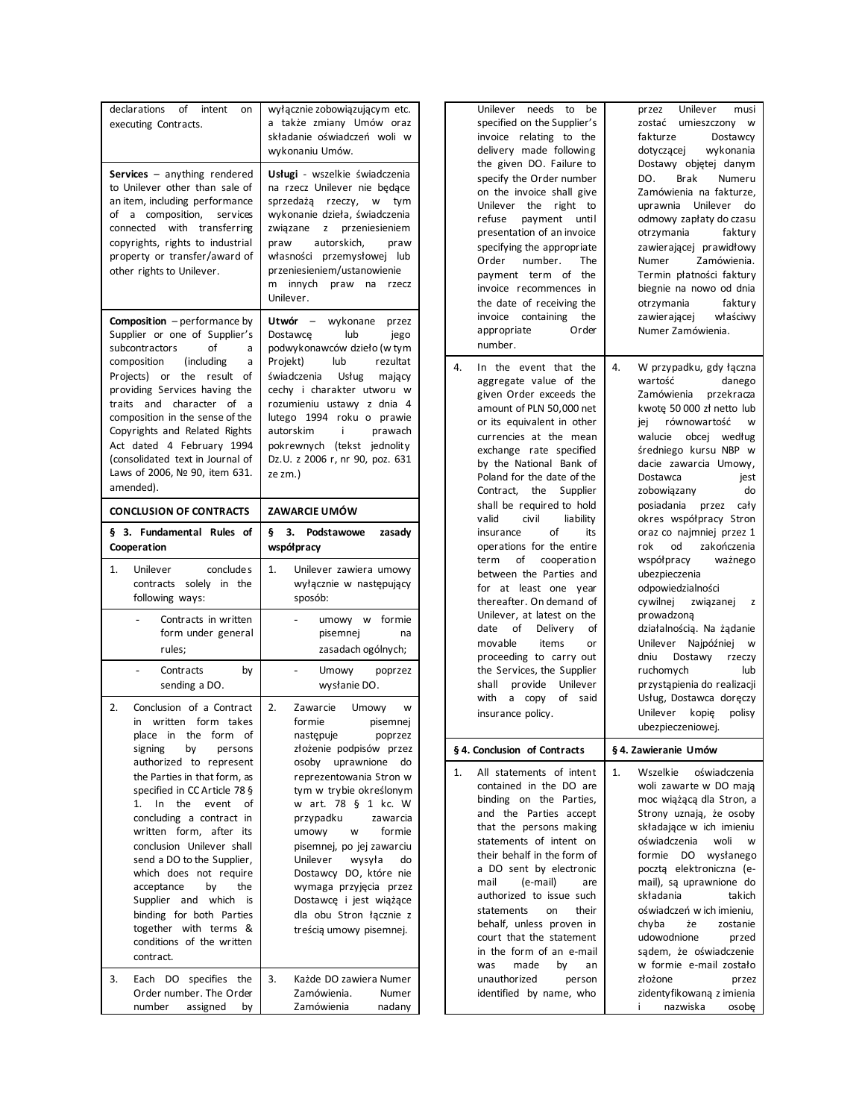| declarations<br>of<br>intent<br>on<br>executing Contracts.                                                                                                                                                                                                                                                                                                                                                                                                                                                                                    | wyłącznie zobowiązującym etc.<br>a także zmiany Umów oraz<br>składanie oświadczeń woli w<br>wykonaniu Umów.                                                                                                                                                                                                                                                                                                                                                                        |
|-----------------------------------------------------------------------------------------------------------------------------------------------------------------------------------------------------------------------------------------------------------------------------------------------------------------------------------------------------------------------------------------------------------------------------------------------------------------------------------------------------------------------------------------------|------------------------------------------------------------------------------------------------------------------------------------------------------------------------------------------------------------------------------------------------------------------------------------------------------------------------------------------------------------------------------------------------------------------------------------------------------------------------------------|
| Services $-$ anything rendered<br>to Unilever other than sale of<br>an item, including performance<br>a composition,<br>services<br>of<br>connected with transferring<br>copyrights, rights to industrial<br>property or transfer/award of<br>other rights to Unilever.                                                                                                                                                                                                                                                                       | Usługi - wszelkie świadczenia<br>na rzecz Unilever nie będące<br>sprzedażą rzeczy, w<br>tym<br>wykonanie dzieła, świadczenia<br>związane z<br>przeniesieniem<br>praw autorskich, praw<br>własności przemysłowej lub<br>przeniesieniem/ustanowienie<br>innych praw<br>m<br>na<br>rzecz<br>Unilever.                                                                                                                                                                                 |
| <b>Composition</b> - performance by<br>Supplier or one of Supplier's<br>subcontractors<br>of<br>a<br>composition (including<br>a<br>Projects) or the result of<br>providing Services having the<br>and character of<br>traits<br>a<br>composition in the sense of the<br>Copyrights and Related Rights<br>Act dated 4 February 1994<br>(consolidated text in Journal of<br>Laws of 2006, № 90, item 631.<br>amended).                                                                                                                         | Utwór – wykonane przez<br>Dostawcę<br>lub<br>jego<br>podwykonawców dzieło (w tym<br>lub<br>Projekt)<br>rezultat<br>świadczenia<br>Usług mający<br>cechy i charakter utworu w<br>rozumieniu ustawy z dnia 4<br>lutego 1994 roku o prawie<br>autorskim<br>j.<br>prawach<br>pokrewnych (tekst jednolity<br>Dz.U. z 2006 r, nr 90, poz. 631<br>ze zm.)                                                                                                                                 |
| <b>CONCLUSION OF CONTRACTS</b>                                                                                                                                                                                                                                                                                                                                                                                                                                                                                                                | ZAWARCIE UMÓW                                                                                                                                                                                                                                                                                                                                                                                                                                                                      |
| § 3. Fundamental Rules of<br>Cooperation                                                                                                                                                                                                                                                                                                                                                                                                                                                                                                      | ş.<br>з.<br>Podstawowe<br>zasady<br>współpracy                                                                                                                                                                                                                                                                                                                                                                                                                                     |
|                                                                                                                                                                                                                                                                                                                                                                                                                                                                                                                                               |                                                                                                                                                                                                                                                                                                                                                                                                                                                                                    |
| 1.<br>Unilever<br>conclude s<br>contracts solely in the<br>following ways:                                                                                                                                                                                                                                                                                                                                                                                                                                                                    | 1.<br>Unilever zawiera umowy<br>wyłącznie w następujący<br>sposób:                                                                                                                                                                                                                                                                                                                                                                                                                 |
| Contracts in written<br>form under general<br>rules;                                                                                                                                                                                                                                                                                                                                                                                                                                                                                          | umowy w formie<br>pisemnej<br>na<br>zasadach ogólnych;                                                                                                                                                                                                                                                                                                                                                                                                                             |
| Contracts<br>by<br>sending a DO.                                                                                                                                                                                                                                                                                                                                                                                                                                                                                                              | $\overline{a}$<br>Umowy<br>poprzez<br>wysłanie DO.                                                                                                                                                                                                                                                                                                                                                                                                                                 |
| 2.<br>Conclusion of a Contract<br>written form takes<br>in<br>place in the form of<br>signing<br>by<br>persons<br>authorized to represent<br>the Parties in that form, as<br>specified in CC Article 78 §<br>In<br>1.<br>the<br>event<br>of<br>concluding a contract in<br>written form, after its<br>conclusion Unilever shall<br>send a DO to the Supplier,<br>which does not require<br>acceptance<br>by<br>the<br>Supplier and which<br>is<br>binding for both Parties<br>together with terms &<br>conditions of the written<br>contract. | 2.<br>Zawarcie Umowy<br>w<br>formie<br>pisemnej<br>następuje<br>poprzez<br>złożenie podpisów przez<br>osoby uprawnione<br>do<br>reprezentowania Stron w<br>tym w trybie określonym<br>w art. 78 § 1 kc. W<br>przypadku<br>zawarcia<br>umowy<br>formie<br>W<br>pisemnej, po jej zawarciu<br>Unilever<br>wysyła<br>do<br>Dostawcy DO, które nie<br>wymaga przyjęcia przez<br>Dostawcę i jest wiążące<br>dla obu Stron łącznie z<br>treścią umowy pisemnej.<br>Każde DO zawiera Numer |

| needs<br>Unilever<br>to<br>be<br>specified on the Supplier's<br>invoice relating to the<br>delivery made following<br>the given DO. Failure to<br>specify the Order number<br>on the invoice shall give<br>Unilever<br>the<br>right to<br>refuse<br>payment<br>until<br>presentation of an invoice<br>specifying the appropriate<br>number.<br>Order<br>The<br>the<br>payment<br>term of<br>invoice recommences in<br>the date of receiving the<br>containing<br>invoice<br>the<br>Order<br>appropriate                                                                                                                                                                                                                                                                               | Unilever<br>przez<br>musi<br>zostać<br>umieszczony<br>w<br>fakturze<br>Dostawcy<br>dotyczącej<br>wykonania<br>Dostawy objętej danym<br><b>Brak</b><br>DO.<br>Numeru<br>Zamówienia na fakturze,<br>uprawnia Unilever<br>do<br>odmowy zapłaty do czasu<br>otrzymania<br>faktury<br>zawierającej prawidłowy<br>Zamówienia.<br>Numer<br>Termin płatności faktury<br>biegnie na nowo od dnia<br>otrzymania<br>faktury<br>zawierającej<br>właściwy<br>Numer Zamówienia.                                                                                                                                                                                                                                                    |
|---------------------------------------------------------------------------------------------------------------------------------------------------------------------------------------------------------------------------------------------------------------------------------------------------------------------------------------------------------------------------------------------------------------------------------------------------------------------------------------------------------------------------------------------------------------------------------------------------------------------------------------------------------------------------------------------------------------------------------------------------------------------------------------|----------------------------------------------------------------------------------------------------------------------------------------------------------------------------------------------------------------------------------------------------------------------------------------------------------------------------------------------------------------------------------------------------------------------------------------------------------------------------------------------------------------------------------------------------------------------------------------------------------------------------------------------------------------------------------------------------------------------|
| number.<br>4.<br>In the event that<br>the<br>aggregate value of the<br>given Order exceeds the<br>amount of PLN 50,000 net<br>or its equivalent in other<br>currencies at the mean<br>exchange rate specified<br>by the National Bank of<br>Poland for the date of the<br>the<br>Contract.<br>Supplier<br>shall be required to hold<br>valid<br>civil<br>liability<br>of<br>insurance<br>its<br>operations for the entire<br>term<br>of<br>cooperation<br>between the Parties and<br>for<br>at least one<br>year<br>thereafter. On demand of<br>Unilever, at latest on the<br>date<br>of<br>Delivery<br>οf<br>movable<br>items<br>or<br>proceeding to carry out<br>the Services, the Supplier<br>shall<br>provide<br>Unilever<br>with<br>of<br>copy<br>said<br>а<br>insurance policy. | 4.<br>W przypadku, gdy łączna<br>wartość<br>danego<br>Zamówienia<br>przekracza<br>kwote 50 000 zł netto lub<br>równowartość<br>iej<br>w<br>walucie<br>obcej według<br>średniego kursu NBP<br>W<br>dacie zawarcia Umowy,<br>Dostawca<br>jest<br>zobowiązany<br>do<br>posiadania<br>przez<br>cały<br>okres współpracy Stron<br>oraz co najmniej przez 1<br>od<br>zakończenia<br>rok<br>współpracy<br>ważnego<br>ubezpieczenia<br>odpowiedzialności<br>cywilnej<br>związanej<br>z<br>prowadzoną<br>działalnością. Na żądanie<br>Unilever Najpóźniej<br>W<br>Dostawy<br>dniu<br>rzeczy<br>ruchomvch<br>lub<br>przystąpienia do realizacji<br>Usług, Dostawca doręczy<br>Unilever<br>kopię<br>polisy<br>ubezpieczeniowej. |
| § 4. Conclusion of Contracts                                                                                                                                                                                                                                                                                                                                                                                                                                                                                                                                                                                                                                                                                                                                                          | § 4. Zawieranie Umów                                                                                                                                                                                                                                                                                                                                                                                                                                                                                                                                                                                                                                                                                                 |
| All statements of intent<br>1.<br>contained in the DO are<br>binding on the Parties,<br>and the<br>Parties accept<br>that the persons making<br>statements of intent on<br>their behalf in the form of<br>a DO sent by electronic<br>(e-mail)<br>mail<br>are<br>authorized to issue such<br>statements<br>their<br>on<br>behalf, unless proven in<br>court that the statement<br>in the form of an e-mail<br>made<br>by<br>was<br>an<br>unauthorized<br>person<br>identified by name, who                                                                                                                                                                                                                                                                                             | Wszelkie<br>oświadczenia<br>1.<br>woli zawarte w DO mają<br>moc wiążącą dla Stron, a<br>Strony uznają, że osoby<br>składające w ich imieniu<br>oświadczenia<br>woli<br>w<br>formie<br>wysłanego<br>DO.<br>pocztą elektroniczna (e-<br>mail), są uprawnione do<br>składania<br>takich<br>oświadczeń w ich imieniu,<br>chyba<br>zostanie<br>że<br>udowodnione<br>przed<br>sądem, że oświadczenie<br>w formie e-mail zostało<br>złożone<br>przez<br>zidentyfikowaną z imienia<br>nazwiska<br>osobe<br>i                                                                                                                                                                                                                 |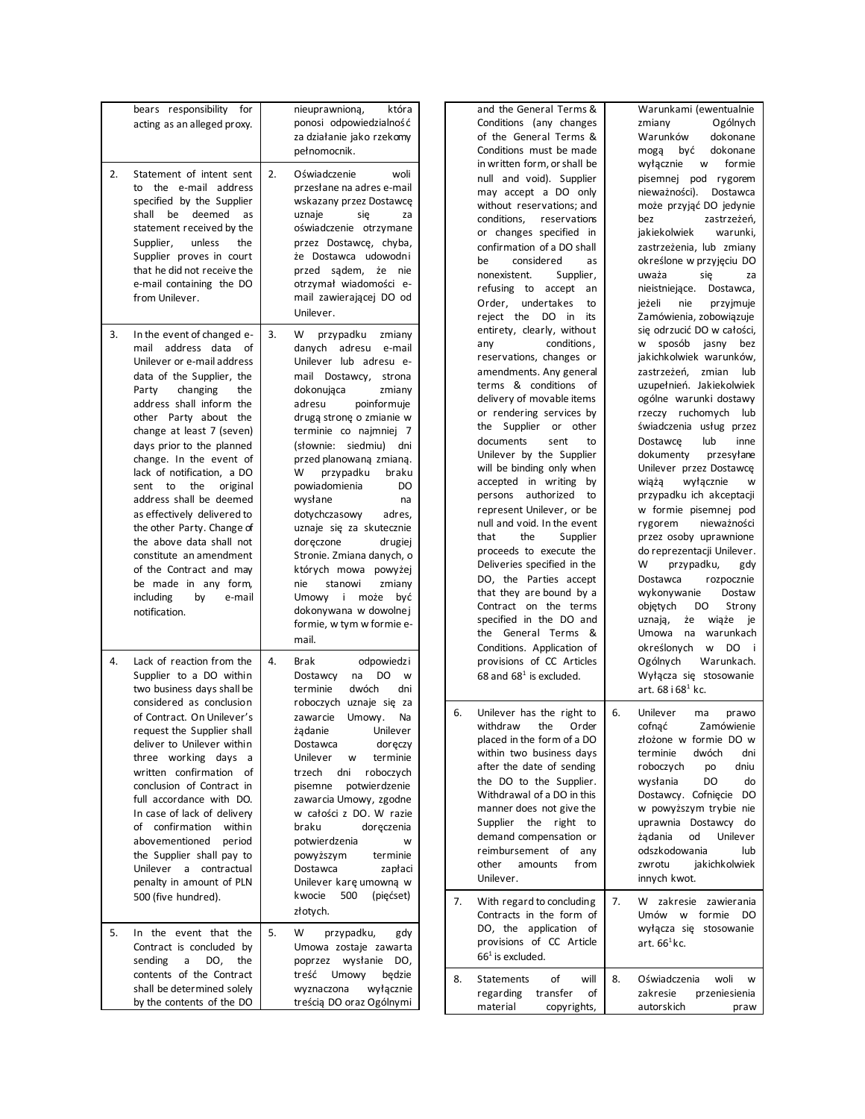| 2. | bears responsibility<br>for<br>acting as an alleged proxy.<br>Statement of intent sent                                                                                                                                                                                                                                                                                                                                                                                                                                                                                                                      | 2. | nieuprawnioną,<br>która<br>ponosi odpowiedzialność<br>za działanie jako rzekomy<br>pełnomocnik.<br>Oświadczenie<br>woli                                                                                                                                                                                                                                                                                                                                                                                                                                                                                                     |          | and t<br>Condi<br>of th<br>Condi<br>in wri                                                                                                                                                                                |
|----|-------------------------------------------------------------------------------------------------------------------------------------------------------------------------------------------------------------------------------------------------------------------------------------------------------------------------------------------------------------------------------------------------------------------------------------------------------------------------------------------------------------------------------------------------------------------------------------------------------------|----|-----------------------------------------------------------------------------------------------------------------------------------------------------------------------------------------------------------------------------------------------------------------------------------------------------------------------------------------------------------------------------------------------------------------------------------------------------------------------------------------------------------------------------------------------------------------------------------------------------------------------------|----------|---------------------------------------------------------------------------------------------------------------------------------------------------------------------------------------------------------------------------|
|    | the e-mail address<br>to<br>specified by the Supplier<br>deemed<br>shall<br>be<br>as<br>statement received by the<br>Supplier, unless<br>the<br>Supplier proves in court<br>that he did not receive the<br>e-mail containing the DO<br>from Unilever.                                                                                                                                                                                                                                                                                                                                                       |    | przesłane na adres e-mail<br>wskazany przez Dostawcę<br>uznaje<br>się<br>za<br>oświadczenie otrzymane<br>przez Dostawce, chyba,<br>że Dostawca udowodni<br>przed<br>sądem,<br>żе<br>nie<br>otrzymał wiadomości e-<br>mail zawierającej DO od<br>Unilever.                                                                                                                                                                                                                                                                                                                                                                   |          | null<br>may<br>witho<br>condi<br>or cl<br>confir<br>be<br>none:<br>refus<br>Orde<br>reject                                                                                                                                |
| 3. | In the event of changed e-<br>address<br>mail<br>data<br>οf<br>Unilever or e-mail address<br>data of the Supplier, the<br>Party<br>changing<br>the<br>address shall inform the<br>other Party about the<br>change at least 7 (seven)<br>days prior to the planned<br>change. In the event of<br>lack of notification, a DO<br>sent<br>to<br>the<br>original<br>address shall be deemed<br>as effectively delivered to<br>the other Party. Change of<br>the above data shall not<br>constitute an amendment<br>of the Contract and may<br>be made in any form,<br>including<br>by<br>e-mail<br>notification. | 3. | W<br>przypadku<br>zmiany<br>danych<br>adresu<br>e-mail<br>Unilever lub adresu e-<br>mail<br>Dostawcy, strona<br>dokonująca<br>zmiany<br>adresu<br>poinformuje<br>drugą stronę o zmianie w<br>terminie co najmniej 7<br>siedmiu)<br>(słownie:<br>dni<br>przed planowaną zmianą.<br>W<br>przypadku<br>braku<br>powiadomienia<br>DO<br>wysłane<br>na<br>dotychczasowy<br>adres,<br>uznaje się za skutecznie<br>doręczone<br>drugiej<br>Stronie. Zmiana danych, o<br>których mowa<br>powyżej<br>nie<br>stanowi<br>zmiany<br>Umowy<br>$\mathbf{i}$<br>może<br>być<br>dokonywana w dowolnej<br>formie, w tym w formie e-<br>mail. |          | entire<br>any<br>reser<br>amer<br>term:<br>delive<br>or re<br>the<br>docur<br>Uniley<br>will b<br>accep<br>perso<br>repre<br>null a<br>that<br>proce<br><b>Delive</b><br>DO,<br>that 1<br>Contr<br>specit<br>the<br>Condi |
| 4. | Lack of reaction from the<br>Supplier to a DO within<br>two business days shall be<br>considered as conclusion<br>of Contract. On Unilever's<br>request the Supplier shall<br>deliver to Unilever within<br>three working days<br>a<br>written confirmation<br>of<br>conclusion of Contract in<br>full accordance with DO.<br>In case of lack of delivery<br>of confirmation<br>within<br>abovementioned<br>period<br>the Supplier shall pay to<br>Unilever<br>contractual<br>a<br>penalty in amount of PLN<br>500 (five hundred).                                                                          | 4. | Brak<br>odpowiedzi<br>Dostawcy<br>DO<br>na<br>w<br>terminie<br>dwóch<br>dni<br>roboczych uznaje się za<br>zawarcie<br>Umowy.<br>Na<br>żądanie<br>Unilever<br>Dostawca<br>doręczy<br>Unilever<br>terminie<br>w<br>trzech<br>dni<br>roboczych<br>pisemne<br>potwierdzenie<br>zawarcia Umowy, zgodne<br>w całości z DO. W razie<br>braku<br>doręczenia<br>potwierdzenia<br>W<br>powyższym<br>terminie<br>Dostawca<br>zapłaci<br>Unilever karę umowną w<br>kwocie<br>500<br>(pięćset)<br>złotych.                                                                                                                               | 6.<br>7. | provi<br>68 an<br>Uniley<br>withd<br>place<br>withir<br>after<br>the [<br>Witho<br>manr<br>Suppl<br>dema<br>reiml<br>other<br>Uniley<br>With<br>Contr                                                                     |
| 5. | In the event that the<br>Contract is concluded by<br>sending<br>the<br>a<br>DO,<br>contents of the Contract<br>shall be determined solely                                                                                                                                                                                                                                                                                                                                                                                                                                                                   | 5. | W<br>przypadku,<br>gdy<br>Umowa zostaje zawarta<br>wysłanie<br>poprzez<br>DO,<br>treść<br>Umowy<br>będzie<br>wyznaczona<br>wyłącznie                                                                                                                                                                                                                                                                                                                                                                                                                                                                                        | 8.       | DO,<br>provi<br>$661$ is<br>State<br>regar                                                                                                                                                                                |
|    | by the contents of the DO                                                                                                                                                                                                                                                                                                                                                                                                                                                                                                                                                                                   |    | treścią DO oraz Ogólnymi                                                                                                                                                                                                                                                                                                                                                                                                                                                                                                                                                                                                    |          | mate                                                                                                                                                                                                                      |

| and the General Terms &<br>Conditions (any changes<br>of the General Terms &<br>Conditions must be made<br>in written form, or shall be<br>null and void). Supplier<br>may accept a DO only<br>without reservations; and<br>conditions,<br>reservations<br>or changes specified in<br>confirmation of a DO shall<br>considered<br>be<br>as<br>nonexistent.<br>Supplier,<br>refusing to<br>accept<br>an<br>Order, undertakes<br>to<br>reject the<br>DO<br>in<br>its<br>entirety, clearly, without<br>conditions,<br>any<br>reservations, changes or<br>amendments. Any general<br>terms & conditions<br>οf<br>delivery of movable items<br>or rendering services by<br>the Supplier or<br>other<br>documents<br>sent<br>to<br>Unilever by the Supplier<br>will be binding only when<br>accepted in writing<br>by<br>persons authorized<br>to<br>represent Unilever, or be<br>null and void. In the event<br>that<br>the<br>Supplier<br>proceeds to execute the<br>Deliveries specified in the<br>DO, the Parties accept<br>that they are bound by a<br>Contract on the terms<br>specified in the DO and<br>the<br>General<br>Terms<br>&<br>Conditions. Application of<br>provisions of CC Articles<br>68 and $681$ is excluded. | Warunkami (ewentualnie<br>Ogólnych<br>zmiany<br>Warunków dokonane<br>być<br>dokonane<br>mogą<br>wyłącznie<br>formie<br>W<br>pisemnej<br>pod rygorem<br>nieważności).<br>Dostawca<br>może przyjąć DO jedynie<br>zastrzeżeń,<br>bez<br>jakiekolwiek<br>warunki,<br>zastrzeżenia, lub zmiany<br>określone w przyjęciu DO<br>się<br>uważa<br>za<br>nieistniejące.<br>Dostawca,<br>nie przyjmuje<br>jeżeli<br>Zamówienia, zobowiązuje<br>się odrzucić DO w całości,<br>sposób<br>jasny<br>W<br>bez<br>jakichkolwiek warunków,<br>zastrzeżeń, zmian<br>lub<br>uzupełnień. Jakiekolwiek<br>ogólne warunki dostawy<br>rzeczy ruchomych<br>lub<br>świadczenia usług przez<br>lub<br>Dostawce<br>inne<br>dokumenty przesyłane<br>Unilever przez Dostawcę<br>wiążą<br>wyłącznie<br>w<br>przypadku ich akceptacji<br>w formie pisemnej pod<br>nieważności<br>rygorem<br>przez osoby uprawnione<br>do reprezentacji Unilever.<br>W<br>przypadku,<br>gdy<br>Dostawca<br>rozpocznie<br>wykonywanie<br>Dostaw<br>objętych<br>Strony<br>DO<br>uznają,<br>że<br>wiąże<br>je<br>warunkach<br>Umowa<br>na<br>określonych<br><b>W</b><br>DO<br>j<br>Ogólnych<br>Warunkach.<br>Wyłącza się stosowanie |
|--------------------------------------------------------------------------------------------------------------------------------------------------------------------------------------------------------------------------------------------------------------------------------------------------------------------------------------------------------------------------------------------------------------------------------------------------------------------------------------------------------------------------------------------------------------------------------------------------------------------------------------------------------------------------------------------------------------------------------------------------------------------------------------------------------------------------------------------------------------------------------------------------------------------------------------------------------------------------------------------------------------------------------------------------------------------------------------------------------------------------------------------------------------------------------------------------------------------------------|---------------------------------------------------------------------------------------------------------------------------------------------------------------------------------------------------------------------------------------------------------------------------------------------------------------------------------------------------------------------------------------------------------------------------------------------------------------------------------------------------------------------------------------------------------------------------------------------------------------------------------------------------------------------------------------------------------------------------------------------------------------------------------------------------------------------------------------------------------------------------------------------------------------------------------------------------------------------------------------------------------------------------------------------------------------------------------------------------------------------------------------------------------------------------------|
| Unilever has the right to<br>6.<br>withdraw<br>the<br>Order<br>placed in the form of a DO<br>within two business days<br>after the date of sending<br>the DO to the Supplier.<br>Withdrawal of a DO in this<br>manner does not give the<br>Supplier the<br>right<br>to<br>demand compensation or<br>reimbursement<br>of<br>any<br>other<br>amounts<br>from<br>Unilever.<br>7.<br>With regard to concluding<br>Contracts in the form of                                                                                                                                                                                                                                                                                                                                                                                                                                                                                                                                                                                                                                                                                                                                                                                         | art. 68 i 68 <sup>1</sup> kc.<br>6.<br>Unilever ma<br>prawo<br>cofnać<br>Zamówienie<br>złożone w formie DO w<br>dwóch<br>terminie<br>dni<br>roboczych<br>dniu<br>po<br>wysłania<br>DO<br>do<br>Dostawcy.<br>Cofnięcie<br>DO<br>w powyższym trybie nie<br>uprawnia<br>Dostawcy<br>do<br>żądania<br>od<br>Unilever<br>odszkodowania<br>lub<br>zwrotu<br>jakichkolwiek<br>innych kwot.<br>7.<br>W<br>zakresie<br>zawierania<br>formie<br>Umów<br>W<br>DO                                                                                                                                                                                                                                                                                                                                                                                                                                                                                                                                                                                                                                                                                                                           |
| application<br>DO, the<br>of<br>provisions of CC Article<br>$661$ is excluded.                                                                                                                                                                                                                                                                                                                                                                                                                                                                                                                                                                                                                                                                                                                                                                                                                                                                                                                                                                                                                                                                                                                                                 | wyłącza się<br>stosowanie<br>art. $661$ kc.                                                                                                                                                                                                                                                                                                                                                                                                                                                                                                                                                                                                                                                                                                                                                                                                                                                                                                                                                                                                                                                                                                                                     |
| οf<br>will<br>8.<br><b>Statements</b><br>transfer<br>regarding<br>of<br>material<br>copyrights,                                                                                                                                                                                                                                                                                                                                                                                                                                                                                                                                                                                                                                                                                                                                                                                                                                                                                                                                                                                                                                                                                                                                | Oświadczenia<br>8.<br>woli<br>w<br>zakresie<br>przeniesienia<br>autorskich<br>praw                                                                                                                                                                                                                                                                                                                                                                                                                                                                                                                                                                                                                                                                                                                                                                                                                                                                                                                                                                                                                                                                                              |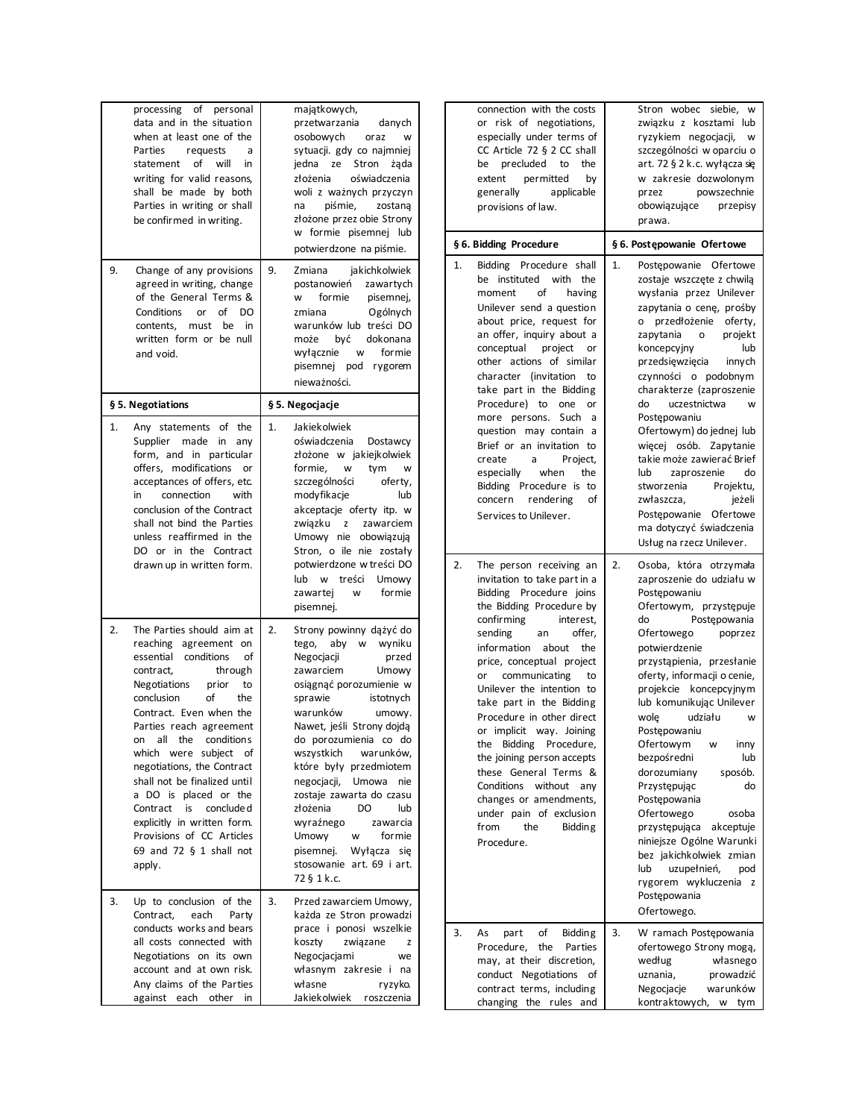| 9. | of<br>processing<br>personal<br>data and in the situation<br>when at least one of the<br>Parties<br>requests<br>a<br>of<br>will<br>statement<br>in<br>writing for valid reasons,<br>shall be made by both<br>Parties in writing or shall<br>be confirmed in writing.<br>Change of any provisions<br>agreed in writing, change<br>of the General Terms &<br>Conditions<br>οf<br>or<br>DO<br>be<br>contents,<br>must<br>in<br>written form or be null<br>and void.                                                          | majątkowych,<br>przetwarzania<br>danych<br>osobowych<br>oraz<br>w<br>sytuacji. gdy co najmniej<br>ze<br>Stron<br>jedna<br>żąda<br>złożenia<br>oświadczenia<br>woli z ważnych przyczyn<br>piśmie,<br>na<br>zostaną<br>złożone przez obie Strony<br>w formie pisemnej lub<br>potwierdzone na piśmie.<br>9.<br>jakichkolwiek<br>Zmiana<br>postanowień<br>zawartych<br>formie<br>pisemnej,<br>w<br>Ogólnych<br>zmiana<br>warunków lub treści DO<br>może<br>być<br>dokonana<br>wyłącznie<br>formie<br>w<br>pisemnej<br>pod rygorem<br>nieważności. |
|----|---------------------------------------------------------------------------------------------------------------------------------------------------------------------------------------------------------------------------------------------------------------------------------------------------------------------------------------------------------------------------------------------------------------------------------------------------------------------------------------------------------------------------|-----------------------------------------------------------------------------------------------------------------------------------------------------------------------------------------------------------------------------------------------------------------------------------------------------------------------------------------------------------------------------------------------------------------------------------------------------------------------------------------------------------------------------------------------|
|    | § 5. Negotiations                                                                                                                                                                                                                                                                                                                                                                                                                                                                                                         | § 5. Negocjacje                                                                                                                                                                                                                                                                                                                                                                                                                                                                                                                               |
| 1. | Any statements of the<br>Supplier<br>made in<br>any<br>form, and in particular<br>offers, modifications<br>or<br>acceptances of offers, etc.<br>connection<br>with<br>in<br>conclusion of the Contract<br>shall not bind the Parties<br>unless reaffirmed in the<br>DO or in the Contract<br>drawn up in written form.                                                                                                                                                                                                    | 1.<br>Jakiekolwiek<br>oświadczenia<br>Dostawcy<br>złożone w jakiejkolwiek<br>formie,<br>w<br>tym<br>W<br>szczególności<br>oferty,<br>modyfikacje<br>lub<br>akceptacje oferty itp. w<br>związku<br>zawarciem<br>z<br>Umowy nie obowiązują<br>Stron, o ile nie zostały<br>potwierdzone w treści DO<br>lub w treści<br>Umowy<br>formie<br>zawartej<br>W<br>pisemnej.                                                                                                                                                                             |
| 2. | The Parties should aim at<br>reaching agreement on<br>essential conditions<br>οf<br>contract,<br>through<br><b>Negotiations</b><br>prior<br>to<br>conclusion<br>of<br>the<br>Contract. Even when the<br>Parties reach agreement<br>condition s<br>all<br>the<br>on<br>which<br>were subject<br>οf<br>negotiations, the Contract<br>shall not be finalized until<br>a DO is placed or the<br>Contract<br>is<br>conclude d<br>explicitly in written form.<br>Provisions of CC Articles<br>69 and 72 § 1 shall not<br>apply. | 2.<br>Strony powinny dążyć do<br>aby<br>wyniku<br>tego,<br>W<br>Negocjacji<br>przed<br>zawarciem<br>Umowy<br>osiągnąć porozumienie w<br>istotnych<br>sprawie<br>warunków<br>umowy.<br>Nawet, jeśli Strony dojdą<br>do porozumienia co do<br>wszystkich<br>warunków,<br>które były przedmiotem<br>negocjacji,<br>Umowa<br>nie<br>zostaje zawarta do czasu<br>złożenia<br>DO<br>lub<br>wyraźnego<br>zawarcia<br><b>Umowy</b><br>formie<br>w<br>pisemnej.<br>Wyłącza<br>sie<br>stosowanie art. 69 i art.<br>72 § 1 k.c.                          |
| 3. | Up to conclusion of the<br>Contract.<br>each<br>Party<br>conducts works and bears<br>all costs connected with<br>Negotiations on its own<br>account and at own risk.<br>Any claims of the Parties<br>against<br>each<br>other<br>in                                                                                                                                                                                                                                                                                       | 3.<br>Przed zawarciem Umowy,<br>każda ze Stron prowadzi<br>prace i ponosi wszelkie<br>koszty<br>związane<br>z<br>Negocjacjami<br>we<br>własnym zakresie i na<br>własne<br>ryzyko.<br>Jakiekolwiek<br>roszczenia                                                                                                                                                                                                                                                                                                                               |

|    | connection with the costs<br>or risk of negotiations,<br>especially under terms of<br>CC Article $72 \S 2$ CC shall<br>precluded to<br>the<br>be<br>extent<br>permitted<br>by<br>generally<br>applicable<br>provisions of law.                                                                                                                                                                                                                                                                                                                                                                          |    | Stron wobec siebie,<br>W<br>związku z kosztami lub<br>ryzykiem negocjacji,<br>W<br>szczególności w oparciu o<br>art. 72 § 2 k.c. wyłącza się<br>w zakresie dozwolonym<br>przez<br>powszechnie<br>obowiązujące<br>przepisy<br>prawa.                                                                                                                                                                                                                                                                                                                                                                                                        |
|----|---------------------------------------------------------------------------------------------------------------------------------------------------------------------------------------------------------------------------------------------------------------------------------------------------------------------------------------------------------------------------------------------------------------------------------------------------------------------------------------------------------------------------------------------------------------------------------------------------------|----|--------------------------------------------------------------------------------------------------------------------------------------------------------------------------------------------------------------------------------------------------------------------------------------------------------------------------------------------------------------------------------------------------------------------------------------------------------------------------------------------------------------------------------------------------------------------------------------------------------------------------------------------|
|    | § 6. Bidding Procedure                                                                                                                                                                                                                                                                                                                                                                                                                                                                                                                                                                                  |    | § 6. Postępowanie Ofertowe                                                                                                                                                                                                                                                                                                                                                                                                                                                                                                                                                                                                                 |
| 1. | Bidding Procedure shall<br>be instituted<br>with<br>the<br>of<br>moment<br>having<br>Unilever send a question<br>about price, request for<br>an offer, inquiry about a<br>conceptual<br>project<br>or<br>other actions of similar<br>character (invitation<br>to<br>take part in the Bidding<br>Procedure) to one<br>or<br>more persons.<br>Such<br>a<br>question may contain a<br>Brief or an invitation to<br>create<br>Project,<br>a<br>especially when<br>the<br>Bidding Procedure is to<br>concern rendering<br>οf<br>Services to Unilever.                                                        |    | Postępowanie Ofertowe<br>zostaje wszczęte z chwilą<br>wysłania przez Unilever<br>zapytania o cenę, prośby<br>przedłożenie<br>oferty,<br>о<br>zapytania<br>projekt<br>$\circ$<br>koncepcyjny<br>lub<br>przedsię wzięcia<br>innych<br>czynności o podobnym<br>charakterze (zaproszenie<br>do<br>uczestnictwa<br>w<br>Postepowaniu<br>Ofertowym) do jednej lub<br>więcej osób. Zapytanie<br>takie może zawierać Brief<br>lub<br>zaproszenie<br>do<br>stworzenia<br>Projektu,<br>zwłaszcza,<br>jeżeli<br>Postępowanie<br>Ofertowe<br>ma dotyczyć świadczenia<br>Usług na rzecz Unilever.                                                       |
| 2. | The person receiving an<br>invitation to take part in a<br>Bidding Procedure joins<br>the Bidding Procedure by<br>confirming<br>interest,<br>offer,<br>sending<br>an<br>information<br>about<br>the<br>price, conceptual project<br>communicating<br>to<br>or<br>Unilever the intention to<br>take part in the Bidding<br>Procedure in other direct<br>or implicit way. Joining<br>Bidding Procedure,<br>the<br>the joining person accepts<br>these General Terms &<br>Conditions<br>without<br>any<br>changes or amendments,<br>under pain of exclusion<br>from<br><b>Bidding</b><br>the<br>Procedure. | 2. | Osoba, która otrzymała<br>zaproszenie do udziału w<br>Postępowaniu<br>Ofertowym, przystępuje<br>do<br>Postępowania<br>Ofertowego<br>poprzez<br>potwierdzenie<br>przystąpienia, przesłanie<br>oferty, informacji o cenie,<br>projekcie koncepcyjnym<br>lub komunikując Unilever<br>wole<br>udziału<br>w<br>Postępowaniu<br>Ofertowym<br>inny<br>W<br>bezpośredni<br>lub<br>dorozumiany<br>sposób.<br>Przystępując<br>do<br>Postępowania<br>Ofertowego<br>osoba<br>przystępująca<br>akceptuje<br>niniejsze Ogólne Warunki<br>bez jakichkolwiek zmian<br>uzupełnień,<br>lub<br>pod<br>rygorem wykluczenia<br>z<br>Postępowania<br>Ofertowego. |
| 3. | of<br>As<br>part<br>Bidding<br>Procedure,<br>the<br>Parties<br>may, at their discretion,<br>conduct Negotiations<br>οf<br>contract terms, including<br>changing the rules and                                                                                                                                                                                                                                                                                                                                                                                                                           | 3. | W ramach Postępowania<br>ofertowego Strony mogą,<br>według<br>własnego<br>uznania,<br>prowadzić<br>Negocjacje<br>warunków<br>kontraktowych, w tym                                                                                                                                                                                                                                                                                                                                                                                                                                                                                          |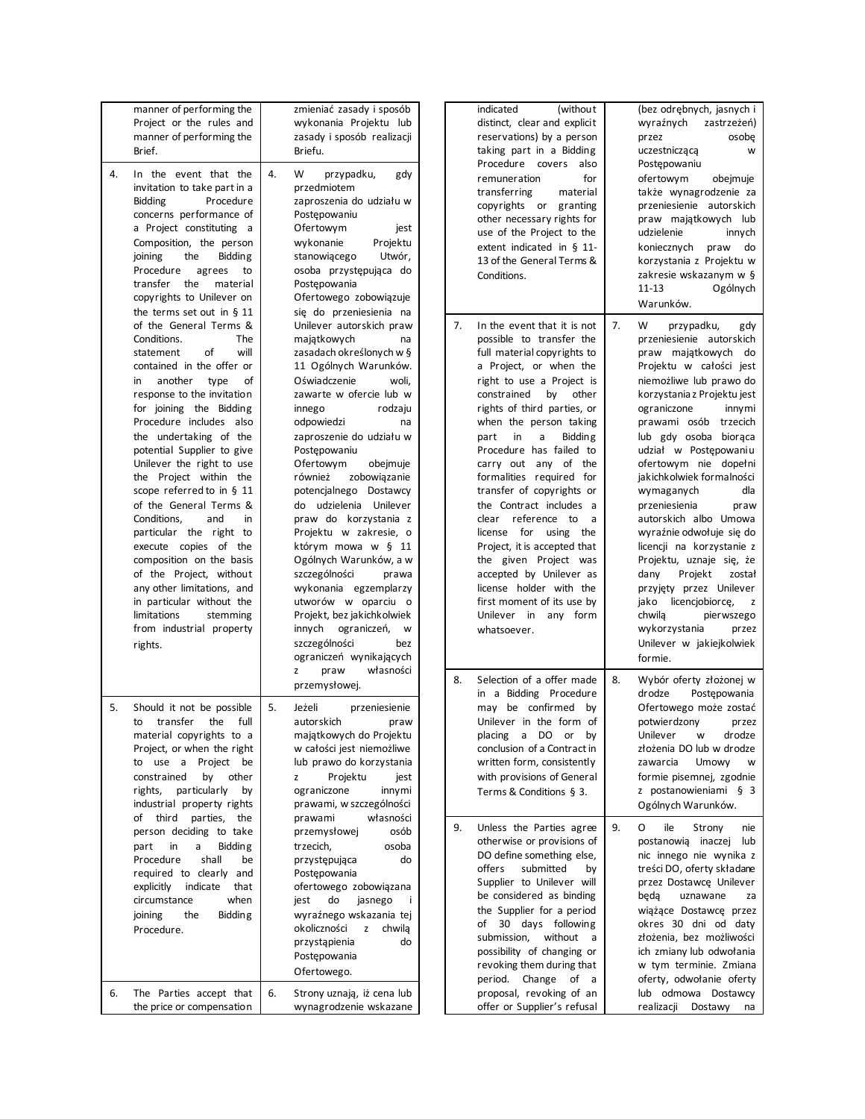|    | manner of performing the                            |    | zmieniać zasady i sposób   |    | (without)<br>indicated            |    | (bez odrębnych, jasnych i         |
|----|-----------------------------------------------------|----|----------------------------|----|-----------------------------------|----|-----------------------------------|
|    | Project or the rules and                            |    | wykonania Projektu lub     |    | distinct, clear and explicit      |    | wyraźnych<br>zastrzeżeń)          |
|    | manner of performing the                            |    | zasady i sposób realizacji |    | reservations) by a person         |    | osobe<br>przez                    |
|    | Brief.                                              |    | Briefu.                    |    | taking part in a Bidding          |    | uczestniczącą<br>W                |
|    |                                                     |    |                            |    | Procedure covers also             |    | Postępowaniu                      |
| 4. | In the event that the                               | 4. | W<br>przypadku,<br>gdy     |    | remuneration<br>for               |    | ofertowym<br>obejmuje             |
|    | invitation to take part in a                        |    | przedmiotem                |    | transferring<br>material          |    | także wynagrodzenie za            |
|    | <b>Bidding</b><br>Procedure                         |    | zaproszenia do udziału w   |    | copyrights or granting            |    | przeniesienie autorskich          |
|    | concerns performance of                             |    | Postępowaniu               |    | other necessary rights for        |    | praw majątkowych lub              |
|    | a Project constituting a                            |    | Ofertowym<br>jest          |    | use of the Project to the         |    | udzielenie<br>innych              |
|    | Composition, the person                             |    | wykonanie<br>Projektu      |    | extent indicated in § 11-         |    | koniecznych praw<br>do            |
|    | joining<br>the<br><b>Bidding</b>                    |    | stanowiącego<br>Utwór,     |    | 13 of the General Terms &         |    | korzystania z Projektu w          |
|    | Procedure<br>agrees<br>to                           |    | osoba przystępująca do     |    | Conditions.                       |    | zakresie wskazanym w §            |
|    | transfer the<br>material                            |    | Postępowania               |    |                                   |    | $11 - 13$<br>Ogólnych             |
|    | copyrights to Unilever on                           |    | Ofertowego zobowiązuje     |    |                                   |    | Warunków.                         |
|    | the terms set out in $§$ 11                         |    | się do przeniesienia na    |    |                                   |    |                                   |
|    | of the General Terms &                              |    | Unilever autorskich praw   | 7. | In the event that it is not       | 7. | W<br>przypadku,<br>gdy            |
|    | Conditions.<br>The                                  |    | majątkowych<br>na          |    | possible to transfer the          |    | przeniesienie autorskich          |
|    | of<br>will<br>statement                             |    | zasadach określonych w §   |    | full material copyrights to       |    | praw majątkowych do               |
|    | contained in the offer or                           |    | 11 Ogólnych Warunków.      |    | a Project, or when the            |    | Projektu w całości jest           |
|    | another type<br>οf<br>in                            |    | Oświadczenie<br>woli,      |    | right to use a Project is         |    | niemożliwe lub prawo do           |
|    | response to the invitation                          |    | zawarte w ofercie lub w    |    | constrained by other              |    | korzystania z Projektu jest       |
|    | for joining the Bidding                             |    | rodzaju<br>innego          |    | rights of third parties, or       |    | ograniczone<br>innymi             |
|    | Procedure includes also                             |    | odpowiedzi<br>na           |    | when the person taking            |    | prawami osób trzecich             |
|    | the undertaking of the                              |    | zaproszenie do udziału w   |    | in<br>a<br><b>Bidding</b><br>part |    | lub gdy osoba bioraca             |
|    | potential Supplier to give                          |    | Postepowaniu               |    | Procedure has failed to           |    | udział w Postępowaniu             |
|    | Unilever the right to use                           |    | Ofertowym<br>obejmuje      |    | carry out any of the              |    | ofertowym nie dopełni             |
|    | the Project within the                              |    | zobowiązanie<br>również    |    | formalities required for          |    | jakichkolwiek formalności         |
|    | scope referred to in § 11                           |    | potencjalnego Dostawcy     |    | transfer of copyrights or         |    | wymaganych<br>dla                 |
|    | of the General Terms &                              |    | do udzielenia Unilever     |    | the Contract includes a           |    | przeniesienia<br>praw             |
|    |                                                     |    |                            |    | clear reference to                |    |                                   |
|    | Conditions,<br>and<br>in<br>particular the right to |    | praw do korzystania z      |    | a<br>license for using the        |    | autorskich albo Umowa             |
|    |                                                     |    | Projektu w zakresie, o     |    |                                   |    | wyraźnie odwołuje się do          |
|    | execute copies of the                               |    | którym mowa w § 11         |    | Project, it is accepted that      |    | licencji na korzystanie z         |
|    | composition on the basis                            |    | Ogólnych Warunków, a w     |    | the given Project was             |    | Projektu, uznaje się, że          |
|    | of the Project, without                             |    | szczególności<br>prawa     |    | accepted by Unilever as           |    | dany<br>Projekt<br>został         |
|    | any other limitations, and                          |    | wykonania egzemplarzy      |    | license holder with the           |    | przyjęty przez Unilever           |
|    | in particular without the                           |    | utworów w oparciu o        |    | first moment of its use by        |    | jako licencjobiorcę,<br>z         |
|    | limitations<br>stemming                             |    | Projekt, bez jakichkolwiek |    | Unilever in any form              |    | chwila<br>pierwszego              |
|    | from industrial property                            |    | innych ograniczeń, w       |    | whatsoever.                       |    | wykorzystania<br>przez            |
|    | rights.                                             |    | szczególności<br>bez       |    |                                   |    | Unilever w jakiejkolwiek          |
|    |                                                     |    | ograniczeń wynikających    |    |                                   |    | formie.                           |
|    |                                                     |    | praw<br>własności<br>z     | 8. | Selection of a offer made         | 8. |                                   |
|    |                                                     |    | przemysłowej.              |    | in a Bidding Procedure            |    | Wybór oferty złożonej w<br>drodze |
|    |                                                     |    |                            |    |                                   |    | Postępowania                      |
| 5. | Should it not be possible                           | 5. | Jeżeli<br>przeniesienie    |    | may be confirmed by               |    | Ofertowego może zostać            |
|    | to transfer the full                                |    | autorskich<br>praw         |    | Unilever in the form of           |    | potwierdzony<br>przez             |
|    | material copyrights to a                            |    | majątkowych do Projektu    |    | placing a DO or by                |    | Unilever w drodze                 |
|    | Project, or when the right                          |    | w całości jest niemożliwe  |    | conclusion of a Contract in       |    | złożenia DO lub w drodze          |
|    | to use a Project be                                 |    | lub prawo do korzystania   |    | written form, consistently        |    | Umowy<br>zawarcia<br>w            |
|    | constrained<br>by<br>other                          |    | Projektu<br>jest<br>z      |    | with provisions of General        |    | formie pisemnej, zgodnie          |
|    | rights, particularly<br>by                          |    | ograniczone<br>innymi      |    | Terms & Conditions § 3.           |    | z postanowieniami § 3             |
|    | industrial property rights                          |    | prawami, w szczególności   |    |                                   |    | Ogólnych Warunków.                |
|    | of third parties, the                               |    | własności<br>prawami       |    |                                   |    |                                   |
|    | person deciding to take                             |    | osób<br>przemysłowej       | 9. | Unless the Parties agree          | 9. | O<br>ile<br>Strony<br>nie         |
|    | part<br>in<br>a<br><b>Bidding</b>                   |    | trzecich,<br>osoba         |    | otherwise or provisions of        |    | postanowią inaczej lub            |
|    | Procedure<br>shall<br>be                            |    | przystępująca<br>do        |    | DO define something else,         |    | nic innego nie wynika z           |
|    | required to clearly and                             |    | Postępowania               |    | offers<br>submitted<br>by         |    | treści DO, oferty składane        |
|    | indicate that<br>explicitly                         |    | ofertowego zobowiązana     |    | Supplier to Unilever will         |    | przez Dostawcę Unilever           |
|    | circumstance<br>when                                |    | jasnego<br>jest<br>do      |    | be considered as binding          |    | beda<br>uznawane<br>za            |
|    | <b>Bidding</b><br>joining<br>the                    |    | wyraźnego wskazania tej    |    | the Supplier for a period         |    | wiążące Dostawcę przez            |
|    | Procedure.                                          |    | okoliczności<br>z chwila   |    | of 30 days following              |    | okres 30 dni od daty              |
|    |                                                     |    | przystąpienia<br>do        |    | submission, without a             |    | złożenia, bez możliwości          |
|    |                                                     |    | Postępowania               |    | possibility of changing or        |    | ich zmiany lub odwołania          |
|    |                                                     |    | Ofertowego.                |    | revoking them during that         |    | w tym terminie. Zmiana            |
|    |                                                     |    |                            |    | period. Change of a               |    | oferty, odwołanie oferty          |
| 6. | The Parties accept that                             | 6. | Strony uznają, iż cena lub |    | proposal, revoking of an          |    | lub odmowa Dostawcy               |
|    | the price or compensation                           |    | wynagrodzenie wskazane     |    | offer or Supplier's refusal       |    | realizacji Dostawy na             |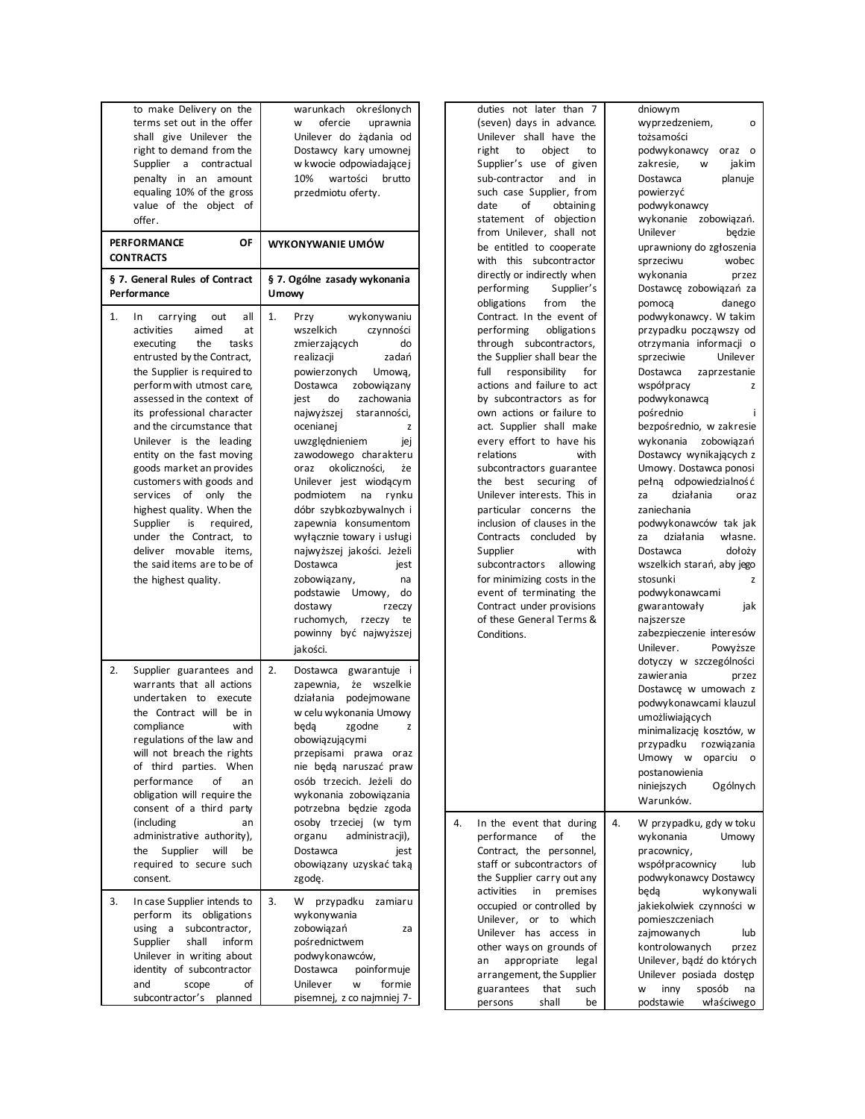| to make Delivery on the<br>terms set out in the offer<br>shall give Unilever the<br>right to demand from the<br>Supplier<br>a<br>contractual<br>penalty in<br>an<br>amount<br>equaling 10% of the gross<br>value of the object<br>of<br>offer.                                                                                                                                                                                                                                                                                                                                                             | określonych<br>warunkach<br>ofercie<br>uprawnia<br>w<br>Unilever do zadania od<br>Dostawcy kary umownej<br>w kwocie odpowiadające j<br>10%<br>wartości<br>brutto<br>przedmiotu oferty.                                                                                                                                                                                                                                                                                                                                                                                                                                                            |
|------------------------------------------------------------------------------------------------------------------------------------------------------------------------------------------------------------------------------------------------------------------------------------------------------------------------------------------------------------------------------------------------------------------------------------------------------------------------------------------------------------------------------------------------------------------------------------------------------------|---------------------------------------------------------------------------------------------------------------------------------------------------------------------------------------------------------------------------------------------------------------------------------------------------------------------------------------------------------------------------------------------------------------------------------------------------------------------------------------------------------------------------------------------------------------------------------------------------------------------------------------------------|
| <b>PERFORMANCE</b><br>ΟF<br><b>CONTRACTS</b>                                                                                                                                                                                                                                                                                                                                                                                                                                                                                                                                                               | WYKONYWANIE UMÓW                                                                                                                                                                                                                                                                                                                                                                                                                                                                                                                                                                                                                                  |
| § 7. General Rules of Contract<br>Performance                                                                                                                                                                                                                                                                                                                                                                                                                                                                                                                                                              | § 7. Ogólne zasady wykonania<br><b>Umowy</b>                                                                                                                                                                                                                                                                                                                                                                                                                                                                                                                                                                                                      |
| 1.<br>In<br>carrying<br>out<br>all<br>activities<br>aimed<br>at<br>executing<br>the<br>tasks<br>entrusted by the Contract,<br>the Supplier is required to<br>perform with utmost care.<br>assessed in the context of<br>its professional character<br>and the circumstance that<br>Unilever is the leading<br>entity on the fast moving<br>goods market an provides<br>customers with goods and<br>services<br>of<br>only<br>the<br>highest quality. When the<br>Supplier<br>is<br>required,<br>under the Contract,<br>to<br>deliver movable items,<br>the said items are to be of<br>the highest quality. | 1.<br>wykonywaniu<br>Przy<br>wszelkich<br>czynności<br>zmierzających<br>do<br>zadań<br>realizacji<br>powierzonych<br>Umowa,<br>Dostawca<br>zobowiązany<br>zachowania<br>do<br>jest<br>najwyższej<br>staranności,<br>ocenianej<br>z<br>uwzględnieniem<br>jej<br>zawodowego charakteru<br>okoliczności,<br>żе<br>oraz<br>Unilever jest wiodącym<br>podmiotem<br>na<br>rynku<br>dóbr szybkozbywalnych i<br>zapewnia konsumentom<br>wyłącznie towary i usługi<br>najwyższej jakości. Jeżeli<br>Dostawca<br>jest<br>zobowiązany,<br>na<br>podstawie Umowy,<br>do<br>dostawy<br>rzeczy<br>ruchomych, rzeczy<br>te<br>powinny być najwyższej<br>jakości. |
| 2.<br>Supplier guarantees and<br>warrants that all actions<br>undertaken to<br>execute<br>the Contract will be in<br>compliance<br>with<br>regulations of the law and<br>will not breach the rights<br>of third parties. When<br>performance<br>οf<br>an<br>obligation will require the<br>consent of a third party<br>(including<br>an<br>administrative authority),<br>Supplier<br>will<br>be<br>the<br>required to secure such<br>consent.                                                                                                                                                              | 2.<br>Dostawca gwarantuje i<br>zapewnia,<br>wszelkie<br>że<br>działania<br>podejmowane<br>w celu wykonania Umowy<br>beda<br>zgodne<br>z<br>obowiązującymi<br>przepisami<br>prawa<br>oraz<br>nie będą naruszać praw<br>osób trzecich. Jeżeli do<br>wykonania zobowiązania<br>potrzebna będzie zgoda<br>osoby trzeciej (w tym<br>organu<br>administracji),<br>Dostawca<br>jest<br>obowiązany uzyskać taką<br>zgodę.                                                                                                                                                                                                                                 |
| 3.<br>In case Supplier intends to<br>perform<br>its obligations<br>using<br>subcontractor,<br>a<br>inform<br>Supplier<br>shall<br>Unilever in writing about<br>identity of subcontractor<br>and<br>scope<br>οf<br>subcontractor's<br>planned                                                                                                                                                                                                                                                                                                                                                               | 3.<br>W<br>przypadku<br>zamiaru<br>wykonywania<br>zobowiązań<br>za<br>pośrednictwem<br>podwykonawców,<br>Dostawca<br>poinformuje<br>Unilever<br>formie<br>W<br>pisemnej, z co najmniej 7-                                                                                                                                                                                                                                                                                                                                                                                                                                                         |

duties not later than 7 (seven) days in advance. Unilever shall have the right to object to Supplier's use of given sub-contractor and in such case Supplier, from date of obtaining statement of objection from Unilever, shall not be entitled to cooperate with this subcontractor directly or indirectly when performing Supplier's obligations from the Contract. In the event of performing obligations through subcontractors, the Supplier shall bear the full responsibility for actions and failure to act by subcontractors as for own actions or failure to act. Supplier shall make every effort to have his relations with subcontractors guarantee the best securing of Unilever interests. This in particular concerns the inclusion of clauses in the Contracts concluded by Supplier with subcontractors allowing for minimizing costs in the event of terminating the Contract under provisions of these General Terms & Conditions. dniowym wyprzedzeniem, o tożsamości podwykonawcy oraz o zakresie, w jakim Dostawca planuje powierzyć podwykonawcy wykonanie zobowiązań. Unilever będzie uprawniony do zgłoszenia sprzeciwu wobec wykonania przez Dostawcę zobowiązań za pomocą danego podwykonawcy. W takim przypadku począwszy od otrzymania informacji o sprzeciwie Unilever Dostawca zaprzestanie współpracy z podwykonawcą pośrednio i bezpośrednio, w zakresie wykonania zobowiązań Dostawcy wynikających z Umowy. Dostawca ponosi pełną odpowiedzialność za działania oraz zaniechania podwykonawców tak jak<br>za działania własne. za działania Dostawca dołoży wszelkich starań, aby jego stosunki z podwykonawcami gwarantowały jak najszersze zabezpieczenie interesów Unilever. Powyższe dotyczy w szczególności zawierania przez Dostawcę w umowach z podwykonawcami klauzul umożliwiających minimalizację kosztów, w przypadku rozwiązania Umowy w oparciu o postanowienia niniejszych Ogólnych Warunków. 4. In the event that during performance of the Contract, the personnel, staff or subcontractors of the Supplier carry out any activities in premises occupied or controlled by Unilever, or to which Unilever has access in other ways on grounds of an appropriate legal 4. W przypadku, gdy w toku wykonania Umowy pracownicy, współpracownicy lub podwykonawcy Dostawcy będą wykonywali jakiekolwiek czynności w pomieszczeniach zajmowanych lub kontrolowanych przez Unilever, bądź do których

arrangement, the Supplier guarantees that such persons shall be

Unilever posiada dostęp w inny sposób na podstawie właściwego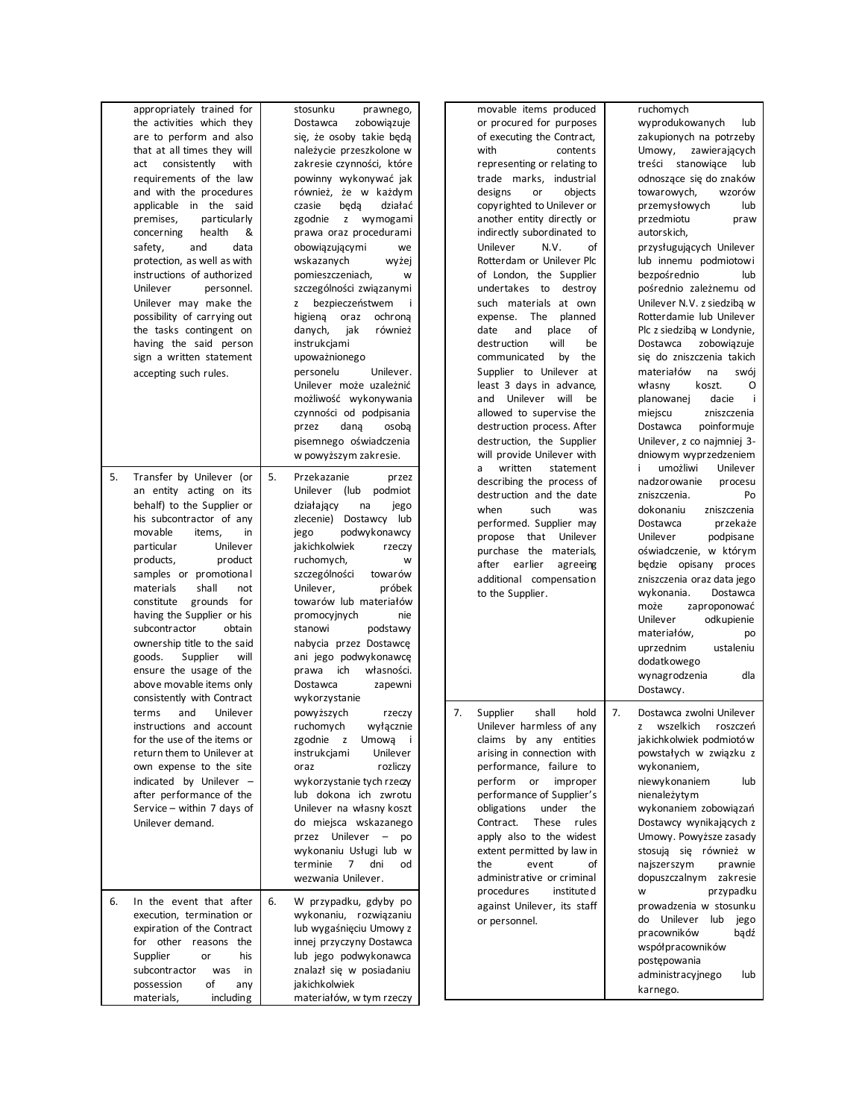|    | appropriately trained for    |    | stosunku<br>prawnego,           |    | movable items produced      |    | ruchomych                  |
|----|------------------------------|----|---------------------------------|----|-----------------------------|----|----------------------------|
|    |                              |    | zobowiązuje                     |    |                             |    | wyprodukowanych            |
|    | the activities which they    |    | Dostawca                        |    | or procured for purposes    |    | lub                        |
|    | are to perform and also      |    | się, że osoby takie będą        |    | of executing the Contract,  |    | zakupionych na potrzeby    |
|    | that at all times they will  |    | należycie przeszkolone w        |    | with<br>contents            |    | Umowy,<br>zawierających    |
|    | consistently<br>with<br>act  |    | zakresie czynności, które       |    | representing or relating to |    | treści stanowiące<br>lub   |
|    | requirements of the law      |    | powinny wykonywać jak           |    | trade marks, industrial     |    | odnoszące się do znaków    |
|    | and with the procedures      |    | również, że w każdym            |    | objects<br>designs<br>or    |    | towarowych,<br>wzorów      |
|    | applicable in the said       |    | beda<br>działać<br>czasie       |    | copyrighted to Unilever or  |    | przemysłowych<br>lub       |
|    |                              |    |                                 |    |                             |    |                            |
|    | premises,<br>particularly    |    | zgodnie<br>z wymogami           |    | another entity directly or  |    | przedmiotu<br>praw         |
|    | health<br>concerning<br>&    |    | prawa oraz procedurami          |    | indirectly subordinated to  |    | autorskich,                |
|    | safety,<br>and<br>data       |    | obowiązującymi<br>we            |    | Unilever<br>N.V.<br>of      |    | przysługujących Unilever   |
|    | protection, as well as with  |    | wskazanych<br>wyżej             |    | Rotterdam or Unilever Plc   |    | lub innemu podmiotowi      |
|    | instructions of authorized   |    | pomieszczeniach,<br>W           |    | of London, the Supplier     |    | bezpośrednio<br>lub        |
|    | Unilever                     |    |                                 |    | destroy                     |    | pośrednio zależnemu od     |
|    | personnel.                   |    | szczególności związanymi        |    | undertakes to               |    |                            |
|    | Unilever may make the        |    | bezpieczeństwem<br>z            |    | such materials at own       |    | Unilever N.V. z siedziba w |
|    | possibility of carrying out  |    | higiena oraz<br>ochrona         |    | expense. The<br>planned     |    | Rotterdamie lub Unilever   |
|    | the tasks contingent on      |    | danych,<br>jak<br>również       |    | date<br>and<br>place<br>of  |    | Plc z siedzibą w Londynie, |
|    | having the said person       |    | instrukcjami                    |    | destruction<br>will<br>be   |    | Dostawca<br>zobowiązuje    |
|    | sign a written statement     |    | upoważnionego                   |    | by<br>communicated<br>the   |    | się do zniszczenia takich  |
|    |                              |    |                                 |    |                             |    |                            |
|    | accepting such rules.        |    | personelu<br>Unilever.          |    | Supplier to Unilever at     |    | materiałów<br>na<br>swój   |
|    |                              |    | Unilever może uzależnić         |    | least 3 days in advance,    |    | koszt.<br>O<br>własny      |
|    |                              |    | możliwość wykonywania           |    | and Unilever will<br>be     |    | planowanej<br>dacie<br>÷   |
|    |                              |    | czynności od podpisania         |    | allowed to supervise the    |    | miejscu<br>zniszczenia     |
|    |                              |    | przez<br>dana<br>osoba          |    | destruction process. After  |    | Dostawca<br>poinformuje    |
|    |                              |    |                                 |    |                             |    | Unilever, z co najmniej 3- |
|    |                              |    | pisemnego oświadczenia          |    | destruction, the Supplier   |    |                            |
|    |                              |    | w powyższym zakresie.           |    | will provide Unilever with  |    | dniowym wyprzedzeniem      |
|    |                              |    |                                 |    | written<br>statement<br>a   |    | umożliwi<br>Unilever       |
| 5. | Transfer by Unilever (or     | 5. | Przekazanie<br>przez            |    | describing the process of   |    | nadzorowanie<br>procesu    |
|    | an entity acting on its      |    | (lub<br>Unilever<br>podmiot     |    | destruction and the date    |    | zniszczenia.<br>Po         |
|    | behalf) to the Supplier or   |    | działający<br>na<br>jego        |    | when<br>such<br>was         |    | dokonaniu<br>zniszczenia   |
|    | his subcontractor of any     |    | zlecenie) Dostawcy lub          |    |                             |    |                            |
|    | movable<br>items,<br>in      |    | podwykonawcy<br>jego            |    | performed. Supplier may     |    | Dostawca<br>przekaże       |
|    |                              |    |                                 |    | propose that Unilever       |    | Unilever<br>podpisane      |
|    | Unilever<br>particular       |    | jakichkolwiek<br>rzeczy         |    | purchase the materials,     |    | oświadczenie, w którym     |
|    | products,<br>product         |    | ruchomych,<br>w                 |    | after earlier<br>agreeing   |    | będzie opisany proces      |
|    | samples or promotional       |    | szczególności<br>towarów        |    | additional compensation     |    | zniszczenia oraz data jego |
|    | shall<br>materials<br>not    |    | Unilever,<br>próbek             |    |                             |    |                            |
|    | constitute<br>grounds<br>for |    | towarów lub materiałów          |    | to the Supplier.            |    | wykonania.<br>Dostawca     |
|    | having the Supplier or his   |    | promocyjnych<br>nie             |    |                             |    | może<br>zaproponować       |
|    |                              |    |                                 |    |                             |    | Unilever<br>odkupienie     |
|    | subcontractor<br>obtain      |    | stanowi<br>podstawy             |    |                             |    | materiałów,<br>po          |
|    | ownership title to the said  |    | nabycia przez Dostawcę          |    |                             |    | uprzednim<br>ustaleniu     |
|    | goods.<br>Supplier<br>will   |    | ani jego podwykonawcę           |    |                             |    | dodatkowego                |
|    | ensure the usage of the      |    | ich<br>własności.<br>prawa      |    |                             |    | dla                        |
|    | above movable items only     |    | Dostawca<br>zapewni             |    |                             |    | wynagrodzenia              |
|    | consistently with Contract   |    | wykorzystanie                   |    |                             |    | Dostawcy.                  |
|    |                              |    |                                 |    |                             |    |                            |
|    | Unilever<br>terms<br>and     |    | powyższych<br>rzeczy            | 7. | shall<br>Supplier<br>hold   | 7. | Dostawca zwolni Unilever   |
|    | instructions and account     |    | ruchomych<br>wyłącznie          |    | Unilever harmless of any    |    | wszelkich<br>roszczeń<br>z |
|    | for the use of the items or  |    | zgodnie z Umową<br>$\mathbf{i}$ |    | claims by any entities      |    | jakichkolwiek podmiotów    |
|    | return them to Unilever at   |    | instrukcjami<br>Unilever        |    | arising in connection with  |    | powstałych w związku z     |
|    | own expense to the site      |    | rozliczy<br>oraz                |    | performance, failure to     |    | wykonaniem,                |
|    |                              |    | wykorzystanie tych rzeczy       |    |                             |    |                            |
|    | indicated by Unilever -      |    |                                 |    | perform or improper         |    | niewykonaniem<br>lub       |
|    | after performance of the     |    | lub dokona ich zwrotu           |    | performance of Supplier's   |    | nienależytym               |
|    | Service - within 7 days of   |    | Unilever na własny koszt        |    | obligations<br>under<br>the |    | wykonaniem zobowiązań      |
|    | Unilever demand.             |    | do miejsca wskazanego           |    | Contract.<br>These<br>rules |    | Dostawcy wynikających z    |
|    |                              |    | przez Unilever – po             |    | apply also to the widest    |    | Umowy. Powyższe zasady     |
|    |                              |    | wykonaniu Usługi lub w          |    | extent permitted by law in  |    | stosują się również w      |
|    |                              |    | 7 dni                           |    |                             |    |                            |
|    |                              |    | terminie<br>od                  |    | event<br>the<br>οf          |    | najszerszym<br>prawnie     |
|    |                              |    | wezwania Unilever.              |    | administrative or criminal  |    | dopuszczalnym zakresie     |
|    |                              |    |                                 |    | procedures<br>institute d   |    | przypadku<br>W             |
| 6. | In the event that after      | 6. | W przypadku, gdyby po           |    | against Unilever, its staff |    | prowadzenia w stosunku     |
|    | execution, termination or    |    | wykonaniu, rozwiązaniu          |    | or personnel.               |    | do Unilever lub jego       |
|    | expiration of the Contract   |    | lub wygaśnięciu Umowy z         |    |                             |    | pracowników<br>bądź        |
|    | for other reasons the        |    | innej przyczyny Dostawca        |    |                             |    |                            |
|    | Supplier<br>his<br>or        |    | lub jego podwykonawca           |    |                             |    | współpracowników           |
|    |                              |    |                                 |    |                             |    | postępowania               |
|    | subcontractor<br>was<br>in   |    | znalazł się w posiadaniu        |    |                             |    | administracyjnego<br>lub   |
|    |                              |    |                                 |    |                             |    |                            |
|    | of<br>possession<br>any      |    | jakichkolwiek                   |    |                             |    | karnego.                   |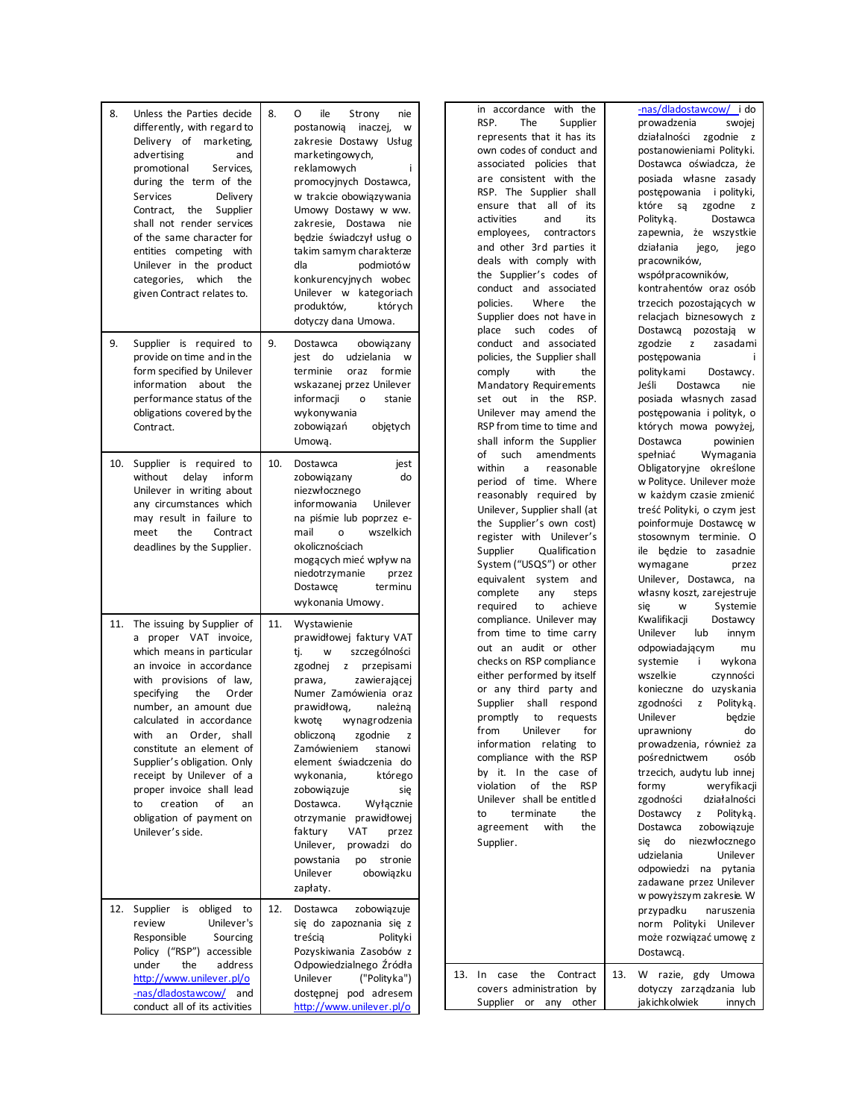| 8.  | Unless the Parties decide<br>differently, with regard to<br>Delivery of marketing,<br>advertising<br>and<br>promotional<br>Services,<br>during the term of the<br>Services<br>Delivery<br>Contract,<br>the<br>Supplier<br>shall not render services<br>of the same character for<br>entities competing<br>with<br>Unilever in the product<br>categories,<br>which<br>the<br>given Contract relates to.                                                  | 8.  | ile<br>O<br>Strony<br>nie<br>postanowią<br>inaczej,<br>w<br>zakresie Dostawy Usług<br>marketingowych,<br>reklamowych<br>i<br>promocyjnych Dostawca,<br>w trakcie obowiązywania<br>Umowy Dostawy w ww.<br>zakresie, Dostawa<br>nie<br>będzie świadczył usług o<br>takim samym charakterze<br>dla<br>podmiotó w<br>konkurencyjnych wobec<br>Unilever w kategoriach<br>produktów,<br>których<br>dotyczy dana Umowa.                                                                                                                  |
|-----|---------------------------------------------------------------------------------------------------------------------------------------------------------------------------------------------------------------------------------------------------------------------------------------------------------------------------------------------------------------------------------------------------------------------------------------------------------|-----|-----------------------------------------------------------------------------------------------------------------------------------------------------------------------------------------------------------------------------------------------------------------------------------------------------------------------------------------------------------------------------------------------------------------------------------------------------------------------------------------------------------------------------------|
| 9.  | Supplier is required to<br>provide on time and in the<br>form specified by Unilever<br>information about<br>the<br>performance status of the<br>obligations covered by the<br>Contract.                                                                                                                                                                                                                                                                 | 9.  | obowiązany<br>Dostawca<br>udzielania<br>jest<br>do<br>W<br>terminie<br>oraz<br>formie<br>wskazanej przez Unilever<br>informacji<br>o<br>stanie<br>wykonywania<br>zobowiązań<br>objętych<br>Umową.                                                                                                                                                                                                                                                                                                                                 |
| 10. | Supplier is required to<br>delay<br>without<br>inform<br>Unilever in writing about<br>any circumstances which<br>may result in failure to<br>the<br>Contract<br>meet<br>deadlines by the Supplier.                                                                                                                                                                                                                                                      | 10. | Dostawca<br>jest<br>zobowiązany<br>do<br>niezwłocznego<br>informowania<br>Unilever<br>na piśmie lub poprzez e-<br>wszelkich<br>mail<br>o<br>okolicznościach<br>mogących mieć wpływ na<br>niedotrzymanie<br>przez<br>Dostawce<br>terminu<br>wykonania Umowy.                                                                                                                                                                                                                                                                       |
| 11. | The issuing by Supplier of<br>proper VAT invoice,<br>a<br>which means in particular<br>an invoice in accordance<br>with provisions of law,<br>specifying<br>the<br>Order<br>number, an amount due<br>calculated in accordance<br>with an Order, shall<br>constitute an element of<br>Supplier's obligation. Only<br>receipt by Unilever of a<br>proper invoice shall lead<br>creation<br>to<br>of<br>an<br>obligation of payment on<br>Unilever's side. | 11. | Wystawienie<br>prawidłowej faktury VAT<br>szczególności<br>ti.<br><b>W</b><br>zgodnej z<br>przepisami<br>zawierającej<br>prawa,<br>Numer Zamówienia oraz<br>prawidłową,<br>należną<br>wynagrodzenia<br>kwote<br>obliczona zgodnie z<br>Zamówieniem<br>stanowi<br>element świadczenia do<br>wykonania,<br>którego<br>zobowiązuje<br>się<br>Dostawca.<br>Wyłącznie<br>otrzymanie<br>prawidłowej<br><b>VAT</b><br>faktury<br>przez<br>Unilever,<br>prowadzi<br>do<br>powstania<br>stronie<br>po<br>Unilever<br>obowiązku<br>zapłaty. |
| 12. | obliged<br>Supplier<br>is<br>to<br>review<br>Unilever's<br>Responsible<br>Sourcing<br>Policy ("RSP") accessible<br>under<br>the<br>address<br>http://www.unilever.pl/o<br>-nas/dladostawcow/<br>and<br>conduct all of its activities                                                                                                                                                                                                                    | 12. | Dostawca<br>zobowiązuje<br>się do zapoznania się z<br>treścia<br>Polityki<br>Pozyskiwania Zasobów z<br>Odpowiedzialnego Źródła<br>("Polityka")<br>Unilever<br>dostepnej pod adresem<br>http://www.unilever.pl/o                                                                                                                                                                                                                                                                                                                   |

in accordance with the RSP. The Supplier represents that it has its own codes of conduct and associated policies that are consistent with the RSP. The Supplier shall ensure that all of its activities and its employees, contractors and other 3rd parties it deals with comply with the Supplier's codes of conduct and associated policies. Where the Supplier does not have in place such codes of conduct and associated policies, the Supplier shall comply with the Mandatory Requirements set out in the RSP. Unilever may amend the RSP from time to time and shall inform the Supplier of such amendments within a reasonable period of time. Where reasonably required by Unilever, Supplier shall (at the Supplier's own cost) register with Unilever's Supplier Qualification System ("USQS") or other equivalent system and complete any steps required to achieve compliance. Unilever may from time to time carry out an audit or other checks on RSP compliance either performed by itself or any third party and Supplier shall respond promptly to requests from Unilever for information relating to compliance with the RSP by it. In the case of violation of the RSP Unilever shall be entitled to terminate the agreement with the Supplier. 13. In case the Contract covers administration by

Supplier or any other

[-nas/dladostawcow/](http://www.unilever.pl/o-nas/dladostawcow/) i do prowadzenia swojej działalności zgodnie z postanowieniami Polityki. Dostawca oświadcza, że posiada własne zasady postępowania i polityki, które są zgodne z Polityką. Dostawca zapewnia, że wszystkie działania jego, jego pracowników, współpracowników, kontrahentów oraz osób trzecich pozostających w relacjach biznesowych z Dostawcą pozostają w zgodzie z zasadami postępowania politykami Dostawcy. Jeśli Dostawca nie posiada własnych zasad postępowania i polityk, o których mowa powyżej, Dostawca powinien spełniać Wymagania Obligatoryjne określone w Polityce. Unilever może w każdym czasie zmienić treść Polityki, o czym jest poinformuje Dostawcę w stosownym terminie. O ile będzie to zasadnie wymagane przez Unilever, Dostawca, na własny koszt, zarejestruje się w Systemie<br>Kwalifikacji Dostawcy Kwalifikacji Unilever lub innym odpowiadającym mu systemie i wykona wszelkie czynności konieczne do uzyskania zgodności z Polityką. Unilever będzie uprawniony do prowadzenia, również za pośrednictwem osób trzecich, audytu lub innej formy weryfikacji zgodności działalności Dostawcy z Polityką. Dostawca zobowiązuje się do niezwłocznego udzielania Unilever odpowiedzi na pytania zadawane przez Unilever w powyższym zakresie. W przypadku naruszenia norm Polityki Unilever może rozwiązać umowę z Dostawcą. 13. W razie, gdy Umowa dotyczy zarządzania lub

jakichkolwiek innych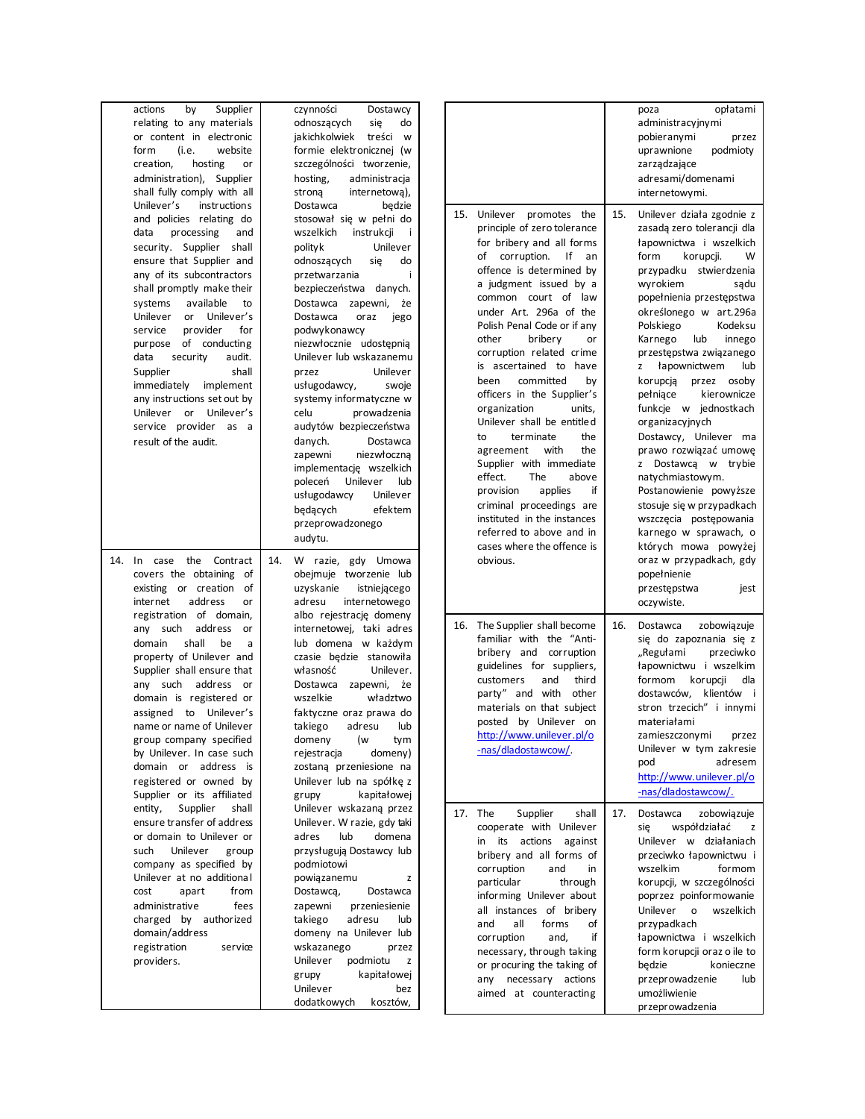| actions<br>by<br>relating to any materials<br>or content in electronic<br>form<br>(i.e.<br>creation,<br>hosting<br>administration), Supplier<br>shall fully comply with all                                                                                                                                                                                                                                                           | Supplier<br>website<br>or                                             | czynności<br>Dostawcy<br>odnoszących<br>się<br>do<br>treści w<br>jakichkolwiek<br>formie elektronicznej (w<br>szczególności tworzenie,<br>hosting,<br>administracja<br>internetowa),<br>strona                                                                                                                                                                                                                                                                                                                                                                                                                                   |     |                                                                                                                                                                                                                                                                                                                                                                                                                                                                                                                                                                                                                                                                                                                       |     | opłatami<br>poza<br>administracyjnymi<br>pobieranymi<br>przez<br>podmioty<br>uprawnione<br>zarządzające<br>adresami/domenami<br>internetowymi.                                                                                                                                                                                                                                                                                                                                                                                                                                                                                                               |
|---------------------------------------------------------------------------------------------------------------------------------------------------------------------------------------------------------------------------------------------------------------------------------------------------------------------------------------------------------------------------------------------------------------------------------------|-----------------------------------------------------------------------|----------------------------------------------------------------------------------------------------------------------------------------------------------------------------------------------------------------------------------------------------------------------------------------------------------------------------------------------------------------------------------------------------------------------------------------------------------------------------------------------------------------------------------------------------------------------------------------------------------------------------------|-----|-----------------------------------------------------------------------------------------------------------------------------------------------------------------------------------------------------------------------------------------------------------------------------------------------------------------------------------------------------------------------------------------------------------------------------------------------------------------------------------------------------------------------------------------------------------------------------------------------------------------------------------------------------------------------------------------------------------------------|-----|--------------------------------------------------------------------------------------------------------------------------------------------------------------------------------------------------------------------------------------------------------------------------------------------------------------------------------------------------------------------------------------------------------------------------------------------------------------------------------------------------------------------------------------------------------------------------------------------------------------------------------------------------------------|
| Unilever's<br>and policies relating do<br>processing<br>data<br>security. Supplier shall<br>ensure that Supplier and<br>any of its subcontractors<br>shall promptly make their<br>available<br>systems<br>Unilever<br>provider<br>service<br>purpose of conducting<br>data<br>security<br>Supplier<br>immediately implement<br>any instructions set out by<br>Unilever or Unilever's<br>service provider as a<br>result of the audit. | instruction s<br>and<br>to<br>or Unilever's<br>for<br>audit.<br>shall | Dostawca<br>będzie<br>stosował się w pełni do<br>wszelkich<br>instrukcji<br>-i<br>polityk<br>Unilever<br>odnoszących<br>się<br>do<br>przetwarzania<br>Ť<br>bezpieczeństwa danych.<br>Dostawca zapewni, że<br>Dostawca<br>oraz<br>jego<br>podwykonawcy<br>niezwłocznie udostępnią<br>Unilever lub wskazanemu<br>Unilever<br>przez<br>usługodawcy,<br>swoje<br>systemy informatyczne w<br>celu<br>prowadzenia<br>audytów bezpieczeństwa<br>danych.<br>Dostawca<br>niezwłoczną<br>zapewni<br>implementację wszelkich<br>Unilever<br>poleceń<br>lub<br>Unilever<br>usługodawcy<br>będących<br>efektem<br>przeprowadzonego<br>audytu. | 15. | Unilever promotes the<br>principle of zero tolerance<br>for bribery and all forms<br>of corruption.<br>Ιf<br>an<br>offence is determined by<br>a judgment issued by a<br>common court of law<br>under Art. 296a of the<br>Polish Penal Code or if any<br>other<br>bribery<br>or<br>corruption related crime<br>is ascertained to have<br>committed<br>been<br>by<br>officers in the Supplier's<br>organization<br>units,<br>Unilever shall be entitled<br>terminate<br>the<br>to<br>the<br>agreement<br>with<br>Supplier with immediate<br>effect.<br>The<br>above<br>provision<br>applies<br>if<br>criminal proceedings are<br>instituted in the instances<br>referred to above and in<br>cases where the offence is | 15. | Unilever działa zgodnie z<br>zasadą zero tolerancji dla<br>łapownictwa i wszelkich<br>form<br>korupcji.<br>W<br>przypadku stwierdzenia<br>wyrokiem<br>sądu<br>popełnienia przestępstwa<br>określonego w art.296a<br>Kodeksu<br>Polskiego<br>Karnego<br>lub<br>innego<br>przestępstwa związanego<br>łapownictwem<br>z<br>lub<br>korupcja<br>przez osoby<br>kierownicze<br>pełniące<br>funkcje w jednostkach<br>organizacyjnych<br>Dostawcy, Unilever ma<br>prawo rozwiązać umowę<br>z Dostawcą w trybie<br>natychmiastowym.<br>Postanowienie powyższe<br>stosuje się w przypadkach<br>wszczęcia postępowania<br>karnego w sprawach, o<br>których mowa powyżej |
| 14. In case the<br>covers the obtaining of<br>existing or creation of<br>internet<br>address                                                                                                                                                                                                                                                                                                                                          | Contract<br>14.<br>or                                                 | W razie, gdy Umowa<br>obejmuje tworzenie lub<br>uzyskanie<br>istniejącego<br>adresu<br>internetowego                                                                                                                                                                                                                                                                                                                                                                                                                                                                                                                             |     | obvious.                                                                                                                                                                                                                                                                                                                                                                                                                                                                                                                                                                                                                                                                                                              |     | oraz w przypadkach, gdy<br>popełnienie<br>przestępstwa<br>jest<br>oczywiste.                                                                                                                                                                                                                                                                                                                                                                                                                                                                                                                                                                                 |
| registration of domain,<br>any such<br>shall<br>domain<br>property of Unilever and<br>Supplier shall ensure that<br>any such address or<br>domain is registered or<br>assigned to Unilever's<br>name or name of Unilever<br>group company specified<br>by Unilever. In case such<br>domain or address is<br>registered or owned by<br>Supplier or its affiliated                                                                      | address<br>or<br>be<br>a                                              | albo rejestrację domeny<br>internetowej, taki adres<br>lub domena w każdym<br>czasie będzie stanowiła<br>własność<br>Unilever.<br>Dostawca<br>zapewni, że<br>wszelkie<br>władztwo<br>faktyczne oraz prawa do<br>takiego<br>adresu<br>lub<br>domeny<br>(w<br>tym<br>rejestracja<br>domeny)<br>zostaną przeniesione na<br>Unilever lub na spółkę z<br>kapitałowej<br>grupy                                                                                                                                                                                                                                                         |     | 16. The Supplier shall become<br>familiar with the "Anti-<br>bribery and corruption<br>guidelines for suppliers,<br>customers<br>and<br>third<br>party" and with other<br>materials on that subject<br>posted by Unilever on<br>http://www.unilever.pl/o<br>-nas/dladostawcow/                                                                                                                                                                                                                                                                                                                                                                                                                                        | 16. | zobowiązuje<br>Dostawca<br>się do zapoznania się z<br>"Regułami<br>przeciwko<br>łapownictwu i wszelkim<br>formom<br>korupcji<br>dla<br>dostawców, klientów i<br>stron trzecich" i innymi<br>materiałami<br>zamieszczonymi przez<br>Unilever w tym zakresie<br>adresem<br>pod<br>http://www.unilever.pl/o<br>-nas/dladostawcow/.                                                                                                                                                                                                                                                                                                                              |
| Supplier<br>entity,<br>ensure transfer of address<br>or domain to Unilever or<br>Unilever<br>such<br>company as specified by<br>Unilever at no additional<br>cost<br>apart<br>administrative<br>charged by authorized<br>domain/address<br>registration<br>providers.                                                                                                                                                                 | shall<br>group<br>from<br>fees<br>serviœ                              | Unilever wskazaną przez<br>Unilever. W razie, gdy taki<br>lub<br>adres<br>domena<br>przysługują Dostawcy lub<br>podmiotowi<br>powiązanemu<br>z<br>Dostawcą,<br>Dostawca<br>zapewni<br>przeniesienie<br>takiego<br>adresu<br>lub<br>domeny na Unilever lub<br>wskazanego<br>przez<br>Unilever<br>podmiotu<br>z<br>kapitałowej<br>grupy<br>Unilever<br>bez<br>dodatkowych<br>kosztów,                                                                                                                                                                                                                                              |     | 17. The<br>Supplier<br>shall<br>cooperate with Unilever<br>in its actions against<br>bribery and all forms of<br>corruption<br>and<br>in<br>particular<br>through<br>informing Unilever about<br>all instances of bribery<br>all<br>forms<br>and<br>of<br>if<br>corruption<br>and,<br>necessary, through taking<br>or procuring the taking of<br>any necessary actions<br>aimed at counteracting                                                                                                                                                                                                                                                                                                                      | 17. | Dostawca<br>zobowiązuje<br>współdziałać<br>się<br>z<br>Unilever w działaniach<br>przeciwko łapownictwu i<br>wszelkim<br>formom<br>korupcji, w szczególności<br>poprzez poinformowanie<br>Unilever<br>wszelkich<br>$\mathsf{o}$<br>przypadkach<br>łapownictwa i wszelkich<br>form korupcji oraz o ile to<br>będzie<br>konieczne<br>przeprowadzenie<br>lub<br>umożliwienie<br>przeprowadzenia                                                                                                                                                                                                                                                                  |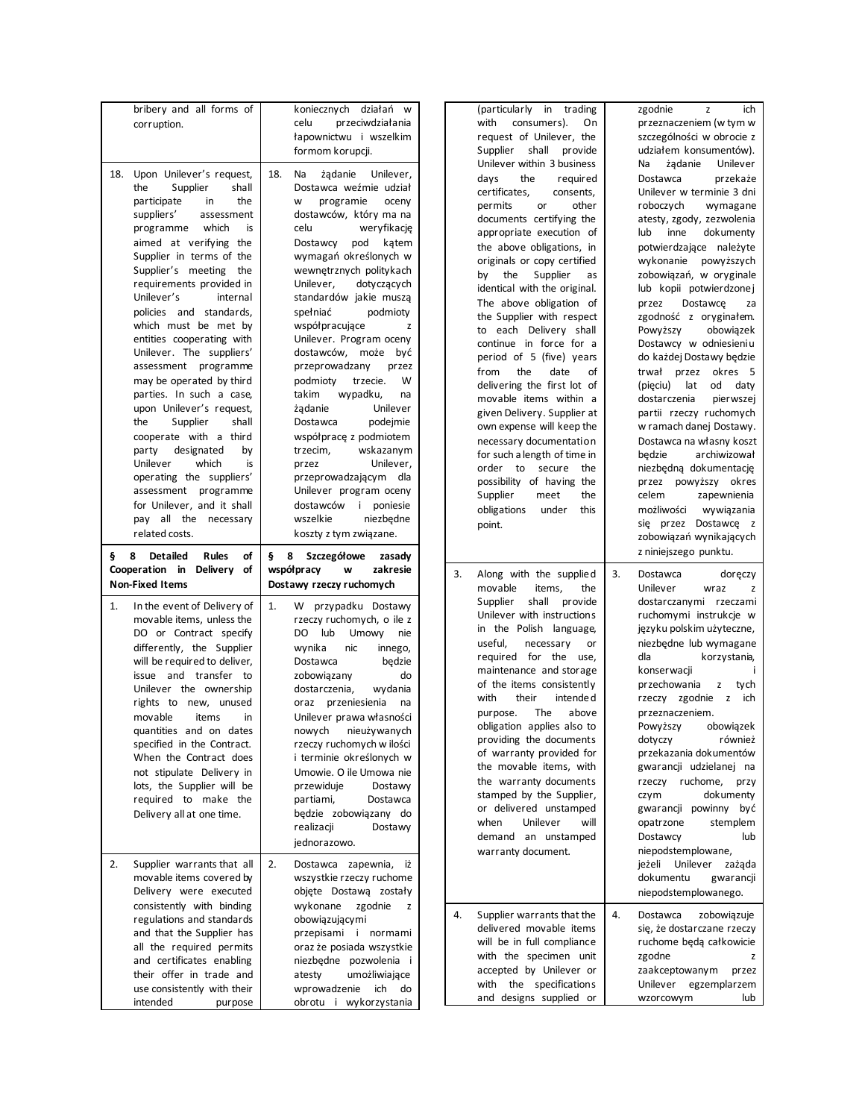| bribery and all forms of<br>corruption.                                                                                                                                                                                                                                                                                                                                                                                                                                                                                                                                                                                                                                                                   | koniecznych działań w<br>celu<br>przeciwdziałania<br>łapownictwu i wszelkim<br>formom korupcji.                                                                                                                                                                                                                                                                                                                                                                                                                                                                                                                                                                                                                                                                           | (particularly in trading<br>with<br>consumers).<br>On<br>request of Unilever, the<br>Supplier shall<br>provide                                                                                                                                                                                                                                                                                                                                                                                                                                                                                                                                                                                                                                                                     | zgodnie<br>ich<br>z<br>przeznaczeniem (w tym w<br>szczególności w obrocie z<br>udziałem konsumentów).                                                                                                                                                                                                                                                                                                                                                                                                                                                                                                                                                                                                                                                                   |
|-----------------------------------------------------------------------------------------------------------------------------------------------------------------------------------------------------------------------------------------------------------------------------------------------------------------------------------------------------------------------------------------------------------------------------------------------------------------------------------------------------------------------------------------------------------------------------------------------------------------------------------------------------------------------------------------------------------|---------------------------------------------------------------------------------------------------------------------------------------------------------------------------------------------------------------------------------------------------------------------------------------------------------------------------------------------------------------------------------------------------------------------------------------------------------------------------------------------------------------------------------------------------------------------------------------------------------------------------------------------------------------------------------------------------------------------------------------------------------------------------|------------------------------------------------------------------------------------------------------------------------------------------------------------------------------------------------------------------------------------------------------------------------------------------------------------------------------------------------------------------------------------------------------------------------------------------------------------------------------------------------------------------------------------------------------------------------------------------------------------------------------------------------------------------------------------------------------------------------------------------------------------------------------------|-------------------------------------------------------------------------------------------------------------------------------------------------------------------------------------------------------------------------------------------------------------------------------------------------------------------------------------------------------------------------------------------------------------------------------------------------------------------------------------------------------------------------------------------------------------------------------------------------------------------------------------------------------------------------------------------------------------------------------------------------------------------------|
| Upon Unilever's request,<br>18.<br>the<br>Supplier<br>participate<br>in<br>suppliers'<br>assessment<br>which<br>programme<br>aimed at verifying the<br>Supplier in terms of the<br>Supplier's meeting<br>requirements provided in<br>Unilever's<br>internal<br>policies and standards,<br>which must be met by<br>entities cooperating with<br>Unilever. The suppliers'<br>assessment programme<br>may be operated by third<br>parties. In such a case,<br>upon Unilever's request,<br>the<br>Supplier<br>cooperate with a third<br>designated<br>party<br>Unilever<br>which<br>operating the suppliers'<br>assessment programme<br>for Unilever, and it shall<br>pay all the necessary<br>related costs. | 18.<br>Na<br>żądanie<br>Unilever,<br>shall<br>Dostawca weźmie udział<br>the<br>programie<br>oceny<br>W<br>dostawców, który ma na<br>celu<br>weryfikację<br>is<br>pod<br>katem<br>Dostawcy<br>wymagań określonych w<br>wewnętrznych politykach<br>the<br>Unilever,<br>dotyczących<br>standardów jakie muszą<br>spełniać<br>podmioty<br>współpracujące<br>z<br>Unilever. Program oceny<br>dostawców, może być<br>przeprowadzany<br>przez<br>podmioty<br>trzecie.<br>W<br>takim<br>wypadku,<br>na<br>Unilever<br>żadanie<br>shall<br>Dostawca<br>podejmie<br>współprace z podmiotem<br>wskazanym<br>trzecim,<br>by<br>is<br>Unilever,<br>przez<br>przeprowadzającym dla<br>Unilever program oceny<br>dostawców i poniesie<br>wszelkie<br>niezbędne<br>koszty z tym związane. | Unilever within 3 business<br>days<br>the<br>required<br>certificates,<br>consents,<br>other<br>permits<br>or<br>documents certifying the<br>appropriate execution of<br>the above obligations, in<br>originals or copy certified<br>the<br>Supplier<br>by<br>as<br>identical with the original.<br>The above obligation of<br>the Supplier with respect<br>to each Delivery shall<br>continue in force for a<br>period of 5 (five) years<br>the<br>date<br>from<br>of<br>delivering the first lot of<br>movable items within a<br>given Delivery. Supplier at<br>own expense will keep the<br>necessary documentation<br>for such a length of time in<br>order to secure<br>the<br>possibility of having the<br>Supplier<br>meet<br>the<br>obligations<br>under<br>this<br>point. | żądanie<br>Unilever<br>Na<br>Dostawca<br>przekaże<br>Unilever w terminie 3 dni<br>roboczych<br>wymagane<br>atesty, zgody, zezwolenia<br>lub<br>inne<br>dokumenty<br>potwierdzające należyte<br>wykonanie powyższych<br>zobowiązań, w oryginale<br>lub kopii potwierdzonej<br>przez<br>Dostawce<br>za<br>zgodność z oryginałem.<br>Powyższy<br>obowiązek<br>Dostawcy w odniesieniu<br>do każdej Dostawy będzie<br>trwał przez okres 5<br>lat<br>od<br>(pieciu)<br>daty<br>dostarczenia<br>pierwszej<br>partii rzeczy ruchomych<br>w ramach danej Dostawy.<br>Dostawca na własny koszt<br>archiwizował<br>będzie<br>niezbędną dokumentację<br>przez powyższy okres<br>celem<br>zapewnienia<br>wywiązania<br>możliwości<br>się przez Dostawcę z<br>zobowiązań wynikających |
| 8 Detailed<br><b>Rules</b><br>§.                                                                                                                                                                                                                                                                                                                                                                                                                                                                                                                                                                                                                                                                          | § 8 Szczegółowe<br>оf<br>zasady                                                                                                                                                                                                                                                                                                                                                                                                                                                                                                                                                                                                                                                                                                                                           |                                                                                                                                                                                                                                                                                                                                                                                                                                                                                                                                                                                                                                                                                                                                                                                    | z niniejszego punktu.                                                                                                                                                                                                                                                                                                                                                                                                                                                                                                                                                                                                                                                                                                                                                   |
| Cooperation in Delivery of<br><b>Non-Fixed Items</b>                                                                                                                                                                                                                                                                                                                                                                                                                                                                                                                                                                                                                                                      | zakresie<br>współpracy<br>w<br>Dostawy rzeczy ruchomych                                                                                                                                                                                                                                                                                                                                                                                                                                                                                                                                                                                                                                                                                                                   | 3.<br>Along with the supplied<br>movable<br>items,<br>the                                                                                                                                                                                                                                                                                                                                                                                                                                                                                                                                                                                                                                                                                                                          | 3.<br>Dostawca<br>doręczy<br>Unilever<br>wraz<br>z                                                                                                                                                                                                                                                                                                                                                                                                                                                                                                                                                                                                                                                                                                                      |
| In the event of Delivery of<br>1.<br>movable items, unless the<br>DO or Contract specify<br>differently, the Supplier<br>will be required to deliver,<br>issue and transfer to<br>Unilever the ownership<br>rights to new, unused<br>movable<br>items<br>quantities and on dates<br>specified in the Contract.<br>When the Contract does<br>not stipulate Delivery in<br>lots, the Supplier will be<br>required to make the<br>Delivery all at one time.                                                                                                                                                                                                                                                  | przypadku Dostawy<br>1.<br>W.<br>rzeczy ruchomych, o ile z<br>lub<br>DO<br>Umowy<br>nie<br>wynika<br>nic<br>innego,<br>Dostawca<br>będzie<br>do<br>zobowiązany<br>dostarczenia,<br>wydania<br>oraz przeniesienia<br>na<br>Unilever prawa własności<br>in<br>nowych nieużywanych<br>rzeczy ruchomych w ilości<br>i terminie określonych w<br>Umowie. O ile Umowa nie<br>przewiduje<br>Dostawy<br>partiami,<br>Dostawca<br>będzie zobowiązany do<br>realizacji<br>Dostawy<br>jednorazowo.                                                                                                                                                                                                                                                                                   | Supplier<br>shall<br>provide<br>Unilever with instructions<br>in the Polish language,<br>useful,<br>necessary<br>or<br>required for the use,<br>maintenance and storage<br>of the items consistently<br>with<br>their<br>intende d<br>The<br>above<br>purpose.<br>obligation applies also to<br>providing the documents<br>of warranty provided for<br>the movable items, with<br>the warranty documents<br>stamped by the Supplier,<br>or delivered unstamped<br>when<br>Unilever<br>will<br>demand an unstamped                                                                                                                                                                                                                                                                  | dostarczanymi rzeczami<br>ruchomymi instrukcje w<br>języku polskim użyteczne,<br>niezbędne lub wymagane<br>dla<br>korzystania,<br>konserwacji<br>przechowania<br>z<br>tych<br>rzeczy zgodnie z ich<br>przeznaczeniem.<br>Powyższy<br>obowiązek<br>również<br>dotyczy<br>przekazania dokumentów<br>gwarancji udzielanej na<br>rzeczy ruchome, przy<br>dokumenty<br>czym<br>gwarancji powinny być<br>stemplem<br>opatrzone<br>Dostawcy<br>lub<br>niepodstemplowane,                                                                                                                                                                                                                                                                                                       |
| Supplier warrants that all<br>2.<br>movable items covered by<br>Delivery were executed<br>consistently with binding                                                                                                                                                                                                                                                                                                                                                                                                                                                                                                                                                                                       | 2.<br>Dostawca zapewnia, iż<br>wszystkie rzeczy ruchome<br>objęte Dostawą zostały<br>wykonane zgodnie<br>z                                                                                                                                                                                                                                                                                                                                                                                                                                                                                                                                                                                                                                                                | warranty document.                                                                                                                                                                                                                                                                                                                                                                                                                                                                                                                                                                                                                                                                                                                                                                 | jeżeli Unilever zażąda<br>dokumentu<br>gwarancji<br>niepodstemplowanego.                                                                                                                                                                                                                                                                                                                                                                                                                                                                                                                                                                                                                                                                                                |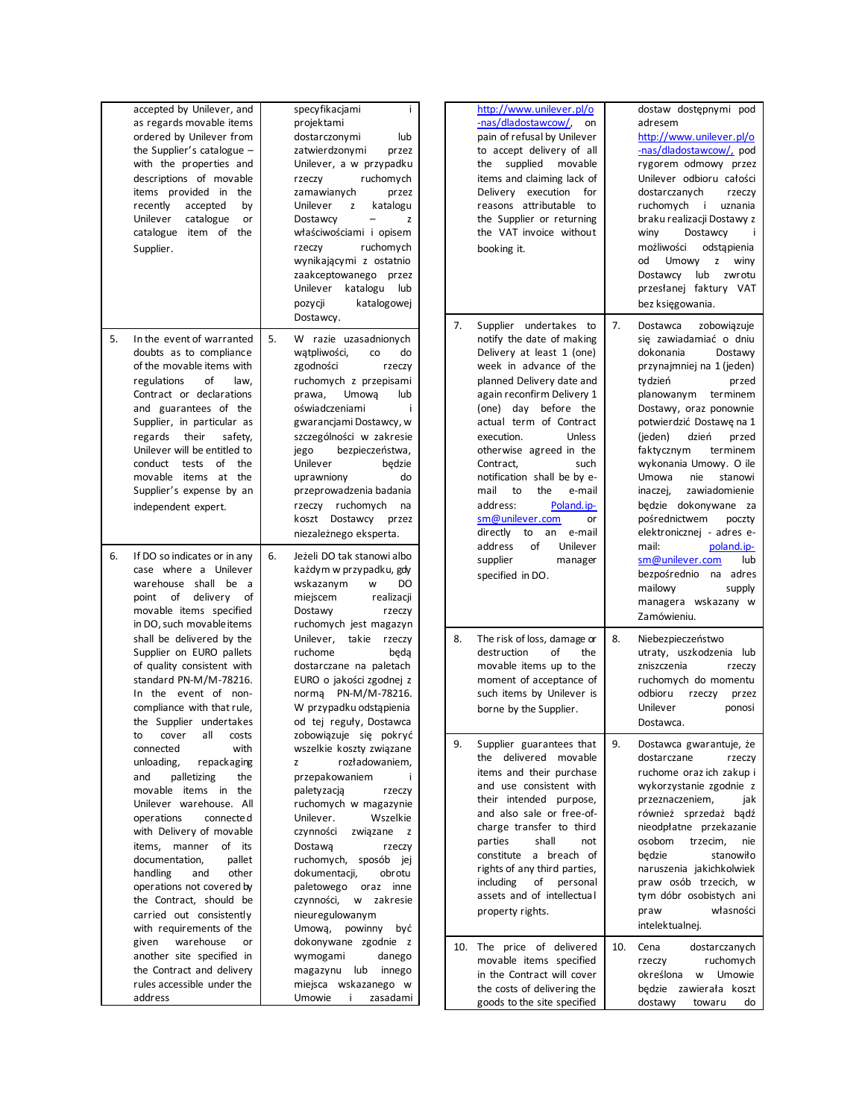|    | accepted by Unilever, and<br>as regards movable items<br>ordered by Unilever from<br>the Supplier's catalogue -<br>with the properties and<br>descriptions of movable<br>items provided in the<br>recently<br>accepted<br>by<br>catalogue<br>Unilever<br>or<br>catalogue item of the<br>Supplier.                                                                                                         | specyfikacjami<br>÷<br>projektami<br>dostarczonymi<br>lub<br>zatwierdzonymi<br>przez<br>Unilever, a w przypadku<br>ruchomych<br>rzeczy<br>zamawianych<br>przez<br>Unilever<br>z<br>katalogu<br>Dostawcy<br>$\qquad \qquad -$<br>z<br>właściwościami i opisem<br>ruchomych<br>rzeczy<br>wynikającymi z ostatnio<br>zaakceptowanego przez<br>Unilever katalogu<br>lub<br>katalogowej<br>pozycji<br>Dostawcy. |    | http://www.unilever.pl/o<br>-nas/dladostawcow/,<br>on<br>pain of refusal by Unilever<br>to accept delivery of all<br>the supplied movable<br>items and claiming lack of<br>Delivery execution for<br>reasons attributable to<br>the Supplier or returning<br>the VAT invoice without<br>booking it.                                                                                                                                                                              |     | dostaw dostępnymi pod<br>adresem<br>http://www.unilever.pl/o<br>-nas/dladostawcow/, pod<br>rygorem odmowy przez<br>Unilever odbioru całości<br>dostarczanych<br>rzeczy<br>ruchomych i uznania<br>braku realizacji Dostawy z<br>Dostawcy<br>winy<br>możliwości<br>odstąpienia<br>od<br>Umowy<br>z winy<br>lub<br>Dostawcy<br>zwrotu<br>przesłanej faktury VAT<br>bez księgowania.                                                                        |
|----|-----------------------------------------------------------------------------------------------------------------------------------------------------------------------------------------------------------------------------------------------------------------------------------------------------------------------------------------------------------------------------------------------------------|------------------------------------------------------------------------------------------------------------------------------------------------------------------------------------------------------------------------------------------------------------------------------------------------------------------------------------------------------------------------------------------------------------|----|----------------------------------------------------------------------------------------------------------------------------------------------------------------------------------------------------------------------------------------------------------------------------------------------------------------------------------------------------------------------------------------------------------------------------------------------------------------------------------|-----|---------------------------------------------------------------------------------------------------------------------------------------------------------------------------------------------------------------------------------------------------------------------------------------------------------------------------------------------------------------------------------------------------------------------------------------------------------|
| 5. | In the event of warranted<br>doubts as to compliance<br>of the movable items with<br>of<br>regulations<br>law,<br>Contract or declarations<br>and guarantees of the<br>Supplier, in particular as<br>regards their<br>safety,<br>Unilever will be entitled to<br>conduct tests of the<br>movable items at the<br>Supplier's expense by an<br>independent expert.                                          | 5.<br>W razie uzasadnionych<br>wątpliwości,<br>do<br>co<br>zgodności<br>rzeczy<br>ruchomych z przepisami<br>Umową<br>lub<br>prawa.<br>oświadczeniami<br>i<br>gwarancjami Dostawcy, w<br>szczególności w zakresie<br>bezpieczeństwa,<br>jego<br>Unilever<br>bedzie<br>uprawniony<br>do<br>przeprowadzenia badania<br>rzeczy ruchomych<br>na<br>koszt Dostawcy przez<br>niezależnego eksperta.               | 7. | Supplier undertakes to<br>notify the date of making<br>Delivery at least 1 (one)<br>week in advance of the<br>planned Delivery date and<br>again reconfirm Delivery 1<br>(one) day before the<br>actual term of Contract<br>execution.<br>Unless<br>otherwise agreed in the<br>Contract,<br>such<br>notification shall be by e-<br>mail<br>to<br>the<br>e-mail<br>address:<br>Poland.ip-<br>sm@unilever.com<br>or<br>directly<br>to<br>an<br>e-mail<br>address<br>of<br>Unilever | 7.  | Dostawca<br>zobowiązuje<br>się zawiadamiać o dniu<br>dokonania<br>Dostawy<br>przynajmniej na 1 (jeden)<br>tydzień<br>przed<br>planowanym terminem<br>Dostawy, oraz ponownie<br>potwierdzić Dostawe na 1<br>(ieden)<br>dzień<br>przed<br>faktycznym<br>terminem<br>wykonania Umowy. O ile<br>Umowa<br>stanowi<br>nie<br>inaczej,<br>zawiadomienie<br>będzie dokonywane za<br>pośrednictwem<br>poczty<br>elektronicznej - adres e-<br>mail:<br>poland.jp- |
| 6. | If DO so indicates or in any<br>case where a Unilever<br>warehouse shall be a<br>point of delivery of<br>movable items specified                                                                                                                                                                                                                                                                          | 6.<br>Jeżeli DO tak stanowi albo<br>każdym w przypadku, gdy<br>wskazanym<br>W<br>DO<br>miejscem<br>realizacji<br>Dostawy<br>rzeczy                                                                                                                                                                                                                                                                         |    | supplier<br>manager<br>specified in DO.                                                                                                                                                                                                                                                                                                                                                                                                                                          |     | sm@unilever.com<br>lub<br>bezpośrednio na adres<br>mailowy<br>supply<br>managera wskazany w<br>Zamówieniu.                                                                                                                                                                                                                                                                                                                                              |
|    | in DO, such movable items<br>shall be delivered by the<br>Supplier on EURO pallets<br>of quality consistent with<br>standard PN-M/M-78216.<br>In the event of non-<br>compliance with that rule,<br>the Supplier undertakes                                                                                                                                                                               | ruchomych jest magazyn<br>Unilever,<br>takie<br>rzeczy<br>ruchome<br>beda<br>dostarczane na paletach<br>EURO o jakości zgodnej z<br>norma PN-M/M-78216.<br>W przypadku odstąpienia<br>od tej reguły, Dostawca                                                                                                                                                                                              | 8. | The risk of loss, damage or<br>of<br>destruction<br>the<br>movable items up to the<br>moment of acceptance of<br>such items by Unilever is<br>borne by the Supplier.                                                                                                                                                                                                                                                                                                             | 8.  | Niebezpieczeństwo<br>utraty, uszkodzenia lub<br>zniszczenia<br>rzeczy<br>ruchomych do momentu<br>odbioru<br>rzeczy<br>przez<br>Unilever<br>ponosi<br>Dostawca.                                                                                                                                                                                                                                                                                          |
|    | cover all costs<br>with<br>connected<br>unloading,<br>repackaging<br>palletizing<br>and<br>the<br>movable items in the<br>Unilever warehouse. All<br>operations<br>connecte d<br>with Delivery of movable<br>items, manner of its<br>documentation,<br>pallet<br>handling<br>other<br>and<br>operations not covered by<br>the Contract, should be<br>carried out consistently<br>with requirements of the | zobowiązuje się pokryć<br>wszelkie koszty związane<br>rozładowaniem,<br>z<br>przepakowaniem<br>÷<br>paletyzacją<br>rzeczy<br>ruchomych w magazynie<br>Unilever.<br>Wszelkie<br>czynności<br>związane z<br>Dostawa<br>rzeczy<br>ruchomych, sposób jej<br>dokumentacji,<br>obrotu<br>paletowego oraz inne<br>czynności, w zakresie<br>nieuregulowanym<br>Umową, powinny być                                  | 9. | Supplier guarantees that<br>the delivered movable<br>items and their purchase<br>and use consistent with<br>their intended purpose,<br>and also sale or free-of-<br>charge transfer to third<br>parties<br>shall<br>not<br>constitute a breach of<br>rights of any third parties,<br>including<br>of personal<br>assets and of intellectual<br>property rights.                                                                                                                  | 9.  | Dostawca gwarantuje, że<br>dostarczane<br>rzeczy<br>ruchome oraz ich zakup i<br>wykorzystanie zgodnie z<br>przeznaczeniem,<br>jak<br>również sprzedaż bądź<br>nieodpłatne przekazanie<br>osobom<br>trzecim,<br>nie<br>będzie<br>stanowiło<br>naruszenia jakichkolwiek<br>praw osób trzecich, w<br>tym dóbr osobistych ani<br>praw<br>własności<br>intelektualnej.                                                                                       |
|    | warehouse<br>given<br>or<br>another site specified in<br>the Contract and delivery<br>rules accessible under the<br>address                                                                                                                                                                                                                                                                               | dokonywane zgodnie z<br>wymogami<br>danego<br>magazynu lub innego<br>miejsca wskazanego w<br>Umowie<br>$\mathbf{i}$<br>zasadami                                                                                                                                                                                                                                                                            |    | 10. The price of delivered<br>movable items specified<br>in the Contract will cover<br>the costs of delivering the<br>goods to the site specified                                                                                                                                                                                                                                                                                                                                | 10. | Cena<br>dostarczanych<br>ruchomych<br>rzeczy<br>określona w Umowie<br>będzie zawierała koszt<br>dostawy<br>towaru<br>do                                                                                                                                                                                                                                                                                                                                 |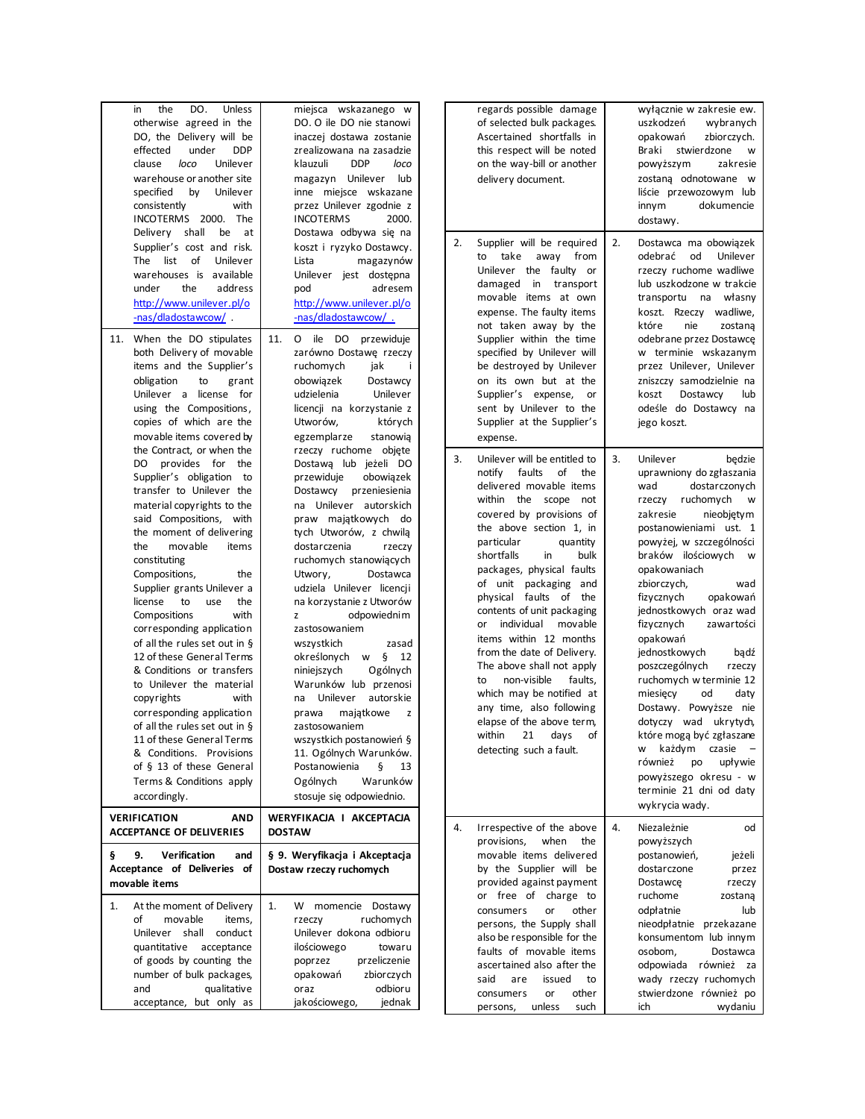| the<br>DO.<br>Unless<br>in<br>otherwise agreed in the<br>DO, the Delivery will be<br>under<br><b>DDP</b><br>effected<br>loco<br>clause<br>Unilever<br>warehouse or another site<br>specified<br>by<br>Unilever<br>consistently<br>with<br>INCOTERMS 2000. The<br>Delivery shall<br>be at                                                                                                                                                                                                                                                                                                                                                                                                                                                                            | miejsca wskazanego w<br>DO. O ile DO nie stanowi<br>inaczej dostawa zostanie<br>zrealizowana na zasadzie<br>klauzuli<br><b>DDP</b><br>loco<br>magazyn Unilever lub<br>inne miejsce wskazane<br>przez Unilever zgodnie z<br><b>INCOTERMS</b><br>2000.<br>Dostawa odbywa się na                                                                                                                                                                                                                                                                                                                                                                                                                         | regards possible damage<br>wyłącznie w zakresie ew.<br>of selected bulk packages.<br>uszkodzeń<br>wybranych<br>Ascertained shortfalls in<br>zbiorczych.<br>opakowań<br>this respect will be noted<br>Braki<br>stwierdzone<br>W<br>on the way-bill or another<br>powyższym<br>zakresie<br>zostaną odnotowane w<br>delivery document.<br>liście przewozowym lub<br>dokumencie<br>innym<br>dostawy.                                                                                                                                                                                                                                                                                                                                                                                                                                                                                                                                                                                                                                                                                                                                                                                                                                                                                                        |
|---------------------------------------------------------------------------------------------------------------------------------------------------------------------------------------------------------------------------------------------------------------------------------------------------------------------------------------------------------------------------------------------------------------------------------------------------------------------------------------------------------------------------------------------------------------------------------------------------------------------------------------------------------------------------------------------------------------------------------------------------------------------|-------------------------------------------------------------------------------------------------------------------------------------------------------------------------------------------------------------------------------------------------------------------------------------------------------------------------------------------------------------------------------------------------------------------------------------------------------------------------------------------------------------------------------------------------------------------------------------------------------------------------------------------------------------------------------------------------------|---------------------------------------------------------------------------------------------------------------------------------------------------------------------------------------------------------------------------------------------------------------------------------------------------------------------------------------------------------------------------------------------------------------------------------------------------------------------------------------------------------------------------------------------------------------------------------------------------------------------------------------------------------------------------------------------------------------------------------------------------------------------------------------------------------------------------------------------------------------------------------------------------------------------------------------------------------------------------------------------------------------------------------------------------------------------------------------------------------------------------------------------------------------------------------------------------------------------------------------------------------------------------------------------------------|
| Supplier's cost and risk.<br>The list of<br>Unilever<br>warehouses is available<br>under<br>the<br>address<br>http://www.unilever.pl/o<br>-nas/dladostawcow/                                                                                                                                                                                                                                                                                                                                                                                                                                                                                                                                                                                                        | koszt i ryzyko Dostawcy.<br>Lista<br>magazynów<br>Unilever jest dostępna<br>pod<br>adresem<br>http://www.unilever.pl/o<br>-nas/dladostawcow/.                                                                                                                                                                                                                                                                                                                                                                                                                                                                                                                                                         | Supplier will be required<br>2.<br>2.<br>Dostawca ma obowiązek<br>to take<br>odebrać<br>Unilever<br>away from<br>od<br>Unilever the faulty or<br>rzeczy ruchome wadliwe<br>lub uszkodzone w trakcie<br>damaged in transport<br>movable items at own<br>transportu na własny<br>expense. The faulty items<br>koszt. Rzeczy wadliwe,<br>które<br>not taken away by the<br>nie<br>zostana                                                                                                                                                                                                                                                                                                                                                                                                                                                                                                                                                                                                                                                                                                                                                                                                                                                                                                                  |
| 11. When the DO stipulates<br>both Delivery of movable<br>items and the Supplier's<br>obligation<br>to<br>grant<br>Unilever a license for<br>using the Compositions,<br>copies of which are the<br>movable items covered by                                                                                                                                                                                                                                                                                                                                                                                                                                                                                                                                         | 11.<br>O ile DO przewiduje<br>zarówno Dostawę rzeczy<br>ruchomych<br>jak<br>Ť<br>obowiązek<br>Dostawcy<br>udzielenia<br>Unilever<br>licencji na korzystanie z<br>Utworów,<br>których<br>egzemplarze<br>stanowia                                                                                                                                                                                                                                                                                                                                                                                                                                                                                       | Supplier within the time<br>odebrane przez Dostawcę<br>specified by Unilever will<br>w terminie wskazanym<br>przez Unilever, Unilever<br>be destroyed by Unilever<br>on its own but at the<br>zniszczy samodzielnie na<br>Supplier's expense,<br>Dostawcy<br>koszt<br>lub<br>or<br>sent by Unilever to the<br>odeśle do Dostawcy na<br>Supplier at the Supplier's<br>jego koszt.<br>expense.                                                                                                                                                                                                                                                                                                                                                                                                                                                                                                                                                                                                                                                                                                                                                                                                                                                                                                            |
| the Contract, or when the<br>DO provides for the<br>Supplier's obligation to<br>transfer to Unilever the<br>material copyrights to the<br>said Compositions, with<br>the moment of delivering<br>the<br>movable<br>items<br>constituting<br>Compositions,<br>the<br>Supplier grants Unilever a<br>license<br>to<br>use<br>the<br>with<br>Compositions<br>corresponding application<br>of all the rules set out in §<br>12 of these General Terms<br>& Conditions or transfers<br>to Unilever the material<br>copyrights<br>with<br>corresponding application<br>of all the rules set out in §<br>11 of these General Terms<br>& Conditions. Provisions<br>of § 13 of these General<br>Terms & Conditions apply<br>accordingly.<br><b>VERIFICATION</b><br><b>AND</b> | rzeczy ruchome objęte<br>Dostawa lub jeżeli DO<br>obowiązek<br>przewiduje<br>Dostawcy przeniesienia<br>na Unilever autorskich<br>praw majątkowych do<br>tych Utworów, z chwilą<br>dostarczenia<br>rzeczy<br>ruchomych stanowiących<br>Utwory,<br>Dostawca<br>udziela Unilever licencji<br>na korzystanie z Utworów<br>odpowiednim<br>z<br>zastosowaniem<br>wszystkich<br>zasad<br>określonych w §<br>12<br>Ogólnych<br>niniejszych<br>Warunków lub przenosi<br>na Unilever<br>autorskie<br>prawa<br>majątkowe<br>z<br>zastosowaniem<br>wszystkich postanowień §<br>11. Ogólnych Warunków.<br>Postanowienia<br>ş<br>13<br>Ogólnych<br>Warunków<br>stosuje się odpowiednio.<br>WERYFIKACJA I AKCEPTACJA | 3.<br>3.<br>Unilever will be entitled to<br>Unilever<br>bedzie<br>faults of<br>notify<br>the<br>uprawniony do zgłaszania<br>delivered movable items<br>wad<br>dostarczonych<br>within the scope not<br>rzeczy ruchomych<br>w<br>covered by provisions of<br>zakresie<br>nieobjętym<br>the above section 1, in<br>postanowieniami ust. 1<br>quantity<br>powyżej, w szczególności<br>particular<br>braków ilościowych w<br>shortfalls<br>in<br>bulk<br>packages, physical faults<br>opakowaniach<br>of unit packaging and<br>zbiorczych,<br>wad<br>physical faults of the<br>fizycznych<br>opakowań<br>contents of unit packaging<br>jednostkowych oraz wad<br>individual movable<br>fizycznych<br>zawartości<br>or<br>items within 12 months<br>opakowań<br>from the date of Delivery.<br>jednostkowych<br>badź<br>The above shall not apply<br>poszczególnych<br>rzeczy<br>non-visible<br>faults,<br>ruchomych w terminie 12<br>to<br>which may be notified at<br>miesięcy<br>od<br>daty<br>any time, also following<br>Dostawy. Powyższe nie<br>elapse of the above term,<br>dotyczy wad ukrytych,<br>within 21 days of<br>które mogą być zgłaszane<br>każdym czasie<br>detecting such a fault.<br>W<br>również<br>upływie<br>po<br>powyższego okresu - w<br>terminie 21 dni od daty<br>wykrycia wady. |
| <b>ACCEPTANCE OF DELIVERIES</b>                                                                                                                                                                                                                                                                                                                                                                                                                                                                                                                                                                                                                                                                                                                                     | <b>DOSTAW</b>                                                                                                                                                                                                                                                                                                                                                                                                                                                                                                                                                                                                                                                                                         | 4.<br>Niezależnie<br>4.<br>Irrespective of the above<br>od<br>when<br>provisions,<br>the<br>powyższych                                                                                                                                                                                                                                                                                                                                                                                                                                                                                                                                                                                                                                                                                                                                                                                                                                                                                                                                                                                                                                                                                                                                                                                                  |
| 9.<br><b>Verification</b><br>and<br>ş<br>Acceptance of Deliveries of<br>movable items                                                                                                                                                                                                                                                                                                                                                                                                                                                                                                                                                                                                                                                                               | § 9. Weryfikacja i Akceptacja<br>Dostaw rzeczy ruchomych                                                                                                                                                                                                                                                                                                                                                                                                                                                                                                                                                                                                                                              | movable items delivered<br>postanowień,<br>jeżeli<br>by the Supplier will be<br>dostarczone<br>przez<br>provided against payment<br>Dostawce<br>rzeczy<br>or free of charge to<br>ruchome<br>zostaną                                                                                                                                                                                                                                                                                                                                                                                                                                                                                                                                                                                                                                                                                                                                                                                                                                                                                                                                                                                                                                                                                                    |
| 1.<br>At the moment of Delivery<br>of<br>movable<br>items,<br>Unilever shall conduct<br>quantitative acceptance<br>of goods by counting the<br>number of bulk packages,<br>and<br>qualitative<br>acceptance, but only as                                                                                                                                                                                                                                                                                                                                                                                                                                                                                                                                            | W momencie Dostawy<br>1.<br>ruchomych<br>rzeczy<br>Unilever dokona odbioru<br>ilościowego<br>towaru<br>przeliczenie<br>poprzez<br>zbiorczych<br>opakowań<br>odbioru<br>oraz<br>jakościowego,<br>jednak                                                                                                                                                                                                                                                                                                                                                                                                                                                                                                | other<br>odpłatnie<br>consumers<br>or<br>lub<br>persons, the Supply shall<br>nieodpłatnie przekazane<br>also be responsible for the<br>konsumentom lub innym<br>faults of movable items<br>osobom,<br>Dostawca<br>ascertained also after the<br>odpowiada również za<br>wady rzeczy ruchomych<br>said<br>are<br>issued<br>to<br>other<br>stwierdzone również po<br>consumers<br>or<br>unless<br>such<br>wydaniu<br>persons,<br>ich                                                                                                                                                                                                                                                                                                                                                                                                                                                                                                                                                                                                                                                                                                                                                                                                                                                                      |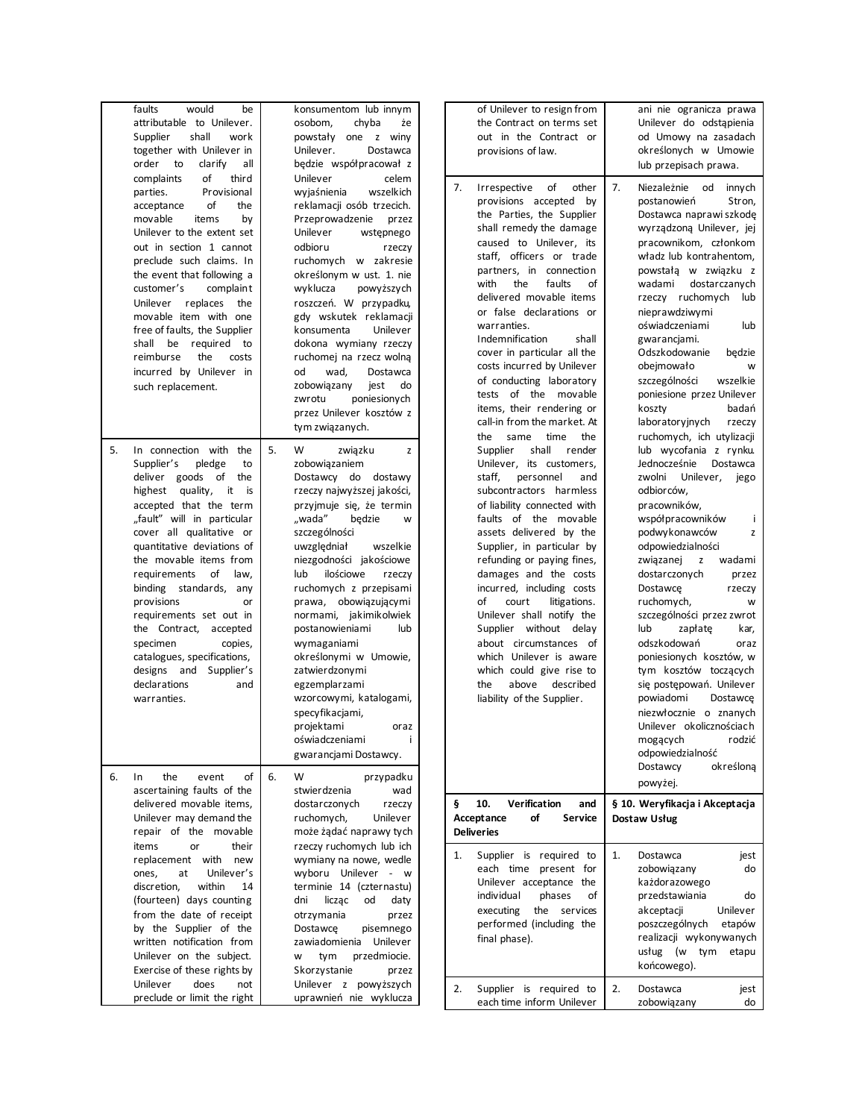| faults<br>would<br>be<br>attributable to Unilever.<br>shall<br>Supplier<br>work<br>together with Unilever in<br>order<br>to<br>clarify<br>all<br>of<br>complaints<br>third<br>parties.<br>Provisional<br>of<br>acceptance<br>the<br>movable<br>by<br>items<br>Unilever to the extent set<br>out in section 1 cannot<br>preclude such claims. In<br>the event that following a<br>customer's<br>complaint<br>replaces<br>Unilever<br>the<br>movable item with one<br>free of faults, the Supplier<br>shall be required to<br>reimburse<br>the<br>costs<br>incurred by Unilever in<br>such replacement. | konsumentom lub innym<br>osobom,<br>chyba<br>żе<br>powstały one z winy<br>Unilever.<br>Dostawca<br>będzie współpracował z<br>Unilever<br>celem<br>wyjaśnienia<br>wszelkich<br>reklamacji osób trzecich.<br>Przeprowadzenie<br>przez<br>Unilever<br>wstępnego<br>odbioru<br>rzeczy<br>ruchomych w zakresie<br>określonym w ust. 1. nie<br>wyklucza<br>powyższych<br>roszczeń. W przypadku,<br>gdy wskutek reklamacji<br>konsumenta<br>Unilever<br>dokona wymiany rzeczy<br>ruchomej na rzecz wolną<br>wad,<br>od<br>Dostawca<br>zobowiązany<br>jest<br>do<br>zwrotu<br>poniesionych<br>przez Unilever kosztów z<br>tym związanych. | of Unilever to resign from<br>the Contract on terms set<br>out in the Contract or<br>provisions of law.<br>7.<br>of<br>other<br>Irrespective<br>provisions accepted by<br>the Parties, the Supplier<br>shall remedy the damage<br>caused to Unilever, its<br>staff, officers or trade<br>partners, in connection<br>the<br>faults<br>with<br>of<br>delivered movable items<br>or false declarations or<br>warranties.<br>Indemnification<br>shall<br>cover in particular all the<br>costs incurred by Unilever<br>of conducting laboratory<br>tests of the movable<br>items, their rendering or<br>call-in from the market. At<br>time<br>the<br>same<br>the | ani nie ogranicza prawa<br>Unilever do odstapienia<br>od Umowy na zasadach<br>określonych w Umowie<br>lub przepisach prawa.<br>7.<br>Niezależnie od<br>innych<br>postanowień<br>Stron,<br>Dostawca naprawi szkodę<br>wyrządzoną Unilever, jej<br>pracownikom, członkom<br>władz lub kontrahentom,<br>powstałą w związku z<br>dostarczanych<br>wadami<br>rzeczy ruchomych<br>lub<br>nieprawdziwymi<br>oświadczeniami<br>lub<br>gwarancjami.<br>Odszkodowanie<br>bedzie<br>obejmowało<br>W<br>szczególności<br>wszelkie<br>poniesione przez Unilever<br>koszty<br>badań<br>laboratoryjnych<br>rzeczy<br>ruchomych, ich utylizacji |
|-------------------------------------------------------------------------------------------------------------------------------------------------------------------------------------------------------------------------------------------------------------------------------------------------------------------------------------------------------------------------------------------------------------------------------------------------------------------------------------------------------------------------------------------------------------------------------------------------------|-----------------------------------------------------------------------------------------------------------------------------------------------------------------------------------------------------------------------------------------------------------------------------------------------------------------------------------------------------------------------------------------------------------------------------------------------------------------------------------------------------------------------------------------------------------------------------------------------------------------------------------|--------------------------------------------------------------------------------------------------------------------------------------------------------------------------------------------------------------------------------------------------------------------------------------------------------------------------------------------------------------------------------------------------------------------------------------------------------------------------------------------------------------------------------------------------------------------------------------------------------------------------------------------------------------|---------------------------------------------------------------------------------------------------------------------------------------------------------------------------------------------------------------------------------------------------------------------------------------------------------------------------------------------------------------------------------------------------------------------------------------------------------------------------------------------------------------------------------------------------------------------------------------------------------------------------------|
| 5.<br>In connection with the<br>Supplier's<br>pledge<br>to<br>deliver goods of the<br>highest quality,<br>it<br>is<br>accepted that the term<br>"fault" will in particular<br>cover all qualitative or<br>quantitative deviations of<br>the movable items from<br>of<br>requirements<br>law,<br>binding standards, any<br>provisions<br>or<br>requirements set out in<br>the Contract, accepted<br>specimen<br>copies,<br>catalogues, specifications,<br>designs and Supplier's<br>declarations<br>and<br>warranties.                                                                                 | 5.<br>W<br>związku<br>z<br>zobowiązaniem<br>Dostawcy do dostawy<br>rzeczy najwyższej jakości,<br>przyjmuje się, że termin<br>"wada"<br>bedzie<br>W<br>szczególności<br>uwzględniał<br>wszelkie<br>niezgodności jakościowe<br>ilościowe<br>lub<br>rzeczy<br>ruchomych z przepisami<br>prawa, obowiązującymi<br>normami, jakimikolwiek<br>postanowieniami<br>lub<br>wymaganiami<br>określonymi w Umowie,<br>zatwierdzonymi<br>egzemplarzami<br>wzorcowymi, katalogami,<br>specyfikacjami,<br>projektami<br>oraz<br>oświadczeniami<br>i<br>gwarancjami Dostawcy.                                                                     | shall<br>Supplier<br>render<br>Unilever, its customers,<br>staff,<br>personnel<br>and<br>subcontractors harmless<br>of liability connected with<br>faults of the movable<br>assets delivered by the<br>Supplier, in particular by<br>refunding or paying fines,<br>damages and the costs<br>incurred, including costs<br>of<br>court<br>litigations.<br>Unilever shall notify the<br>Supplier without delay<br>about circumstances of<br>which Unilever is aware<br>which could give rise to<br>above described<br>the<br>liability of the Supplier.                                                                                                         | lub wycofania z rynku.<br>Jednocześnie<br>Dostawca<br>zwolni<br>Unilever,<br>jego<br>odbiorców,<br>pracowników,<br>współpracowników<br>÷<br>podwykonawców<br>z<br>odpowiedzialności<br>związanej<br>wadami<br>z<br>dostarczonych<br>przez<br>Dostawce<br>rzeczy<br>ruchomych,<br>W<br>szczególności przez zwrot<br>lub<br>zapłatę<br>kar,<br>odszkodowań<br>oraz<br>poniesionych kosztów, w<br>tym kosztów toczących<br>się postępowań. Unilever<br>powiadomi<br>Dostawce<br>niezwłocznie o znanych<br>Unilever okolicznościach<br>mogacych<br>rodzić<br>odpowiedzialność                                                       |
| of<br>6.<br>$\ln$<br>the<br>event<br>ascertaining faults of the<br>delivered movable items,<br>Unilever may demand the<br>repair of the movable                                                                                                                                                                                                                                                                                                                                                                                                                                                       | 6.<br>W<br>przypadku<br>stwierdzenia<br>wad<br>dostarczonych<br>rzeczy<br>ruchomych,<br>Unilever<br>może żądać naprawy tych                                                                                                                                                                                                                                                                                                                                                                                                                                                                                                       | Verification<br>Ş.<br>10.<br>and<br>Acceptance<br>of<br><b>Service</b><br><b>Deliveries</b>                                                                                                                                                                                                                                                                                                                                                                                                                                                                                                                                                                  | określoną<br>Dostawcy<br>powyżej.<br>§ 10. Weryfikacja i Akceptacja<br>Dostaw Usług                                                                                                                                                                                                                                                                                                                                                                                                                                                                                                                                             |
| items<br>their<br>or<br>replacement with<br>new<br>ones,<br>at<br>Unilever's<br>discretion,<br>within<br>14<br>(fourteen) days counting<br>from the date of receipt<br>by the Supplier of the<br>written notification from<br>Unilever on the subject.<br>Exercise of these rights by<br>Unilever<br>does<br>not<br>preclude or limit the right                                                                                                                                                                                                                                                       | rzeczy ruchomych lub ich<br>wymiany na nowe, wedle<br>wyboru Unilever - w<br>terminie 14 (czternastu)<br>liczac<br>od<br>daty<br>dni<br>otrzymania<br>przez<br>Dostawce<br>pisemnego<br>zawiadomienia Unilever<br>przedmiocie.<br>W<br>tym<br>Skorzystanie<br>przez<br>Unilever z powyższych<br>uprawnień nie wyklucza                                                                                                                                                                                                                                                                                                            | Supplier is required to<br>1.<br>each time present for<br>Unilever acceptance the<br>οf<br>individual<br>phases<br>the services<br>executing<br>performed (including the<br>final phase).<br>Supplier is required to<br>2.<br>each time inform Unilever                                                                                                                                                                                                                                                                                                                                                                                                      | Dostawca<br>1.<br>jest<br>zobowiązany<br>do<br>każdorazowego<br>przedstawiania<br>do<br>akceptacji<br>Unilever<br>poszczególnych<br>etapów<br>realizacji wykonywanych<br>usług (w tym etapu<br>końcowego).<br>2.<br>Dostawca<br>jest<br>zobowiązany<br>do                                                                                                                                                                                                                                                                                                                                                                       |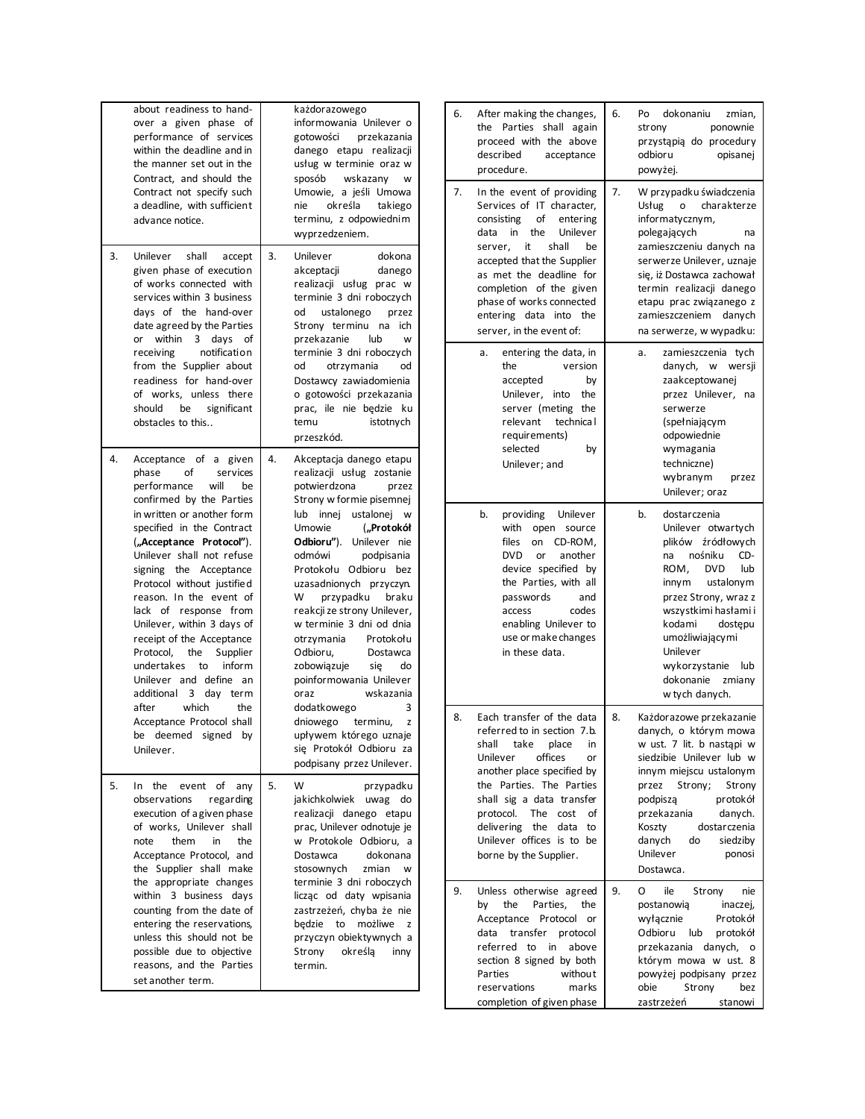|                  | about readiness to hand-<br>over a given phase of<br>performance of services<br>within the deadline and in<br>the manner set out in the<br>Contract, and should the<br>Contract not specify such<br>a deadline, with sufficient<br>advance notice.                                                                                                                                                                                                                                                                                                                                                  |    | każdorazowego<br>informowania Unilever o<br>gotowości przekazania<br>danego etapu realizacji<br>usług w terminie oraz w<br>sposób wskazany<br>W<br>Umowie, a jeśli Umowa<br>określa<br>nie<br>takiego<br>terminu, z odpowiednim<br>wyprzedzeniem.                                                                                                                                                                                                                                                                                                                                                                                |
|------------------|-----------------------------------------------------------------------------------------------------------------------------------------------------------------------------------------------------------------------------------------------------------------------------------------------------------------------------------------------------------------------------------------------------------------------------------------------------------------------------------------------------------------------------------------------------------------------------------------------------|----|----------------------------------------------------------------------------------------------------------------------------------------------------------------------------------------------------------------------------------------------------------------------------------------------------------------------------------------------------------------------------------------------------------------------------------------------------------------------------------------------------------------------------------------------------------------------------------------------------------------------------------|
| 3.               | shall<br>Unilever<br>accept<br>given phase of execution<br>of works connected with<br>services within 3 business<br>days of the hand-over<br>date agreed by the Parties<br>or within<br>$\mathbf{3}$<br>days<br>of<br>notification<br>receiving<br>from the Supplier about<br>readiness for hand-over<br>of works, unless there<br>should be significant<br>obstacles to this                                                                                                                                                                                                                       | 3. | Unilever<br>dokona<br>akceptacji<br>danego<br>realizacji usług prac w<br>terminie 3 dni roboczych<br>od<br>ustalonego przez<br>Strony terminu na<br>ich<br>przekazanie<br>lub<br>w<br>terminie 3 dni roboczych<br>od<br>otrzymania<br>od<br>Dostawcy zawiadomienia<br>o gotowości przekazania<br>prac, ile nie będzie ku<br>temu<br>istotnych<br>przeszkód.                                                                                                                                                                                                                                                                      |
| 4.<br>after      | Acceptance of a given<br>phase<br>of<br>services<br>will<br>performance<br>be<br>confirmed by the Parties<br>in written or another form<br>specified in the Contract<br>("Acceptance Protocol").<br>Unilever shall not refuse<br>signing the Acceptance<br>Protocol without justified<br>reason. In the event of<br>lack of response from<br>Unilever, within 3 days of<br>receipt of the Acceptance<br>Protocol,<br>the<br>Supplier<br>undertakes to<br>inform<br>Unilever and define an<br>additional 3 day term<br>which<br>the<br>Acceptance Protocol shall<br>be deemed signed by<br>Unilever. | 4. | Akceptacja danego etapu<br>realizacji usług zostanie<br>potwierdzona<br>przez<br>Strony w formie pisemnej<br>lub innej ustalonej<br><b>W</b><br>Umowie<br>("Protokół<br>Odbioru"). Unilever nie<br>odmówi<br>podpisania<br>Protokołu Odbioru<br>bez<br>uzasadnionych przyczyn.<br>W<br>przypadku braku<br>reakcji ze strony Unilever,<br>w terminie 3 dni od dnia<br>Protokołu<br>otrzymania<br>Odbioru,<br>Dostawca<br>zobowiązuje<br>do<br>się<br>poinformowania Unilever<br>wskazania<br>oraz<br>dodatkowego<br>3<br>dniowego terminu,<br>z<br>upływem którego uznaje<br>się Protokół Odbioru za<br>podpisany przez Unilever. |
| 5.<br>In<br>note | the<br>event of<br>any<br>observations<br>regarding<br>execution of a given phase<br>of works, Unilever shall<br>them<br>the<br>in<br>Acceptance Protocol, and<br>the Supplier shall make<br>the appropriate changes<br>within 3 business days<br>counting from the date of<br>entering the reservations,<br>unless this should not be<br>possible due to objective<br>reasons, and the Parties<br>set another term.                                                                                                                                                                                | 5. | W<br>przypadku<br>jakichkolwiek uwag<br>do<br>realizacji danego etapu<br>prac, Unilever odnotuje je<br>w Protokole Odbioru, a<br>Dostawca<br>dokonana<br>stosownych<br>zmian<br>w<br>terminie 3 dni roboczych<br>licząc od daty wpisania<br>zastrzeżeń, chyba że nie<br>będzie<br>możliwe<br>to<br>Z<br>przyczyn obiektywnych a<br>określą<br>Strony<br>inny<br>termin.                                                                                                                                                                                                                                                          |

| 6. | After making the changes,<br>the<br>Parties<br>shall<br>again<br>proceed with the above<br>described<br>acceptance<br>procedure.                                                                                                                                                                                                                      | 6. | dokonaniu<br>Po<br>zmian,<br>strony<br>ponownie<br>przystąpią do procedury<br>odbioru<br>opisanej<br>powyżej.                                                                                                                                                                                                 |
|----|-------------------------------------------------------------------------------------------------------------------------------------------------------------------------------------------------------------------------------------------------------------------------------------------------------------------------------------------------------|----|---------------------------------------------------------------------------------------------------------------------------------------------------------------------------------------------------------------------------------------------------------------------------------------------------------------|
| 7. | In the event of providing<br>Services of IT character,<br>consisting<br>of<br>entering<br>data<br>in<br>the<br>Unilever<br>it<br>shall<br>be<br>server.<br>accepted that the Supplier<br>as met the deadline for<br>completion of the given<br>phase of works connected<br>entering data<br>into<br>the<br>server, in the event of:                   | 7. | W przypadku świadczenia<br>Usług<br>charakterze<br>o<br>informatycznym,<br>polegających<br>na<br>zamieszczeniu danych na<br>serwerze Unilever, uznaje<br>się, iż Dostawca zachował<br>termin realizacji danego<br>etapu prac związanego z<br>zamieszczeniem<br>danych<br>na serwerze, w wypadku:              |
|    | entering the data, in<br>a.<br>version<br>the<br>accepted<br>by<br>Unilever,<br>into<br>the<br>server (meting<br>the<br>relevant<br>technica l<br>requirements)<br>selected<br>by<br>Unilever: and                                                                                                                                                    |    | zamieszczenia<br>tych<br>a.<br>danych,<br>W<br>wersji<br>zaakceptowanej<br>przez Unilever,<br>na<br>serwerze<br>(spełniającym<br>odpowiednie<br>wymagania<br>techniczne)<br>wybranym<br>przez<br>Unilever; oraz                                                                                               |
|    | b.<br>providing<br>Unilever<br>with<br>open<br>source<br>files<br>CD-ROM,<br>on<br>DVD<br>or<br>another<br>device specified by<br>the Parties, with all<br>passwords<br>and<br>access<br>codes<br>enabling Unilever to<br>use or make changes<br>in these data.                                                                                       |    | b.<br>dostarczenia<br>Unilever otwartych<br>plików źródłowych<br>nośniku<br>CD-<br>na<br>ROM,<br><b>DVD</b><br>lub<br>ustalonym<br>innym<br>przez Strony, wraz z<br>wszystkimi hasłami i<br>kodami<br>dostępu<br>umożliwiającymi<br>Unilever<br>wykorzystanie<br>lub<br>dokonanie<br>zmiany<br>w tych danych. |
| 8. | Each transfer of the data<br>referred to in section 7.b.<br>shall<br>take<br>place<br>in<br>offices<br>Unilever<br>or<br>another place specified by<br>Parties. The Parties<br>the<br>shall sig a data transfer<br>protocol.<br><b>The</b><br>cost<br>οf<br>delivering<br>the<br>data<br>to<br>Unilever offices is to<br>be<br>borne by the Supplier. | 8. | Każdorazowe przekazanie<br>danych, o którym mowa<br>w ust. 7 lit. b nastąpi w<br>siedzibie Unilever lub w<br>innym miejscu ustalonym<br>Strony;<br>przez<br>Strony<br>podpiszą<br>protokół<br>przekazania<br>danych.<br>dostarczenia<br>Koszty<br>danych<br>siedziby<br>do<br>Unilever<br>ponosi<br>Dostawca. |
| 9. | Unless otherwise agreed<br>the<br>Parties,<br>by<br>the<br>Acceptance<br>Protocol<br>or<br>data<br>transfer<br>protocol<br>referred<br>to<br>above<br>in<br>section 8 signed by both<br>Parties<br>without<br>reservations<br>marks<br>completion of given phase                                                                                      | 9. | ile<br>0<br>Strony<br>nie<br>postanowią<br>inaczej,<br>wyłącznie<br>Protokół<br>Odbioru<br>lub<br>protokół<br>danych,<br>przekazania<br>o<br>którym mowa w ust. 8<br>powyżej podpisany przez<br>obie<br>Strony<br>bez<br>zastrzeżeń<br>stanowi                                                                |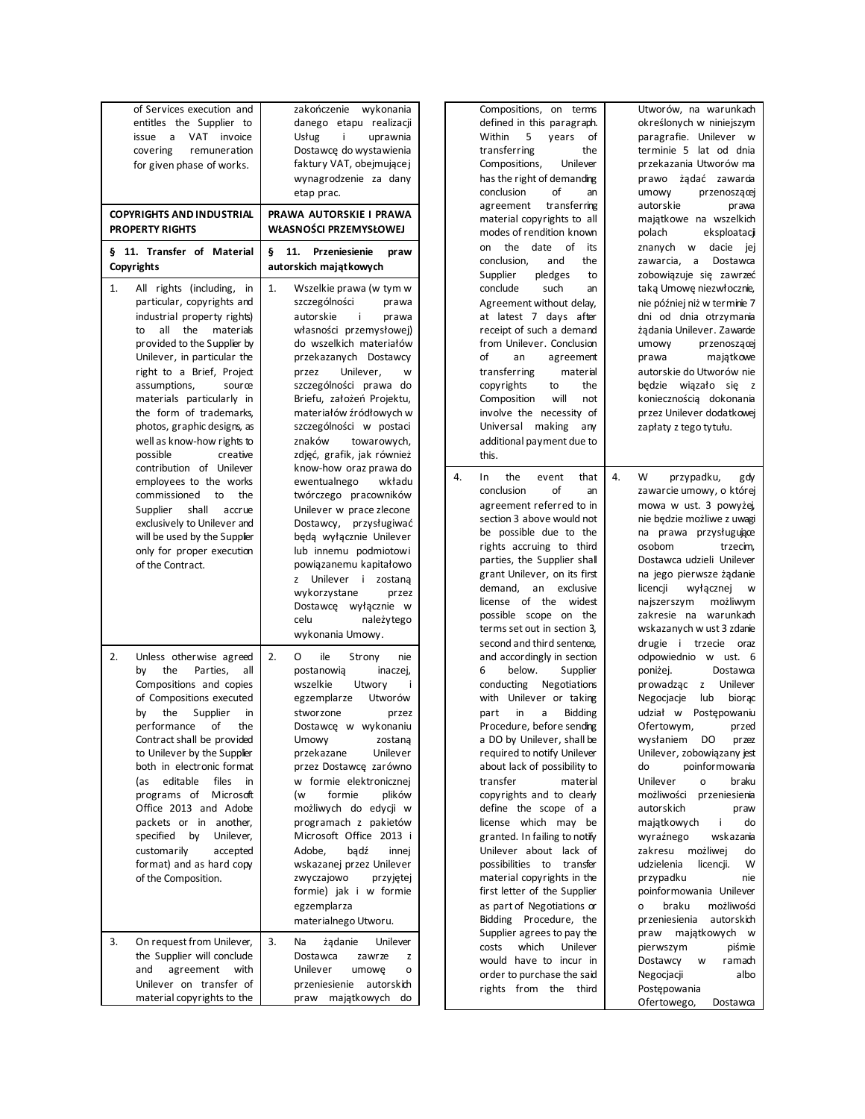| of Services execution and<br>entitles the Supplier to<br>issue a VAT invoice<br>covering<br>remuneration<br>for given phase of works.<br><b>COPYRIGHTS AND INDUSTRIAL</b>                                                                                                                                                                                                                                                                                                                       | zakończenie wykonania<br>danego etapu realizacji<br>j.<br>Usług<br>uprawnia<br>Dostawcę do wystawienia<br>faktury VAT, obejmującej<br>wynagrodzenie za dany<br>etap prac.<br>PRAWA AUTORSKIE I PRAWA                                                                                                                                                                                                                                                                                                                 | Compositions, on terms<br>defined in this paragraph.<br>Within<br>5<br>of<br>vears<br>transferring<br>the<br>Compositions,<br>Unilever<br>has the right of demanding<br>of<br>conclusion<br>an<br>transferring<br>agreement<br>material copyrights to all                                                                                                                                                                                                                                                                                                                                                                       | Utworów, na warunkach<br>określonych w niniejszym<br>paragrafie. Unilever w<br>terminie 5 lat od dnia<br>przekazania Utworów ma<br>prawo żądać zawarcia<br>umowy<br>przenoszącej<br>autorskie<br>prawa<br>majątkowe na wszelkich                                                                                                                                                                                                                                                                                                                                           |
|-------------------------------------------------------------------------------------------------------------------------------------------------------------------------------------------------------------------------------------------------------------------------------------------------------------------------------------------------------------------------------------------------------------------------------------------------------------------------------------------------|----------------------------------------------------------------------------------------------------------------------------------------------------------------------------------------------------------------------------------------------------------------------------------------------------------------------------------------------------------------------------------------------------------------------------------------------------------------------------------------------------------------------|---------------------------------------------------------------------------------------------------------------------------------------------------------------------------------------------------------------------------------------------------------------------------------------------------------------------------------------------------------------------------------------------------------------------------------------------------------------------------------------------------------------------------------------------------------------------------------------------------------------------------------|----------------------------------------------------------------------------------------------------------------------------------------------------------------------------------------------------------------------------------------------------------------------------------------------------------------------------------------------------------------------------------------------------------------------------------------------------------------------------------------------------------------------------------------------------------------------------|
| <b>PROPERTY RIGHTS</b><br>§ 11. Transfer of Material                                                                                                                                                                                                                                                                                                                                                                                                                                            | WŁASNOŚCI PRZEMYSŁOWEJ<br>Ş.<br>11.<br>Przeniesienie<br>praw                                                                                                                                                                                                                                                                                                                                                                                                                                                         | modes of rendition known<br>the date of<br>its<br>on                                                                                                                                                                                                                                                                                                                                                                                                                                                                                                                                                                            | polach<br>eksploatacji<br>znanych w dacie<br>iej                                                                                                                                                                                                                                                                                                                                                                                                                                                                                                                           |
| Copyrights                                                                                                                                                                                                                                                                                                                                                                                                                                                                                      | autorskich majątkowych                                                                                                                                                                                                                                                                                                                                                                                                                                                                                               | conclusion,<br>and<br>the<br>Supplier<br>pledges<br>to                                                                                                                                                                                                                                                                                                                                                                                                                                                                                                                                                                          | zawarcia, a<br>Dostawca<br>zobowiązuje się zawrzeć                                                                                                                                                                                                                                                                                                                                                                                                                                                                                                                         |
| 1.<br>All rights (including, in<br>particular, copyrights and<br>industrial property rights)<br>all the<br>materials<br>to<br>provided to the Supplier by<br>Unilever, in particular the<br>right to a Brief, Project<br>assumptions,<br>source<br>materials particularly in<br>the form of trademarks,<br>photos, graphic designs, as<br>well as know-how rights to<br>possible<br>creative<br>contribution of Unilever                                                                        | 1.<br>Wszelkie prawa (w tym w<br>szczególności<br>prawa<br>autorskie<br>j.<br>prawa<br>własności przemysłowej)<br>do wszelkich materiałów<br>przekazanych Dostawcy<br>przez<br>Unilever,<br>W<br>szczególności prawa do<br>Briefu, założeń Projektu,<br>materiałów źródłowych w<br>szczególności w postaci<br>znaków<br>towarowych,<br>zdjęć, grafik, jak również<br>know-how oraz prawa do                                                                                                                          | conclude<br>such<br>an<br>Agreement without delay,<br>at latest 7 days after<br>receipt of such a demand<br>from Unilever. Conclusion<br>of<br>an<br>agreement<br>transferring<br>material<br>copyrights<br>to<br>the<br>will<br>Composition<br>not<br>involve the necessity of<br>Universal making<br>any<br>additional payment due to<br>this.                                                                                                                                                                                                                                                                                | taką Umowę niezwłocznie,<br>nie później niż w terminie 7<br>dni od dnia otrzymania<br>żądania Unilever. Zawarcie<br>przenoszącej<br>umowy<br>majątkowe<br>prawa<br>autorskie do Utworów nie<br>będzie wiązało się z<br>koniecznością dokonania<br>przez Unilever dodatkowej<br>zapłaty z tego tytułu.                                                                                                                                                                                                                                                                      |
| employees to the works<br>commissioned<br>to<br>the<br>Supplier shall<br>accrue<br>exclusively to Unilever and<br>will be used by the Supplier<br>only for proper execution<br>of the Contract.                                                                                                                                                                                                                                                                                                 | ewentualnego<br>wkładu<br>twórczego pracowników<br>Unilever w prace zlecone<br>Dostawcy, przysługiwać<br>będą wyłącznie Unilever<br>lub innemu podmiotowi<br>powiązanemu kapitałowo<br>z Unilever i zostaną<br>wykorzystane<br>przez<br>Dostawcę wyłącznie w<br>należytego<br>celu<br>wykonania Umowy.                                                                                                                                                                                                               | 4.<br>the<br>In<br>event<br>that<br>conclusion<br>of<br>an<br>agreement referred to in<br>section 3 above would not<br>be possible due to the<br>rights accruing to third<br>parties, the Supplier shall<br>grant Unilever, on its first<br>demand,<br>an exclusive<br>license of the widest<br>possible scope on the<br>terms set out in section 3,<br>second and third sentence,                                                                                                                                                                                                                                              | 4.<br>W<br>przypadku,<br>gdy<br>zawarcie umowy, o której<br>mowa w ust. 3 powyżej,<br>nie będzie możliwe z uwagi<br>na prawa przysługujące<br>osobom<br>trzecim,<br>Dostawca udzieli Unilever<br>na jego pierwsze żądanie<br>licencii<br>wyłącznej<br>W<br>najszerszym<br>możliwym<br>zakresie na warunkach<br>wskazanych w ust 3 zdanie<br>drugie i trzecie oraz                                                                                                                                                                                                          |
| 2.<br>Unless otherwise agreed<br>the<br>Parties,<br>all<br>by<br>Compositions and copies<br>of Compositions executed<br>the<br>Supplier<br>by<br>in<br>οf<br>performance<br>the<br>Contract shall be provided<br>to Unilever by the Supplier<br>both in electronic format<br>editable<br>files in<br>(as<br>programs of Microsoft<br>Office 2013 and Adobe<br>packets or in another,<br>specified by<br>Unilever,<br>customarily<br>accepted<br>format) and as hard copy<br>of the Composition. | 2.<br>ile<br>0<br>Strony<br>nie<br>postanowią<br>inaczej,<br>wszelkie<br>Utwory<br>Utworów<br>egzemplarze<br>stworzone<br>przez<br>Dostawcę w wykonaniu<br>Umowy<br>zostaną<br>Unilever<br>przekazane<br>przez Dostawcę zarówno<br>w formie elektronicznej<br>formie<br>plików<br>(w<br>możliwych do edycji w<br>programach z pakietów<br>Microsoft Office 2013 i<br>Adobe,<br>badź<br>innej<br>wskazanej przez Unilever<br>zwyczajowo<br>przyjętej<br>formie) jak i w formie<br>egzemplarza<br>materialnego Utworu. | and accordingly in section<br>below.<br>6<br>Supplier<br>conducting<br>Negotiations<br>with Unilever or taking<br><b>Bidding</b><br>part<br>in<br>a<br>Procedure, before sending<br>a DO by Unilever, shall be<br>required to notify Unilever<br>about lack of possibility to<br>transfer<br>material<br>copyrights and to clearly<br>define the scope of a<br>license which may be<br>granted. In failing to notify<br>Unilever about lack of<br>possibilities to transfer<br>material copyrights in the<br>first letter of the Supplier<br>as part of Negotiations or<br>Bidding Procedure, the<br>Supplier agrees to pay the | odpowiednio w ust. 6<br>poniżej.<br>Dostawca<br>Unilever<br>prowadząc z<br>Negocjacje<br>lub<br>biorac<br>udział w Postępowaniu<br>Ofertowym,<br>przed<br>wysłaniem<br>DO<br>pr zez<br>Unilever, zobowiązany jest<br>poinformowania<br>do<br>Unilever<br>braku<br>o<br>możliwości<br>przeniesienia<br>autorskich<br>praw<br>majątkowych<br>i.<br>do<br>wskazania<br>wyraźnego<br>zakresu możliwej<br>do<br>udzielenia<br>licencji.<br>W<br>przypadku<br>nie<br>poinformowania Unilever<br>braku<br>możliwości<br>o<br>autorskich<br>przeniesienia<br>majątkowych w<br>praw |
| On request from Unilever,<br>3.<br>the Supplier will conclude<br>agreement with<br>and<br>Unilever on transfer of<br>material copyrights to the                                                                                                                                                                                                                                                                                                                                                 | 3.<br>Na<br>Unilever<br>żądanie<br>Dostawca<br>zawrze<br>z<br>Unilever<br>umowę<br>o<br>przeniesienie autorskich<br>praw majątkowych do                                                                                                                                                                                                                                                                                                                                                                              | which<br>costs<br>Unilever<br>would have to incur in<br>order to purchase the said<br>rights from the third                                                                                                                                                                                                                                                                                                                                                                                                                                                                                                                     | pierwszym<br>piśmie<br>Dostawcy<br>ramach<br>W<br>Negocjacji<br>albo<br>Postępowania<br>Ofertowego,<br>Dostawca                                                                                                                                                                                                                                                                                                                                                                                                                                                            |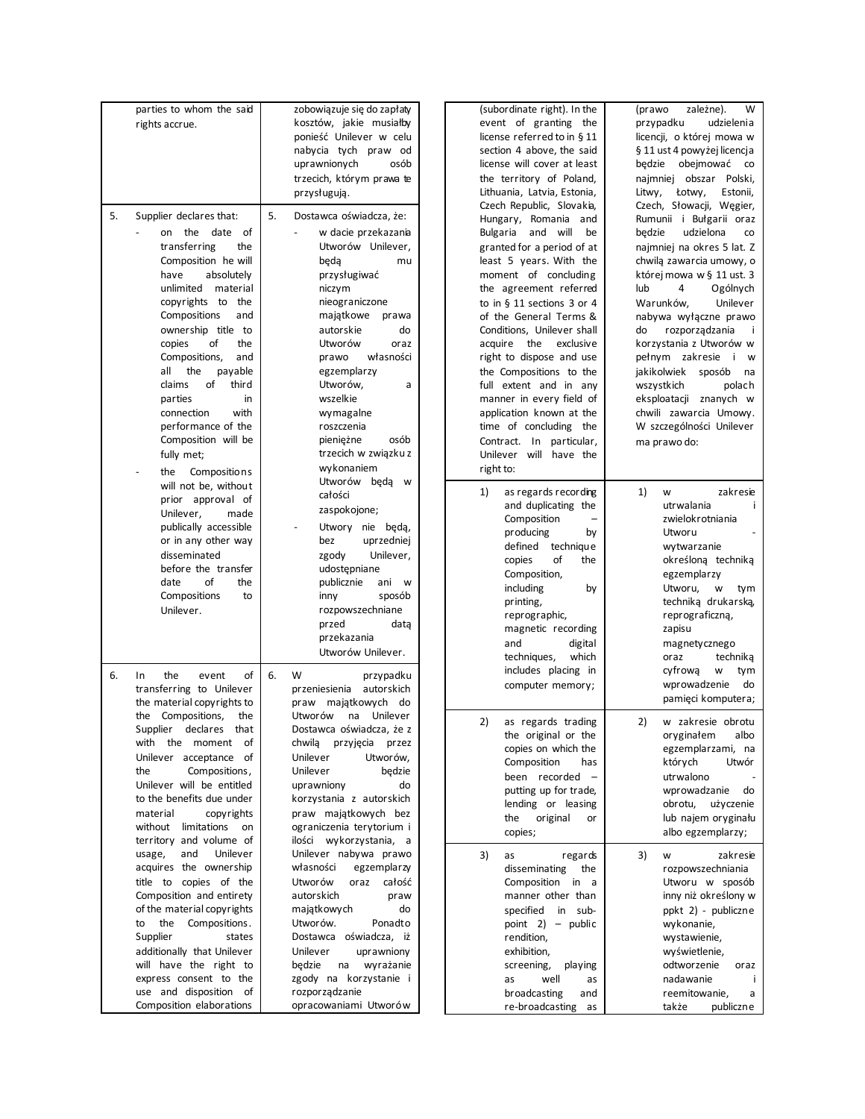|    | parties to whom the said<br>rights accrue.                                                                                                                                                                                                                                                                                                                                                                                      | zobowiązuje się do zapłaty<br>kosztów, jakie musiałby<br>ponieść Unilever w celu<br>nabycia tych praw od<br>uprawnionych<br>osób<br>trzecich, którym prawa te<br>przysługują.                                                                                                                                                                           | (subordinate right). In the<br>event of granting the<br>license referred to in § 11<br>section 4 above, the said<br>license will cover at least<br>the territory of Poland,<br>Lithuania, Latvia, Estonia,<br>Czech Republic, Slovakia,                                                                                                                                                                                                                                                                         | W<br>(prawo<br>zależne).<br>przypadku<br>udzielenia<br>licencji, o której mowa w<br>§ 11 ust 4 powyżej licencja<br>będzie obejmować<br>$\rm{co}$<br>najmniej obszar Polski,<br>Litwy,<br>Łotwy,<br>Estonii,<br>Czech, Słowacji, Węgier,                                                                                                                                                                                                                  |
|----|---------------------------------------------------------------------------------------------------------------------------------------------------------------------------------------------------------------------------------------------------------------------------------------------------------------------------------------------------------------------------------------------------------------------------------|---------------------------------------------------------------------------------------------------------------------------------------------------------------------------------------------------------------------------------------------------------------------------------------------------------------------------------------------------------|-----------------------------------------------------------------------------------------------------------------------------------------------------------------------------------------------------------------------------------------------------------------------------------------------------------------------------------------------------------------------------------------------------------------------------------------------------------------------------------------------------------------|----------------------------------------------------------------------------------------------------------------------------------------------------------------------------------------------------------------------------------------------------------------------------------------------------------------------------------------------------------------------------------------------------------------------------------------------------------|
| 5. | Supplier declares that:<br>on the date of<br>transferring<br>the<br>Composition he will<br>have<br>absolutely<br>unlimited material<br>copyrights to the<br>Compositions<br>and<br>ownership title to<br>οf<br>the<br>copies<br>Compositions,<br>and<br>all<br>the<br>payable<br>of<br>third<br>claims<br>parties<br>in<br>connection<br>with<br>performance of the<br>Composition will be<br>fully met;<br>Compositions<br>the | 5.<br>Dostawca oświadcza, że:<br>w dacie przekazania<br>Utworów Unilever,<br>beda<br>mu<br>przysługiwać<br>niczym<br>nieograniczone<br>majątkowe<br>prawa<br>autorskie<br>do<br>Utworów<br>oraz<br>własności<br>prawo<br>egzemplarzy<br>Utworów,<br>a<br>wszelkie<br>wymagalne<br>roszczenia<br>pieniężne<br>osób<br>trzecich w związku z<br>wykonaniem | Hungary, Romania and<br>Bulgaria and will<br>be<br>granted for a period of at<br>least 5 years. With the<br>moment of concluding<br>the agreement referred<br>to in § 11 sections 3 or 4<br>of the General Terms &<br>Conditions, Unilever shall<br>acquire the exclusive<br>right to dispose and use<br>the Compositions to the<br>full extent and in any<br>manner in every field of<br>application known at the<br>time of concluding the<br>Contract. In particular,<br>Unilever will have the<br>right to: | Rumunii i Bułgarii oraz<br>udzielona<br>będzie<br>co<br>najmniej na okres 5 lat. Z<br>chwilą zawarcia umowy, o<br>której mowa w § 11 ust. 3<br>lub<br>4<br>Ogólnych<br>Warunków,<br>Unilever<br>nabywa wyłączne prawo<br>rozporządzania<br>do<br>÷<br>korzystania z Utworów w<br>pełnym zakresie i w<br>jakikolwiek sposób<br>na<br>wszystkich<br>polach<br>eksploatacji znanych w<br>chwili zawarcia Umowy.<br>W szczególności Unilever<br>ma prawo do: |
|    | will not be, without<br>prior approval of<br>Unilever,<br>made<br>publically accessible<br>or in any other way<br>disseminated<br>before the transfer<br>of<br>date<br>the<br>Compositions<br>to<br>Unilever.                                                                                                                                                                                                                   | Utworów beda w<br>całości<br>zaspokojone;<br>Utwory nie będą,<br>bez<br>uprzedniej<br>Unilever,<br>zgody<br>udostępniane<br>publicznie<br>ani w<br>sposób<br>inny<br>rozpowszechniane<br>przed<br>data<br>przekazania<br>Utworów Unilever.                                                                                                              | 1)<br>as regards recording<br>and duplicating the<br>Composition<br>producing<br>by<br>technique<br>defined<br>copies<br>of<br>the<br>Composition,<br>including<br>by<br>printing,<br>reprographic,<br>magnetic recording<br>and<br>digital<br>which<br>techniques,                                                                                                                                                                                                                                             | 1)<br>zakresie<br>W<br>utrwalania<br>zwielokrotniania<br>Utworu<br>wytwarzanie<br>określoną techniką<br>egzemplarzy<br>Utworu,<br>W<br>tym<br>technika drukarska,<br>reprograficzną,<br>zapisu<br>magnetycznego<br>technika<br>oraz                                                                                                                                                                                                                      |
| 6. | of<br>the<br>$\ln$<br>event<br>transferring to Unilever<br>the material copyrights to<br>the Compositions,<br>the<br>Supplier declares that<br>with the moment of<br>Unilever acceptance of<br>the<br>Compositions,<br>Unilever will be entitled<br>to the benefits due under<br>material<br>copyrights<br>without<br>limitations<br>on<br>territory and volume of                                                              | 6.<br>W<br>przypadku<br>przeniesienia<br>autorskich<br>praw majątkowych do<br>Utworów<br>na Unilever<br>Dostawca oświadcza, że z<br>chwilą przyjęcia przez<br>Unilever<br>Utworów,<br>Unilever<br>będzie<br>uprawniony<br>do<br>korzystania z autorskich<br>praw majątkowych bez<br>ograniczenia terytorium i                                           | includes placing in<br>computer memory;<br>2)<br>as regards trading<br>the original or the<br>copies on which the<br>Composition<br>has<br>been recorded -<br>putting up for trade,<br>lending or leasing<br>the<br>original<br>or<br>copies;                                                                                                                                                                                                                                                                   | cyfrowa<br>W<br>tym<br>wprowadzenie<br>do<br>pamięci komputera;<br>2)<br>w zakresie obrotu<br>oryginałem<br>albo<br>egzemplarzami, na<br>których<br>Utwór<br>utrwalono<br>wprowadzanie<br>do<br>obrotu,<br>użyczenie<br>lub najem oryginału<br>albo egzemplarzy;                                                                                                                                                                                         |
|    | and<br>Unilever<br>usage,<br>acquires the ownership<br>title to copies of the<br>Composition and entirety<br>of the material copyrights<br>the<br>Compositions.<br>to<br>Supplier<br>states<br>additionally that Unilever<br>will have the right to<br>express consent to the<br>use and disposition of<br>Composition elaborations                                                                                             | ilości wykorzystania, a<br>Unilever nabywa prawo<br>własności<br>egzemplarzy<br>Utworów<br>oraz<br>całość<br>autorskich<br>praw<br>majątkowych<br>do<br>Utworów.<br>Ponadto<br>Dostawca oświadcza, iż<br>Unilever<br>uprawniony<br>będzie<br>wyrażanie<br>na<br>zgody na korzystanie i<br>rozporządzanie<br>opracowaniami Utworów                       | 3)<br>as<br>regards<br>disseminating<br>the<br>Composition in a<br>manner other than<br>specified<br>in sub-<br>point $2$ ) – public<br>rendition,<br>exhibition,<br>screening,<br>playing<br>well<br>as<br>as<br>broadcasting<br>and<br>re-broadcasting<br>as                                                                                                                                                                                                                                                  | 3)<br>zakresie<br>w<br>rozpowszechniania<br>Utworu w sposób<br>inny niż określony w<br>ppkt 2) - publiczne<br>wykonanie,<br>wystawienie,<br>wyświetlenie,<br>odtworzenie<br>oraz<br>nadawanie<br>reemitowanie,<br>a<br>także<br>publiczne                                                                                                                                                                                                                |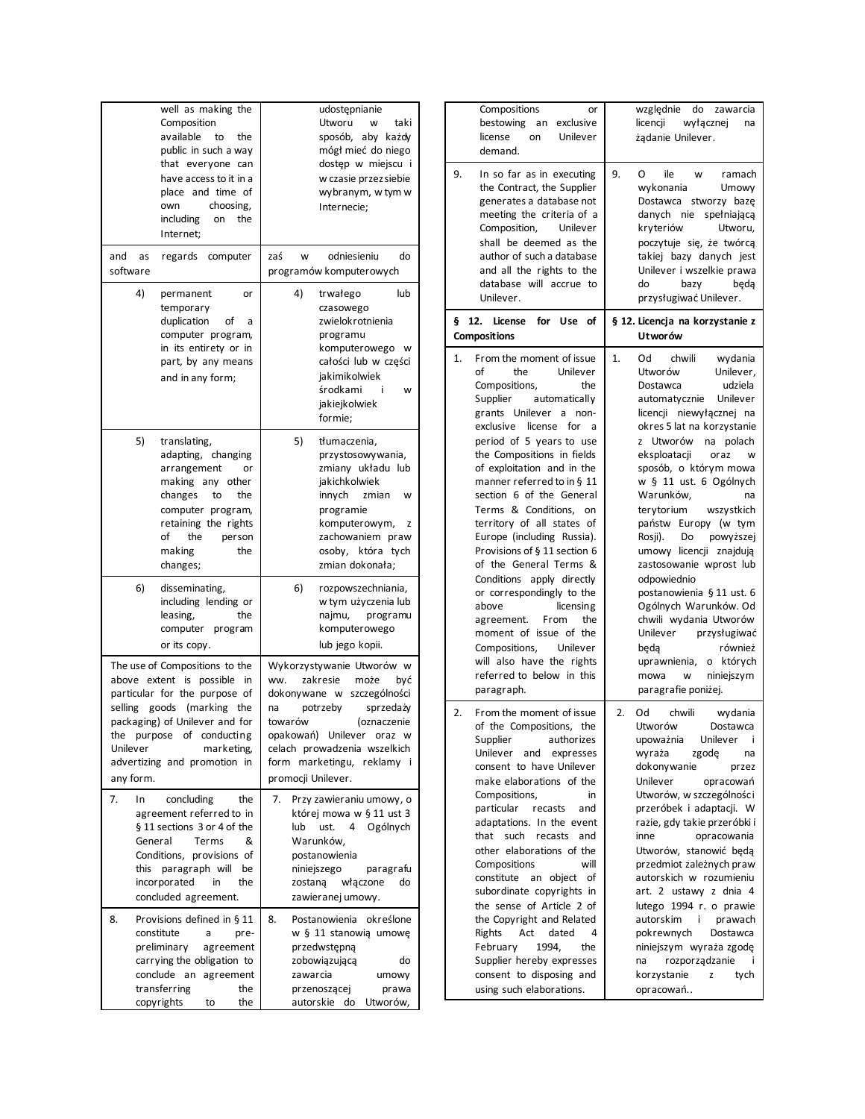| well as making the<br>Composition<br>available<br>the<br>to<br>public in such a way<br>that everyone can<br>have access to it in a<br>place and time of<br>choosing,<br>own<br>including<br>the<br>on<br>Internet;                                                 | udostępnianie<br>Utworu<br>taki<br>w<br>sposób, aby każdy<br>mógł mieć do niego<br>dostęp w miejscu i<br>w czasie przez siebie<br>wybranym, w tym w<br>Internecie;                                                                                                           |
|--------------------------------------------------------------------------------------------------------------------------------------------------------------------------------------------------------------------------------------------------------------------|------------------------------------------------------------------------------------------------------------------------------------------------------------------------------------------------------------------------------------------------------------------------------|
| and<br>regards<br>computer<br>as<br>software                                                                                                                                                                                                                       | odniesieniu<br>zaś<br>do<br>W<br>programów komputerowych                                                                                                                                                                                                                     |
| 4)<br>permanent<br>temporary<br>duplication<br>οf<br>computer program,<br>in its entirety or in<br>part, by any means<br>and in any form;                                                                                                                          | 4)<br>trwałego<br>lub<br>or<br>czasowego<br>zwielokrotnienia<br>a<br>programu<br>komputerowego w<br>całości lub w części<br>jakimikolwiek<br>środkami<br>÷<br>w<br>jakiejkolwiek<br>formie;                                                                                  |
| 5)<br>translating,<br>adapting, changing<br>arrangement<br>making any<br>other<br>the<br>changes<br>to<br>computer program,<br>retaining the rights<br>of<br>the<br>person<br>making<br>the<br>changes;                                                            | 5)<br>tłumaczenia,<br>przystosowywania,<br>zmiany układu lub<br>or<br>jakichkolwiek<br>innych<br>zmian<br>w<br>programie<br>komputerowym,<br>z<br>zachowaniem praw<br>osoby, która tych<br>zmian dokonała;                                                                   |
| 6)<br>disseminating,<br>including lending or<br>leasing,<br>the<br>computer program<br>or its copy.                                                                                                                                                                | 6)<br>rozpowszechniania,<br>w tym użyczenia lub<br>najmu,<br>programu<br>komputerowego<br>lub jego kopii.                                                                                                                                                                    |
| The use of Compositions to the<br>above extent is possible<br>particular for the purpose of<br>selling<br>goods (marking the<br>packaging) of Unilever and for<br>the purpose of conducting<br>Unilever<br>marketing,<br>advertizing and promotion in<br>any form. | Wykorzystywanie Utworów w<br>ww.<br>zakresie<br>może<br>in<br>być<br>dokonywane w szczególności<br>potrzeby<br>sprzedaży<br>na<br>(oznaczenie<br>towarów<br>opakowań) Unilever oraz w<br>celach prowadzenia wszelkich<br>form marketingu,<br>reklamy i<br>promocji Unilever. |
| 7.<br>In<br>concluding<br>agreement referred to in<br>§ 11 sections 3 or 4 of the<br>General<br>Terms<br>Conditions, provisions of<br>this paragraph will<br>incorporated<br>in<br>concluded agreement.                                                            | the<br>Przy zawieraniu umowy, o<br>7.<br>której mowa w § 11 ust 3<br>lub<br>ust.<br>4<br>Ogólnych<br>&<br>Warunków,<br>postanowienia<br>niniejszego<br>be<br>paragrafu<br>zostaną<br>właczone<br>do<br>the<br>zawieranej umowy.                                              |
| 8.<br>Provisions defined in § 11<br>constitute<br>pre-<br>a<br>preliminary<br>agreement<br>carrying the obligation to<br>conclude<br>an<br>agreement<br>transferring<br>copyrights<br>to                                                                           | Postanowienia<br>8.<br>określone<br>w § 11 stanowią umowę<br>przedwstępną<br>zobowiązującą<br>do<br>zawarcia<br>umowy<br>the<br>przenoszącej<br>prawa<br>autorskie do<br>Utworów,<br>the                                                                                     |

| Compositions<br>or<br>exclusive<br>bestowing<br>an<br>license<br>Unilever<br>on<br>demand.                                                                                                                                                                                                                                                                                                                                                                                                                                                                                                                                                                                                                                        | względnie<br>do<br>zawarcia<br>licencji<br>wyłącznej<br>na<br>żądanie Unilever.                                                                                                                                                                                                                                                                                                                                                                                                                                                                                                                                                                                                |
|-----------------------------------------------------------------------------------------------------------------------------------------------------------------------------------------------------------------------------------------------------------------------------------------------------------------------------------------------------------------------------------------------------------------------------------------------------------------------------------------------------------------------------------------------------------------------------------------------------------------------------------------------------------------------------------------------------------------------------------|--------------------------------------------------------------------------------------------------------------------------------------------------------------------------------------------------------------------------------------------------------------------------------------------------------------------------------------------------------------------------------------------------------------------------------------------------------------------------------------------------------------------------------------------------------------------------------------------------------------------------------------------------------------------------------|
| 9.<br>In so far as in executing<br>the Contract, the Supplier<br>generates a database not<br>meeting the criteria of a<br>Composition,<br>Unilever<br>shall be deemed as the<br>author of such a database<br>and all the rights to the<br>database will accrue to<br>Unilever.                                                                                                                                                                                                                                                                                                                                                                                                                                                    | 9.<br>ile<br>O<br>ramach<br>w<br>wykonania<br>Umowy<br>Dostawca<br>stworzy bazę<br>danych<br>spełniającą<br>nie<br>kryteriów<br>Utworu,<br>poczytuje się, że twórcą<br>takiej bazy danych jest<br>Unilever i wszelkie prawa<br>do<br>bazy<br>beda<br>przysługiwać Unilever.                                                                                                                                                                                                                                                                                                                                                                                                    |
| 12.<br>for<br>Use<br>οf<br>ş<br>License<br><b>Compositions</b>                                                                                                                                                                                                                                                                                                                                                                                                                                                                                                                                                                                                                                                                    | § 12. Licencja na korzystanie z<br>Utworów                                                                                                                                                                                                                                                                                                                                                                                                                                                                                                                                                                                                                                     |
| From the moment of issue<br>1.<br>of<br>the<br>Unilever<br>Compositions,<br>the<br>Supplier<br>automatically<br>grants Unilever<br>non-<br>a<br>for<br>exclusive<br>license<br>a<br>period of 5 years to use<br>the Compositions in fields<br>of exploitation and in the<br>manner referred to in § 11<br>section 6 of the General<br>Terms & Conditions,<br>on<br>territory of all states of<br>Europe (including Russia).<br>Provisions of § 11 section 6<br>of the General Terms &<br>Conditions apply directly<br>or correspondingly to the<br>above<br>licensing<br>From<br>the<br>agreement.<br>moment of issue of the<br>Compositions,<br>Unilever<br>will also have the rights<br>referred to below in this<br>paragraph. | chwili<br>wydania<br>1.<br>Od<br>Utworów<br>Unilever,<br>Dostawca<br>udziela<br>Unilever<br>automatycznie<br>licencji niewyłącznej na<br>okres 5 lat na korzystanie<br>Utworów<br>polach<br>na<br>z<br>eksploatacji<br>oraz<br>W<br>sposób, o którym mowa<br>w § 11 ust. 6 Ogólnych<br>Warunków,<br>na<br>terytorium<br>wszystkich<br>państw Europy (w tym<br>Rosji).<br>Do<br>powyższej<br>umowy licencji<br>znajdują<br>zastosowanie wprost lub<br>odpowiednio<br>postanowienia § 11 ust. 6<br>Ogólnych Warunków. Od<br>chwili wydania Utworów<br>Unilever<br>przysługiwać<br>również<br>będą<br>o których<br>uprawnienia,<br>niniejszym<br>mowa<br>W<br>paragrafie poniżej. |
| From the moment of issue<br>2.<br>of the Compositions,<br>the<br>authorizes<br>Supplier<br>Unilever<br>and<br>expresses<br>consent to have Unilever<br>make elaborations of the<br>Compositions,<br>in<br>particular<br>recasts<br>and<br>adaptations. In the event<br>that<br>such<br>recasts<br>and<br>other elaborations of the<br>Compositions<br>will<br>constitute<br>an object<br>οf<br>subordinate copyrights in<br>the sense of Article 2 of<br>the Copyright and Related<br>Rights<br>Act<br>dated<br>4<br>February<br>1994,<br>the<br>Supplier hereby expresses<br>consent to disposing and<br>using such elaborations.                                                                                                | 2.<br>Od<br>chwili<br>wydania<br>Utworów<br>Dostawca<br>Unilever<br>upoważnia<br>Ť<br>wyraża<br>zgodę<br>na<br>dokonywanie<br>przez<br>Unilever<br>opracowań<br>Utworów, w szczególności<br>przeróbek i adaptacji. W<br>razie, gdy takie przeróbki i<br>opracowania<br>inne<br>Utworów, stanowić będą<br>przedmiot zależnych praw<br>autorskich w rozumieniu<br>art. 2 ustawy z dnia 4<br>lutego 1994 r. o prawie<br>autorskim<br>i<br>prawach<br>pokrewnych<br>Dostawca<br>niniejszym wyraża zgodę<br>rozporządzanie<br>na<br>Ť<br>korzystanie<br>tych<br>z<br>opracowań                                                                                                      |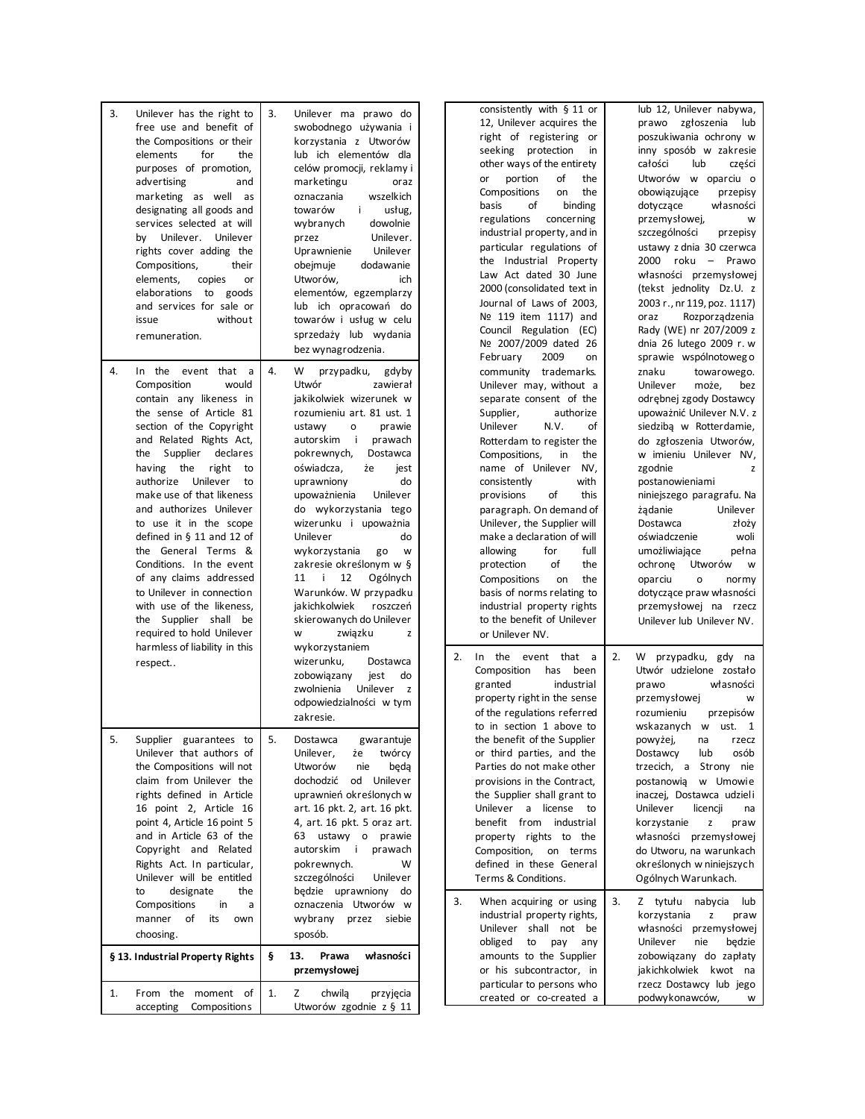| 3.<br>Unilever has the right to<br>free use and benefit of<br>the Compositions or their<br>for<br>elements<br>the<br>purposes of promotion,<br>advertising<br>and<br>marketing as well as<br>designating all goods and<br>services selected at will<br>by Unilever. Unilever<br>rights cover adding the<br>Compositions,<br>their<br>copies<br>elements,<br>or<br>elaborations to goods<br>and services for sale or<br>without<br>issue                                                                                                                                                       | 3.<br>Unilever ma prawo do<br>swobodnego używania i<br>korzystania z Utworów<br>lub ich elementów dla<br>celów promocji, reklamy i<br>marketingu<br>oraz<br>wszelkich<br>oznaczania<br>i.<br>towarów<br>usług,<br>dowolnie<br>wybranych<br>Unilever.<br>przez<br>Unilever<br>Uprawnienie<br>dodawanie<br>obejmuje<br>Utworów,<br>ich<br>elementów, egzemplarzy<br>lub ich opracowań do<br>towarów i usług w celu                                                                                                                                                           | consistently with § 11 or<br>12, Unilever acquires the<br>right of registering or<br>seeking protection<br>in<br>other ways of the entirety<br>portion<br>of<br>the<br>or<br>the<br>Compositions<br>on<br>basis<br>of<br>binding<br>regulations concerning<br>industrial property, and in<br>particular regulations of<br>the Industrial Property<br>Law Act dated 30 June<br>2000 (consolidated text in<br>Journal of Laws of 2003,<br>Nº 119 item 1117) and                                                                                                                                  | lub 12, Unilever nabywa,<br>prawo zgłoszenia<br>lub<br>poszukiwania ochrony w<br>inny sposób w zakresie<br>całości<br>lub<br>części<br>Utworów w oparciu o<br>obowiązujące<br>przepisy<br>dotyczące<br>własności<br>przemysłowej,<br>w<br>szczególności<br>przepisy<br>ustawy z dnia 30 czerwca<br>2000 roku - Prawo<br>własności przemysłowej<br>(tekst jednolity Dz.U. z<br>2003 r., nr 119, poz. 1117)<br>Rozporządzenia<br>oraz                                                                                                        |
|-----------------------------------------------------------------------------------------------------------------------------------------------------------------------------------------------------------------------------------------------------------------------------------------------------------------------------------------------------------------------------------------------------------------------------------------------------------------------------------------------------------------------------------------------------------------------------------------------|----------------------------------------------------------------------------------------------------------------------------------------------------------------------------------------------------------------------------------------------------------------------------------------------------------------------------------------------------------------------------------------------------------------------------------------------------------------------------------------------------------------------------------------------------------------------------|------------------------------------------------------------------------------------------------------------------------------------------------------------------------------------------------------------------------------------------------------------------------------------------------------------------------------------------------------------------------------------------------------------------------------------------------------------------------------------------------------------------------------------------------------------------------------------------------|--------------------------------------------------------------------------------------------------------------------------------------------------------------------------------------------------------------------------------------------------------------------------------------------------------------------------------------------------------------------------------------------------------------------------------------------------------------------------------------------------------------------------------------------|
| remuneration.                                                                                                                                                                                                                                                                                                                                                                                                                                                                                                                                                                                 | sprzedaży lub wydania<br>bez wynagrodzenia.                                                                                                                                                                                                                                                                                                                                                                                                                                                                                                                                | Council Regulation (EC)<br>Nº 2007/2009 dated 26<br>February<br>2009<br>on                                                                                                                                                                                                                                                                                                                                                                                                                                                                                                                     | Rady (WE) nr 207/2009 z<br>dnia 26 lutego 2009 r. w<br>sprawie wspólnotowego                                                                                                                                                                                                                                                                                                                                                                                                                                                               |
| In the event that a<br>4.<br>Composition<br>would<br>contain any likeness in<br>the sense of Article 81<br>section of the Copyright<br>and Related Rights Act,<br>the Supplier declares<br>having the right<br>to<br>authorize Unilever<br>to<br>make use of that likeness<br>and authorizes Unilever<br>to use it in the scope<br>defined in $§$ 11 and 12 of<br>the General Terms &<br>Conditions. In the event<br>of any claims addressed<br>to Unilever in connection<br>with use of the likeness,<br>the Supplier shall be<br>required to hold Unilever<br>harmless of liability in this | 4.<br>W<br>przypadku, gdyby<br>Utwór<br>zawierał<br>jakikolwiek wizerunek w<br>rozumieniu art. 81 ust. 1<br>prawie<br>ustawy<br>o<br>autorskim<br>i prawach<br>pokrewnych,<br>Dostawca<br>oświadcza,<br>że<br>jest<br>do<br>uprawniony<br>Unilever<br>upoważnienia<br>do wykorzystania tego<br>wizerunku i upoważnia<br>Unilever<br>do<br>wykorzystania<br>go<br>W<br>zakresie określonym w §<br>12<br>Ogólnych<br>11 i<br>Warunków. W przypadku<br>jakichkolwiek<br>roszczeń<br>skierowanych do Unilever<br>związku<br>W<br>z<br>wykorzystaniem<br>wizerunku,<br>Dostawca | community trademarks.<br>Unilever may, without a<br>separate consent of the<br>Supplier,<br>authorize<br>N.V.<br>Unilever<br>of<br>Rotterdam to register the<br>Compositions,<br>in<br>the<br>name of Unilever<br>NV,<br>consistently<br>with<br>provisions<br>of<br>this<br>paragraph. On demand of<br>Unilever, the Supplier will<br>make a declaration of will<br>for<br>allowing<br>full<br>the<br>of<br>protection<br>Compositions<br>on<br>the<br>basis of norms relating to<br>industrial property rights<br>to the benefit of Unilever<br>or Unilever NV.<br>In the event that a<br>2. | znaku<br>towarowego.<br>Unilever<br>może,<br>bez<br>odrębnej zgody Dostawcy<br>upoważnić Unilever N.V. z<br>siedziba w Rotterdamie,<br>do zgłoszenia Utworów,<br>w imieniu Unilever NV,<br>zgodnie<br>z<br>postanowieniami<br>niniejszego paragrafu. Na<br>Unilever<br>żądanie<br>Dostawca<br>złoży<br>oświadczenie<br>woli<br>umożliwiające<br>pełna<br>Utworów<br>ochrone<br>W<br>oparciu<br>$\mathsf{o}\xspace$<br>normy<br>dotyczące praw własności<br>przemysłowej na rzecz<br>Unilever lub Unilever NV.<br>W przypadku, gdy na<br>2. |
| respect                                                                                                                                                                                                                                                                                                                                                                                                                                                                                                                                                                                       | zobowiązany<br>jest<br>do<br>Unilever<br>zwolnienia<br>$\mathsf{z}$<br>odpowiedzialności w tym<br>zakresie.                                                                                                                                                                                                                                                                                                                                                                                                                                                                | Composition<br>has been<br>granted<br>industrial<br>property right in the sense<br>of the regulations referred<br>to in section 1 above to                                                                                                                                                                                                                                                                                                                                                                                                                                                     | Utwór udzielone zostało<br>prawo<br>własności<br>przemysłowej<br>w<br>rozumieniu<br>przepisów<br>wskazanych w ust. 1                                                                                                                                                                                                                                                                                                                                                                                                                       |
| 5.<br>Supplier guarantees to<br>Unilever that authors of<br>the Compositions will not<br>claim from Unilever the<br>rights defined in Article<br>16 point 2, Article 16<br>point 4, Article 16 point 5<br>and in Article 63 of the<br>Copyright and Related<br>Rights Act. In particular,<br>Unilever will be entitled                                                                                                                                                                                                                                                                        | 5.<br>gwarantuje<br>Dostawca<br>twórcy<br>Unilever,<br>że<br>Utworów<br>nie<br>beda<br>od Unilever<br>dochodzić<br>uprawnień określonych w<br>art. 16 pkt. 2, art. 16 pkt.<br>4, art. 16 pkt. 5 oraz art.<br>63 ustawy o prawie<br>autorskim i prawach<br>pokrewnych.<br>W<br>szczególności<br>Unilever                                                                                                                                                                                                                                                                    | the benefit of the Supplier<br>or third parties, and the<br>Parties do not make other<br>provisions in the Contract,<br>the Supplier shall grant to<br>Unilever a license to<br>benefit from industrial<br>property rights to the<br>Composition, on terms<br>defined in these General<br>Terms & Conditions.                                                                                                                                                                                                                                                                                  | powyżej,<br>na<br>rzecz<br>osób<br>Dostawcy<br>lub<br>trzecich, a Strony nie<br>postanowią w Umowie<br>inaczej, Dostawca udzieli<br>Unilever<br>licencji<br>na<br>korzystanie<br>z<br>praw<br>własności przemysłowej<br>do Utworu, na warunkach<br>określonych w niniejszych<br>Ogólnych Warunkach.                                                                                                                                                                                                                                        |
| designate<br>the<br>to<br>Compositions<br>in<br>a<br>manner of<br>its<br>own<br>choosing.                                                                                                                                                                                                                                                                                                                                                                                                                                                                                                     | będzie uprawniony do<br>oznaczenia Utworów w<br>wybrany przez siebie<br>sposób.                                                                                                                                                                                                                                                                                                                                                                                                                                                                                            | 3.<br>When acquiring or using<br>industrial property rights,<br>Unilever shall not be<br>obliged<br>pay<br>to<br>any                                                                                                                                                                                                                                                                                                                                                                                                                                                                           | 3.<br>Z tytułu nabycia<br>lub<br>korzystania<br>Z<br>praw<br>własności przemysłowej<br>Unilever<br>nie<br>będzie                                                                                                                                                                                                                                                                                                                                                                                                                           |
| § 13. Industrial Property Rights<br>1.<br>From the moment of<br>accepting<br><b>Compositions</b>                                                                                                                                                                                                                                                                                                                                                                                                                                                                                              | 13.<br>własności<br>ş<br>Prawa<br>przemysłowej<br>1.<br>Ζ<br>chwila<br>przyjęcia<br>Utworów zgodnie z § 11                                                                                                                                                                                                                                                                                                                                                                                                                                                                 | amounts to the Supplier<br>or his subcontractor, in<br>particular to persons who<br>created or co-created a                                                                                                                                                                                                                                                                                                                                                                                                                                                                                    | zobowiązany do zapłaty<br>jakichkolwiek kwot na<br>rzecz Dostawcy lub jego<br>podwykonawców,<br>w                                                                                                                                                                                                                                                                                                                                                                                                                                          |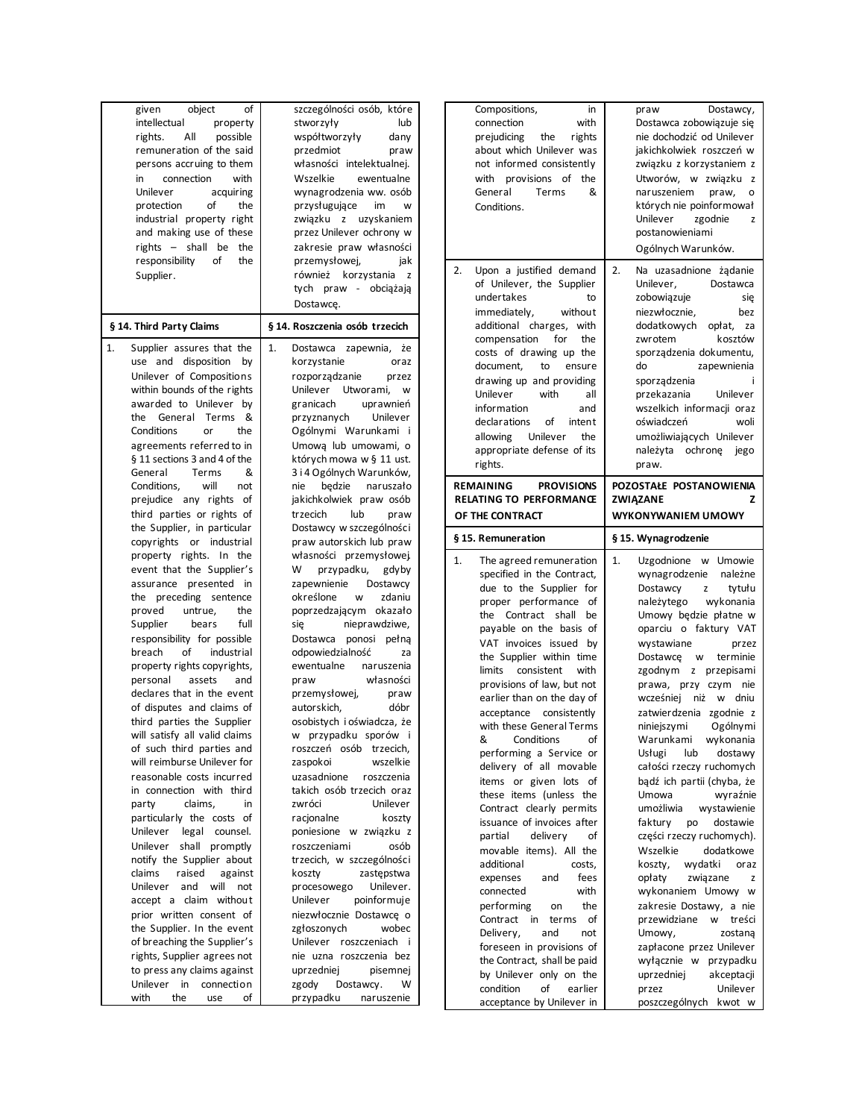| 1.<br>Supplier assures that the<br>1.<br>Dostawca<br>zapewnia,<br>że<br>use and disposition<br>korzystanie<br>by<br>oraz<br>Unilever of Compositions<br>rozporządzanie<br>przez<br>within bounds of the rights<br>Unilever Utworami,<br>W<br>awarded to Unilever<br>granicach<br>uprawnień<br>by<br>the<br>General<br>Terms<br>&<br>przyznanych<br>Unilever<br>Conditions<br>Ogólnymi Warunkami<br>or<br>the<br>-i<br>agreements referred to in<br>Umowa lub umowami, o<br>§ 11 sections 3 and 4 of the<br>których mowa w § 11 ust.<br>3 i 4 Ogólnych Warunków,<br>General<br>Terms<br>&<br>will<br>Conditions,<br>będzie<br>naruszało<br>not<br>nie<br>prejudice any rights<br>of<br>jakichkolwiek praw osób<br>third parties or rights of<br>trzecich<br>lub<br>praw<br>the Supplier, in particular<br>Dostawcy w szczególności<br>copyrights<br>praw autorskich lub praw<br>or industrial<br>property rights. In the<br>własności przemysłowej.<br>event that the Supplier's<br>w<br>przypadku,<br>gdyby<br>assurance presented<br>zapewnienie<br>Dostawcy<br>in<br>określone<br>w<br>zdaniu<br>the<br>preceding sentence<br>proved<br>poprzedzającym okazało<br>untrue,<br>the<br>Supplier<br>bears<br>full<br>nieprawdziwe,<br>się<br>responsibility for possible<br>Dostawca<br>ponosi<br>pełną<br>of<br>industrial<br>odpowiedzialność<br>breach<br>za<br>property rights copyrights,<br>ewentualne<br>naruszenia<br>własności<br>personal<br>assets<br>and<br>praw<br>declares that in the event<br>przemysłowej,<br>praw<br>of disputes and claims of<br>autorskich,<br>dóbr<br>third parties the Supplier<br>osobistych i oświadcza, że<br>will satisfy all valid claims<br>w przypadku sporów i<br>of such third parties and<br>roszczeń osób trzecich,<br>will reimburse Unilever for<br>wszelkie<br>zaspokoi<br>reasonable costs incurred<br>uzasadnione<br>roszczenia<br>takich osób trzecich oraz<br>in connection with third<br>claims.<br>zwróci<br>Unilever<br>party<br>in<br>particularly the costs of<br>racjonalne<br>koszty<br>Unilever<br>legal<br>counsel.<br>poniesione w związku z<br>Unilever<br>shall<br>promptly<br>roszczeniami<br>osób<br>notify the Supplier about<br>trzecich, w szczególności<br>claims<br>raised<br>against<br>zastępstwa<br>koszty<br>Unilever<br>and<br>will<br>procesowego<br>Unilever.<br>not<br>accept a claim<br>Unilever<br>poinformuje<br>withou t<br>prior written consent of<br>niezwłocznie Dostawce o<br>the Supplier. In the event<br>zgłoszonych<br>wobec<br>of breaching the Supplier's<br>Unilever<br>roszczeniach<br>-i<br>rights, Supplier agrees not<br>nie uzna roszczenia bez<br>to press any claims against<br>uprzedniej<br>pisemnej<br>Unilever in<br>connection<br>zgody<br>Dostawcy.<br>w<br>with<br>the<br>οf<br>przypadku<br>naruszenie<br>use |
|-------------------------------------------------------------------------------------------------------------------------------------------------------------------------------------------------------------------------------------------------------------------------------------------------------------------------------------------------------------------------------------------------------------------------------------------------------------------------------------------------------------------------------------------------------------------------------------------------------------------------------------------------------------------------------------------------------------------------------------------------------------------------------------------------------------------------------------------------------------------------------------------------------------------------------------------------------------------------------------------------------------------------------------------------------------------------------------------------------------------------------------------------------------------------------------------------------------------------------------------------------------------------------------------------------------------------------------------------------------------------------------------------------------------------------------------------------------------------------------------------------------------------------------------------------------------------------------------------------------------------------------------------------------------------------------------------------------------------------------------------------------------------------------------------------------------------------------------------------------------------------------------------------------------------------------------------------------------------------------------------------------------------------------------------------------------------------------------------------------------------------------------------------------------------------------------------------------------------------------------------------------------------------------------------------------------------------------------------------------------------------------------------------------------------------------------------------------------------------------------------------------------------------------------------------------------------------------------------------------------------------------------------------------------------------------------------------------------------------------------------------------------------------------------------------------------------------|
|                                                                                                                                                                                                                                                                                                                                                                                                                                                                                                                                                                                                                                                                                                                                                                                                                                                                                                                                                                                                                                                                                                                                                                                                                                                                                                                                                                                                                                                                                                                                                                                                                                                                                                                                                                                                                                                                                                                                                                                                                                                                                                                                                                                                                                                                                                                                                                                                                                                                                                                                                                                                                                                                                                                                                                                                                               |

| Compositions,<br>in<br>connection<br>with<br>prejudicing the<br>rights<br>about which Unilever was<br>not informed consistently<br>with<br>provisions of<br>the<br>General<br>Terms<br>&<br>Conditions.                                                                                                                                                                                                                                                                                                                                                                                                                                                                                                                                           | praw<br>Dostawcy,<br>Dostawca zobowiązuje się<br>nie dochodzić od Unilever<br>jakichkolwiek roszczeń w<br>związku z korzystaniem z<br>Utworów, w związku<br>z<br>naruszeniem<br>praw,<br>о<br>których nie poinformował<br>Unilever<br>zgodnie<br>z<br>postanowieniami<br>Ogólnych Warunków.                                                                                                                                                                                                                                                                                                                                                                                                                                         |
|---------------------------------------------------------------------------------------------------------------------------------------------------------------------------------------------------------------------------------------------------------------------------------------------------------------------------------------------------------------------------------------------------------------------------------------------------------------------------------------------------------------------------------------------------------------------------------------------------------------------------------------------------------------------------------------------------------------------------------------------------|-------------------------------------------------------------------------------------------------------------------------------------------------------------------------------------------------------------------------------------------------------------------------------------------------------------------------------------------------------------------------------------------------------------------------------------------------------------------------------------------------------------------------------------------------------------------------------------------------------------------------------------------------------------------------------------------------------------------------------------|
| 2.<br>Upon a justified demand<br>of Unilever, the Supplier<br>undertakes<br>to<br>immediately,<br>without<br>additional charges,<br>with<br>compensation<br>for<br>the<br>costs of drawing up the<br>document,<br>to<br>ensure<br>drawing up and providing<br>Unilever<br>with<br>all<br>information<br>and<br>declarations<br>of<br>intent<br>Unilever<br>allowing<br>the<br>appropriate defense of its<br>rights.                                                                                                                                                                                                                                                                                                                               | 2.<br>Na uzasadnione żądanie<br>Unilever,<br>Dostawca<br>zobowiązuje<br>się<br>niezwłocznie,<br>bez<br>dodatkowych<br>opłat,<br>za<br>zwrotem<br>kosztów<br>sporządzenia dokumentu,<br>zapewnienia<br>do<br>sporządzenia<br>przekazania<br>Unilever<br>wszelkich informacji oraz<br>oświadczeń<br>woli<br>umożliwiających Unilever<br>należyta ochronę<br>jego<br>praw.                                                                                                                                                                                                                                                                                                                                                             |
| <b>REMAINING</b><br><b>PROVISIONS</b><br><b>RELATING TO PERFORMANCE</b><br>OF THE CONTRACT                                                                                                                                                                                                                                                                                                                                                                                                                                                                                                                                                                                                                                                        | POZOSTAŁE POSTANOWIENIA<br>ZWIĄZANE<br>z<br>WYKONYWANIEM UMOWY                                                                                                                                                                                                                                                                                                                                                                                                                                                                                                                                                                                                                                                                      |
| § 15. Remuneration                                                                                                                                                                                                                                                                                                                                                                                                                                                                                                                                                                                                                                                                                                                                | § 15. Wynagrodzenie                                                                                                                                                                                                                                                                                                                                                                                                                                                                                                                                                                                                                                                                                                                 |
|                                                                                                                                                                                                                                                                                                                                                                                                                                                                                                                                                                                                                                                                                                                                                   |                                                                                                                                                                                                                                                                                                                                                                                                                                                                                                                                                                                                                                                                                                                                     |
| 1.<br>The agreed remuneration<br>specified in the Contract,<br>due to the Supplier for<br>proper performance of<br>the<br>Contract<br>shall<br>be<br>payable on the basis of<br>VAT invoices issued<br>by<br>the Supplier within time<br>consistent<br>with<br>limits<br>provisions of law, but not<br>earlier than on the day of<br>acceptance consistently<br>with these General Ferms<br>&<br>Conditions<br>of<br>performing a Service or<br>delivery of all movable<br>items or given lots of<br>these items (unless the<br>Contract clearly permits<br>issuance of invoices after<br>delivery<br>partial<br>of<br>movable items). All the<br>additional<br>costs,<br>expenses<br>fees<br>and<br>with<br>connected<br>performing<br>the<br>on | 1.<br>Uzgodnione<br>w Umowie<br>wynagrodzenie<br>należne<br>Dostawcy<br>tytułu<br>z<br>wykonania<br>należytego<br>Umowy będzie płatne w<br>oparciu o faktury VAT<br>wystawiane<br>przez<br>Dostawce<br>terminie<br><b>W</b><br>zgodnym<br>z przepisami<br>prawa, przy czym<br>nie<br>wcześniej<br>niż w dniu<br>zatwierdzenia zgodnie z<br>niniejszymi<br>Ogolnymi<br>Warunkami<br>wykonania<br>dostawy<br>Usługi<br>lub<br>całości rzeczy ruchomych<br>bądź ich partii (chyba, że<br>Umowa<br>wyraźnie<br>umożliwia<br>wystawienie<br>faktury<br>dostawie<br>po<br>części rzeczy ruchomych).<br>Wszelkie<br>dodatkowe<br>koszty,<br>wydatki<br>oraz<br>opłaty<br>związane<br>z<br>wykonaniem Umowy<br>W<br>zakresie Dostawy, a nie |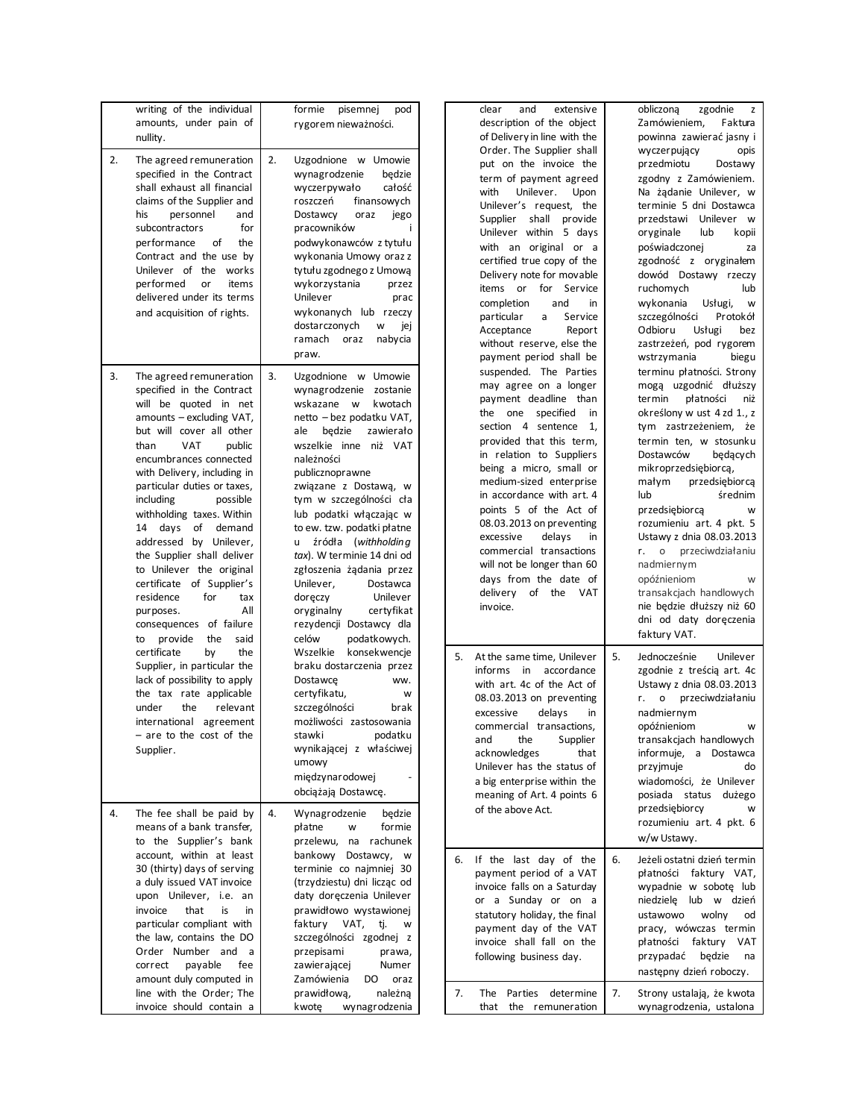|    | writing of the individual<br>amounts, under pain of<br>nullity.                                                                                                                                                                                                                                                                                                                                                                                                                                                                                                     | formie<br>pisemnej<br>pod<br>rygorem nieważności.                                                                                                                                                                                                                                                                                                                                                                                                                                                                             | and<br>clear<br>extensive<br>obliczoną<br>description of the object<br>of Delivery in line with the<br>Order. The Supplier shall                                                                                                                                                                                                                                                                                                                                                                             | zgodnie<br>z<br>Zamówieniem,<br>Faktura<br>powinna zawierać jasny i                                                                                                                                                                                                                                                                                                                                                                                                               |
|----|---------------------------------------------------------------------------------------------------------------------------------------------------------------------------------------------------------------------------------------------------------------------------------------------------------------------------------------------------------------------------------------------------------------------------------------------------------------------------------------------------------------------------------------------------------------------|-------------------------------------------------------------------------------------------------------------------------------------------------------------------------------------------------------------------------------------------------------------------------------------------------------------------------------------------------------------------------------------------------------------------------------------------------------------------------------------------------------------------------------|--------------------------------------------------------------------------------------------------------------------------------------------------------------------------------------------------------------------------------------------------------------------------------------------------------------------------------------------------------------------------------------------------------------------------------------------------------------------------------------------------------------|-----------------------------------------------------------------------------------------------------------------------------------------------------------------------------------------------------------------------------------------------------------------------------------------------------------------------------------------------------------------------------------------------------------------------------------------------------------------------------------|
| 2. | The agreed remuneration<br>specified in the Contract<br>shall exhaust all financial<br>claims of the Supplier and<br>personnel<br>his<br>and<br>subcontractors<br>for<br>performance<br>of<br>the<br>Contract and the use by<br>Unilever of the works<br>performed<br>items<br>or<br>delivered under its terms<br>and acquisition of rights.                                                                                                                                                                                                                        | 2.<br>Uzgodnione w Umowie<br>wynagrodzenie<br>bedzie<br>całość<br>wyczerpywało<br>finansowych<br>roszczeń<br>Dostawcy<br>oraz<br>jego<br>pracowników<br>j.<br>podwykonawców z tytułu<br>wykonania Umowy oraz z<br>tytułu zgodnego z Umową<br>wykorzystania<br>przez<br>Unilever<br>prac<br>wykonanych lub rzeczy<br>dostarczonych<br>W<br>jej<br>ramach<br>oraz<br>nabycia<br>praw.                                                                                                                                           | put on the invoice the<br>term of payment agreed<br>with<br>Unilever.<br>Upon<br>Unilever's request, the<br>Supplier shall provide<br>Unilever within 5 days<br>oryginale<br>with an original or a<br>certified true copy of the<br>Delivery note for movable<br>items or for Service<br>and<br>completion<br>in<br>particular<br>Service<br>a<br>Odbioru<br>Acceptance<br>Report<br>without reserve, else the<br>payment period shall be                                                                    | wyczerpujący<br>opis<br>przedmiotu<br>Dostawy<br>zgodny z Zamówieniem.<br>Na żądanie Unilever, w<br>terminie 5 dni Dostawca<br>przedstawi Unilever w<br>lub<br>kopii<br>poświadczonej<br>za<br>zgodność z oryginałem<br>dowód Dostawy rzeczy<br>ruchomych<br>lub<br>wykonania<br>Usługi,<br>W<br>szczególności<br>Protokół<br>Usługi<br>bez<br>zastrzeżeń, pod rygorem<br>wstrzymania<br>biegu                                                                                    |
| 3. | The agreed remuneration<br>specified in the Contract<br>will be quoted in net<br>amounts - excluding VAT,<br>but will cover all other<br><b>VAT</b><br>than<br>public<br>encumbrances connected<br>with Delivery, including in<br>particular duties or taxes,<br>including<br>possible<br>withholding taxes. Within<br>14 days of demand<br>addressed by Unilever,<br>the Supplier shall deliver<br>to Unilever the original<br>certificate of Supplier's<br>residence<br>for<br>tax<br>Αll<br>purposes.<br>consequences of failure<br>provide<br>the<br>said<br>to | 3.<br>Uzgodnione w Umowie<br>wynagrodzenie zostanie<br>wskazane w<br>kwotach<br>netto – bez podatku VAT,<br>ale będzie<br>zawierało<br>wszelkie inne niż VAT<br>należności<br>publicznoprawne<br>związane z Dostawą, w<br>tym w szczególności cła<br>lub podatki włączając w<br>to ew. tzw. podatki płatne<br>u źródła (withholding<br>tax). W terminie 14 dni od<br>zgłoszenia żądania przez<br>Unilever,<br>Dostawca<br>Unilever<br>doręczy<br>oryginalny<br>certyfikat<br>rezydencji Dostawcy dla<br>celów<br>podatkowych. | suspended. The Parties<br>may agree on a longer<br>payment deadline than<br>termin<br>the one specified<br>in<br>section 4 sentence<br>1,<br>provided that this term,<br>in relation to Suppliers<br>being a micro, small or<br>medium-sized enterprise<br>małym<br>in accordance with art. 4<br>lub<br>points 5 of the Act of<br>08.03.2013 on preventing<br>excessive<br>delays<br>in<br>commercial transactions<br>will not be longer than 60<br>days from the date of<br>delivery of the VAT<br>invoice. | terminu płatności. Strony<br>mogą uzgodnić dłuższy<br>płatności<br>niż<br>określony w ust 4 zd 1., z<br>tym zastrzeżeniem, że<br>termin ten, w stosunku<br>Dostawców<br>bedacych<br>mikroprzedsiębiorcą,<br>przedsiębiorcą<br>średnim<br>przedsiębiorca<br>W<br>rozumieniu art. 4 pkt. 5<br>Ustawy z dnia 08.03.2013<br>r. o przeciwdziałaniu<br>nadmiernym<br>opóźnieniom<br>W<br>transakcjach handlowych<br>nie będzie dłuższy niż 60<br>dni od daty doręczenia<br>faktury VAT. |
| 4. | certificate<br>by<br>the<br>Supplier, in particular the<br>lack of possibility to apply<br>the tax rate applicable<br>under<br>the<br>relevant<br>international agreement<br>are to the cost of the<br>Supplier.<br>The fee shall be paid by<br>means of a bank transfer,                                                                                                                                                                                                                                                                                           | Wszelkie<br>konsekwencje<br>braku dostarczenia przez<br>Dostawce<br>ww.<br>certyfikatu,<br>W<br>szczególności<br>brak<br>możliwości zastosowania<br>stawki podatku<br>wynikającej z właściwej<br>umowy<br>międzynarodowej<br>obciążają Dostawcę.<br>4.<br>Wynagrodzenie<br>będzie<br>płatne<br>formie<br>W                                                                                                                                                                                                                    | 5.<br>At the same time, Unilever<br>5.<br>accordance<br>informs in<br>with art. 4c of the Act of<br>08.03.2013 on preventing<br>r. o<br>excessive<br>delays<br>in<br>commercial transactions.<br>the<br>Supplier<br>and<br>acknowledges<br>that<br>Unilever has the status of<br>a big enterprise within the<br>meaning of Art. 4 points 6<br>of the above Act.                                                                                                                                              | Jednocześnie<br>Unilever<br>zgodnie z treścią art. 4c<br>Ustawy z dnia 08.03.2013<br>przeciwdziałaniu<br>nadmiernym<br>opóźnieniom<br>W<br>transakcjach handlowych<br>informuje, a Dostawca<br>przyjmuje<br>do<br>wiadomości, że Unilever<br>posiada status dużego<br>przedsiębiorcy<br>W<br>rozumieniu art. 4 pkt. 6                                                                                                                                                             |
|    | to the Supplier's bank<br>account, within at least<br>30 (thirty) days of serving<br>a duly issued VAT invoice<br>upon Unilever, i.e. an<br>that<br>invoice<br>is<br>in<br>particular compliant with<br>the law, contains the DO<br>Order Number and a<br>correct<br>payable<br>fee<br>amount duly computed in<br>line with the Order; The<br>invoice should contain a                                                                                                                                                                                              | przelewu, na rachunek<br>bankowy Dostawcy, w<br>terminie co najmniej 30<br>(trzydziestu) dni licząc od<br>daty doręczenia Unilever<br>prawidłowo wystawionej<br>faktury VAT,<br>tj.<br>W<br>szczególności zgodnej z<br>przepisami<br>prawa,<br>zawierającej<br>Numer<br>Zamówienia<br>DO oraz<br>prawidłową,<br>należną<br>kwotę<br>wynagrodzenia                                                                                                                                                                             | 6. If the last day of the<br>6.<br>payment period of a VAT<br>invoice falls on a Saturday<br>or a Sunday or on a<br>statutory holiday, the final<br>payment day of the VAT<br>invoice shall fall on the<br>following business day.<br>7.<br>7.<br>The Parties determine<br>that the remuneration                                                                                                                                                                                                             | w/w Ustawy.<br>Jeżeli ostatni dzień termin<br>płatności faktury VAT,<br>wypadnie w sobotę lub<br>niedzielę lub w dzień<br>ustawowo<br>wolny<br>od<br>pracy, wówczas termin<br>płatności faktury VAT<br>przypadać będzie na<br>następny dzień roboczy.<br>Strony ustalają, że kwota<br>wynagrodzenia, ustalona                                                                                                                                                                     |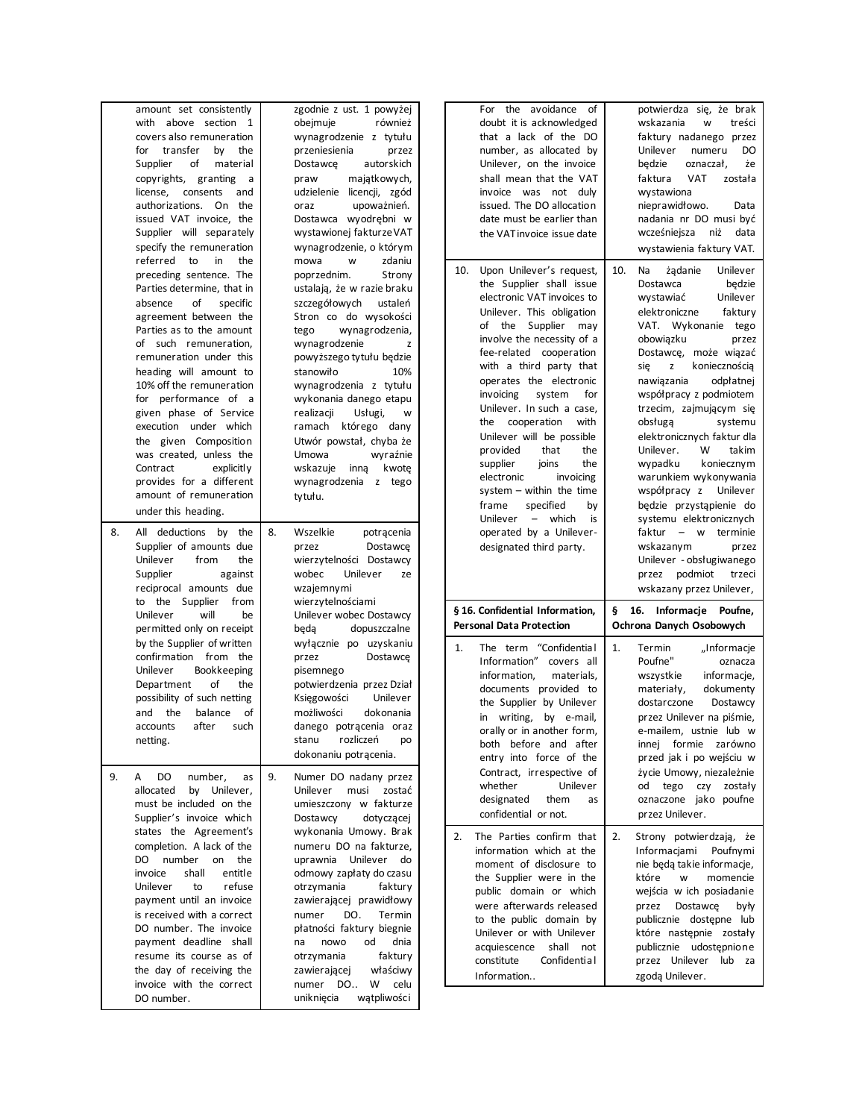|    | amount set consistently<br>with above section 1 |    | zgodnie z ust. 1 powyżej<br>również<br>obejmuje |     | For the avoidance of<br>doubt it is acknowledged      |     | potwierdza się, że brak<br>wskazania<br>treści<br>w |
|----|-------------------------------------------------|----|-------------------------------------------------|-----|-------------------------------------------------------|-----|-----------------------------------------------------|
|    | covers also remuneration                        |    | wynagrodzenie z tytułu                          |     | that a lack of the DO                                 |     | faktury nadanego przez                              |
|    | transfer<br>by<br>the<br>for                    |    | przeniesienia<br>przez                          |     | number, as allocated by                               |     | DO<br>Unilever<br>numeru                            |
|    | Supplier<br>of<br>material                      |    | autorskich<br>Dostawce                          |     | Unilever, on the invoice                              |     | będzie<br>oznaczał,<br>że                           |
|    | copyrights, granting<br>a                       |    | majątkowych,<br>praw                            |     | shall mean that the VAT                               |     | faktura<br>VAT<br>została                           |
|    | license,<br>consents<br>and                     |    | udzielenie licencji, zgód                       |     | invoice was not duly                                  |     | wystawiona                                          |
|    | authorizations. On the                          |    | upoważnień.<br>oraz                             |     | issued. The DO allocation                             |     | nieprawidłowo.<br>Data                              |
|    | issued VAT invoice, the                         |    | Dostawca wyodrębni w                            |     | date must be earlier than                             |     | nadania nr DO musi być                              |
|    | Supplier will separately                        |    | wystawionej fakturze VAT                        |     | the VAT invoice issue date                            |     | wcześniejsza niż data                               |
|    | specify the remuneration                        |    | wynagrodzenie, o którym                         |     |                                                       |     | wystawienia faktury VAT.                            |
|    | referred to<br>in<br>the                        |    | mowa<br>W<br>zdaniu                             |     |                                                       |     |                                                     |
|    | preceding sentence. The                         |    | poprzednim.<br>Strony                           | 10. | Upon Unilever's request,                              | 10. | Unilever<br>Na<br>żądanie                           |
|    | Parties determine, that in                      |    |                                                 |     | the Supplier shall issue                              |     | Dostawca<br>bedzie                                  |
|    |                                                 |    | ustalają, że w razie braku<br>ustaleń           |     | electronic VAT invoices to                            |     | Unilever<br>wystawiać                               |
|    | of<br>absence<br>specific                       |    | szczegółowych                                   |     | Unilever. This obligation                             |     | elektroniczne<br>faktury                            |
|    | agreement between the                           |    | Stron co do wysokości                           |     | of the Supplier may                                   |     | VAT. Wykonanie tego                                 |
|    | Parties as to the amount                        |    | wynagrodzenia,<br>tego                          |     | involve the necessity of a                            |     | obowiązku<br>przez                                  |
|    | of such remuneration,                           |    | wynagrodzenie<br>z                              |     | fee-related cooperation                               |     | Dostawcę, może wiązać                               |
|    | remuneration under this                         |    | powyższego tytułu będzie                        |     | with a third party that                               |     | koniecznością<br>się<br>z                           |
|    | heading will amount to                          |    | stanowiło<br>10%                                |     | operates the electronic                               |     | nawiązania<br>odpłatnej                             |
|    | 10% off the remuneration                        |    | wynagrodzenia z tytułu                          |     | invoicing<br>system<br>for                            |     | współpracy z podmiotem                              |
|    | for performance of a                            |    | wykonania danego etapu                          |     | Unilever. In such a case,                             |     | trzecim, zajmującym się                             |
|    | given phase of Service                          |    | realizacji<br>Usługi,<br>W                      |     | cooperation<br>with<br>the                            |     | obsługa<br>systemu                                  |
|    | execution under which                           |    | ramach którego dany                             |     | Unilever will be possible                             |     | elektronicznych faktur dla                          |
|    | the given Composition                           |    | Utwór powstał, chyba że                         |     | provided<br>that<br>the                               |     | takim<br>Unilever.<br>W                             |
|    | was created, unless the                         |    | Umowa<br>wyraźnie                               |     | the                                                   |     | koniecznym                                          |
|    | Contract<br>explicitly                          |    | wskazuje inna<br>kwotę                          |     | supplier<br>joins                                     |     | wypadku<br>warunkiem wykonywania                    |
|    | provides for a different                        |    | wynagrodzenia z tego                            |     | electronic<br>invoicing<br>system $-$ within the time |     |                                                     |
|    | amount of remuneration                          |    | tytułu.                                         |     |                                                       |     | współpracy z Unilever                               |
|    | under this heading.                             |    |                                                 |     | specified<br>frame<br>by                              |     | będzie przystąpienie do                             |
|    |                                                 |    |                                                 |     | Unilever - which<br>is                                |     | systemu elektronicznych                             |
| 8. | All deductions by the                           | 8. | Wszelkie<br>potrącenia                          |     | operated by a Unilever-                               |     | faktur - w terminie                                 |
|    | Supplier of amounts due                         |    | przez<br>Dostawce                               |     | designated third party.                               |     | wskazanym<br>przez                                  |
|    |                                                 |    |                                                 |     |                                                       |     |                                                     |
|    | Unilever<br>from<br>the                         |    | wierzytelności Dostawcy                         |     |                                                       |     | Unilever - obsługiwanego                            |
|    | Supplier<br>against                             |    | Unilever<br>wobec<br>ze                         |     |                                                       |     | przez podmiot<br>trzeci                             |
|    | reciprocal amounts due                          |    | wzajemnymi                                      |     |                                                       |     | wskazany przez Unilever,                            |
|    | to the Supplier<br>from                         |    | wierzytelnościami                               |     |                                                       |     |                                                     |
|    | Unilever<br>will<br>be                          |    | Unilever wobec Dostawcy                         |     | § 16. Confidential Information,                       |     | § 16. Informacje Poufne,                            |
|    | permitted only on receipt                       |    | dopuszczalne<br>beda                            |     | <b>Personal Data Protection</b>                       |     | Ochrona Danych Osobowych                            |
|    | by the Supplier of written                      |    | wyłącznie po uzyskaniu                          | 1.  | The term "Confidential                                | 1.  | Termin                                              |
|    | confirmation from the                           |    | przez<br>Dostawce                               |     | Information"<br>covers all                            |     | "Informacje<br>Poufne"<br>oznacza                   |
|    | Unilever<br>Bookkeeping                         |    | pisemnego                                       |     | information,<br>materials,                            |     |                                                     |
|    | of<br>Department<br>the                         |    | potwierdzenia przez Dział                       |     |                                                       |     | wszystkie<br>informacje,                            |
|    | possibility of such netting                     |    | Księgowości<br>Unilever                         |     | documents provided to                                 |     | materiały,<br>dokumenty<br>dostarczone              |
|    | the<br>balance<br>of<br>and                     |    | możliwości<br>dokonania                         |     | the Supplier by Unilever                              |     | Dostawcy                                            |
|    | after<br>accounts<br>such                       |    | danego potrącenia oraz                          |     | in writing, by e-mail,                                |     | przez Unilever na piśmie,                           |
|    | netting.                                        |    | stanu<br>rozliczeń<br>po                        |     | orally or in another form,                            |     | e-mailem, ustnie lub w                              |
|    |                                                 |    | dokonaniu potrącenia.                           |     | both before and after                                 |     | innej formie zarówno                                |
|    |                                                 |    |                                                 |     | entry into force of the                               |     | przed jak i po wejściu w                            |
| 9. | DO<br>A<br>number,<br>as                        | 9. | Numer DO nadany przez                           |     | Contract, irrespective of                             |     | życie Umowy, niezależnie                            |
|    | allocated<br>by Unilever,                       |    | Unilever<br>musi zostać                         |     | Unilever<br>whether                                   |     | od tego czy zostały                                 |
|    | must be included on the                         |    | umieszczony w fakturze                          |     | designated<br>them<br>as                              |     | oznaczone jako poufne                               |
|    | Supplier's invoice which                        |    | Dostawcy<br>dotyczącej                          |     | confidential or not.                                  |     | przez Unilever.                                     |
|    | states the Agreement's                          |    | wykonania Umowy. Brak                           |     |                                                       |     |                                                     |
|    | completion. A lack of the                       |    | numeru DO na fakturze.                          | 2.  | The Parties confirm that                              | 2.  | Strony potwierdzają, że                             |
|    | DO number<br>on the                             |    | uprawnia Unilever do                            |     | information which at the                              |     | Informacjami Poufnymi                               |
|    | shall<br>invoice<br>entitle                     |    | odmowy zapłaty do czasu                         |     | moment of disclosure to                               |     | nie będą takie informacje,                          |
|    | Unilever<br>refuse<br>to                        |    | otrzymania<br>faktury                           |     | the Supplier were in the                              |     | które<br>momencie<br>w                              |
|    | payment until an invoice                        |    | zawierającej prawidłowy                         |     | public domain or which                                |     | wejścia w ich posiadanie                            |
|    | is received with a correct                      |    | DO.<br>numer<br>Termin                          |     | were afterwards released                              |     | przez<br>Dostawce<br>były                           |
|    | DO number. The invoice                          |    | płatności faktury biegnie                       |     | to the public domain by                               |     | publicznie dostępne lub                             |
|    | payment deadline shall                          |    | od<br>dnia<br>nowo<br>na                        |     | Unilever or with Unilever                             |     | które następnie zostały                             |
|    | resume its course as of                         |    | otrzymania<br>faktury                           |     | acquiescence shall not                                |     | publicznie udostępnione                             |
|    |                                                 |    |                                                 |     | Confidential<br>constitute                            |     | przez Unilever lub za                               |
|    | the day of receiving the                        |    | właściwy<br>zawierającej<br>W<br>celu           |     | Information                                           |     | zgodą Unilever.                                     |
|    | invoice with the correct<br>DO number.          |    | numer DO<br>wątpliwości<br>uniknięcia           |     |                                                       |     |                                                     |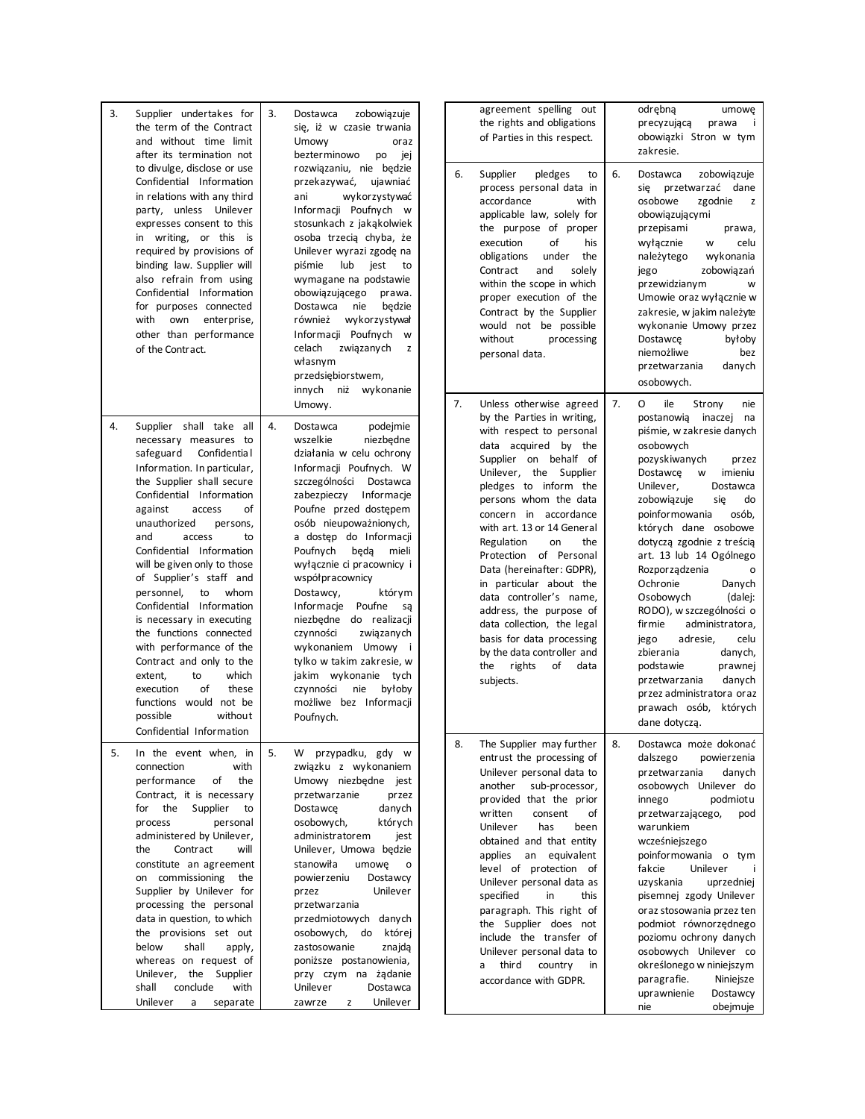| 3. | Supplier undertakes for<br>the term of the Contract<br>and without time limit<br>after its termination not<br>to divulge, disclose or use<br>Confidential Information<br>in relations with any third<br>party, unless Unilever<br>expresses consent to this<br>in writing, or this is<br>required by provisions of<br>binding law. Supplier will<br>also refrain from using<br>Confidential Information<br>for purposes connected<br>with own<br>enterprise,<br>other than performance<br>of the Contract.                                                                                                                                       | 3. | zobowiązuje<br>Dostawca<br>się, iż w czasie trwania<br>Umowy<br>oraz<br>bezterminowo<br>iej<br>po<br>rozwiązaniu, nie będzie<br>przekazywać,<br>ujawniać<br>wykorzystywać<br>ani<br>Informacji Poufnych w<br>stosunkach z jakąkolwiek<br>osoba trzecią chyba, że<br>Unilever wyrazi zgodę na<br>lub<br>piśmie<br>jest<br>to<br>wymagane na podstawie<br>obowiązującego<br>prawa.<br>Dostawca<br>nie<br>będzie<br>również<br>wykorzystywał<br>Informacji Poufnych<br><b>W</b><br>celach<br>związanych<br>z<br>własnym<br>przedsiębiorstwem,                                                               |  | agreement spelling out<br>the rights and obligations<br>of Parties in this respect.<br>6.<br>Supplier<br>pledges<br>to<br>process personal data in<br>accordance<br>with<br>applicable law, solely for<br>the purpose of proper<br>of<br>execution<br>his<br>obligations<br>under<br>the<br>and<br>Contract<br>solely<br>within the scope in which<br>proper execution of the<br>Contract by the Supplier<br>would not be possible<br>without<br>processing<br>personal data.                                                                                                       | 6. | odrębną<br>umowę<br>precyzującą<br>prawa<br>Ť<br>obowiązki Stron w tym<br>zakresie.<br>zobowiązuje<br>Dostawca<br>przetwarzać dane<br>się<br>osobowe<br>zgodnie<br>z<br>obowiązującymi<br>przepisami<br>prawa,<br>wyłącznie<br>W<br>celu<br>należytego<br>wykonania<br>zobowiązań<br>jego<br>przewidzianym<br>W<br>Umowie oraz wyłącznie w<br>zakresie, w jakim należyte<br>wykonanie Umowy przez<br>Dostawce<br>byłoby<br>niemożliwe<br>bez<br>przetwarzania<br>danych<br>osobowych.                                                                                                                                              |
|----|--------------------------------------------------------------------------------------------------------------------------------------------------------------------------------------------------------------------------------------------------------------------------------------------------------------------------------------------------------------------------------------------------------------------------------------------------------------------------------------------------------------------------------------------------------------------------------------------------------------------------------------------------|----|----------------------------------------------------------------------------------------------------------------------------------------------------------------------------------------------------------------------------------------------------------------------------------------------------------------------------------------------------------------------------------------------------------------------------------------------------------------------------------------------------------------------------------------------------------------------------------------------------------|--|-------------------------------------------------------------------------------------------------------------------------------------------------------------------------------------------------------------------------------------------------------------------------------------------------------------------------------------------------------------------------------------------------------------------------------------------------------------------------------------------------------------------------------------------------------------------------------------|----|------------------------------------------------------------------------------------------------------------------------------------------------------------------------------------------------------------------------------------------------------------------------------------------------------------------------------------------------------------------------------------------------------------------------------------------------------------------------------------------------------------------------------------------------------------------------------------------------------------------------------------|
| 4. | Supplier shall take all<br>necessary measures to<br>safeguard Confidential<br>Information. In particular,<br>the Supplier shall secure<br>Confidential Information<br>against<br>access<br>of<br>unauthorized<br>persons,<br>and<br>access<br>to<br>Confidential Information<br>will be given only to those<br>of Supplier's staff and<br>personnel,<br>to<br>whom<br>Confidential Information<br>is necessary in executing<br>the functions connected<br>with performance of the<br>Contract and only to the<br>to<br>which<br>extent,<br>execution<br>of<br>these<br>functions would not be<br>possible<br>without<br>Confidential Information | 4. | innych niż wykonanie<br>Umowy.<br>Dostawca<br>podejmie<br>wszelkie<br>niezbędne<br>działania w celu ochrony<br>Informacji Poufnych. W<br>szczególności Dostawca<br>zabezpieczy Informacje<br>Poufne przed dostępem<br>osób nieupoważnionych,<br>a dostęp do Informacji<br>Poufnych<br>beda<br>mieli<br>wyłącznie ci pracownicy i<br>współpracownicy<br>Dostawcy,<br>którym<br>Informacje Poufne są<br>niezbędne do realizacji<br>czynności<br>związanych<br>wykonaniem Umowy i<br>tylko w takim zakresie, w<br>jakim wykonanie tych<br>czynności<br>nie<br>byłoby<br>możliwe bez Informacji<br>Poufnych. |  | 7.<br>Unless otherwise agreed<br>by the Parties in writing,<br>with respect to personal<br>data acquired by the<br>Supplier on behalf of<br>Unilever, the Supplier<br>pledges to inform the<br>persons whom the data<br>concern in accordance<br>with art. 13 or 14 General<br>Regulation<br>the<br>on<br>Protection of Personal<br>Data (hereinafter: GDPR),<br>in particular about the<br>data controller's name,<br>address, the purpose of<br>data collection, the legal<br>basis for data processing<br>by the data controller and<br>rights<br>the<br>of<br>data<br>subjects. | 7. | 0<br>ile<br>Strony<br>nie<br>postanowią<br>inaczej<br>na<br>piśmie, w zakresie danych<br>osobowych<br>pozyskiwanych<br>przez<br>Dostawce<br>imieniu<br>W<br>Unilever,<br>Dostawca<br>zobowiązuje<br>się<br>do<br>osób,<br>poinformowania<br>których dane osobowe<br>dotyczą zgodnie z treścią<br>art. 13 lub 14 Ogólnego<br>Rozporządzenia<br>Danych<br>Ochronie<br>Osobowych<br>(dalej:<br>RODO), w szczególności o<br>firmie<br>administratora,<br>adresie,<br>jego<br>celu<br>zbierania<br>danych,<br>podstawie<br>prawnej<br>danych<br>przetwarzania<br>przez administratora oraz<br>prawach osób,<br>których<br>dane dotyczą. |
| 5. | In the event when, in<br>connection<br>with<br>performance<br>the<br>of<br>Contract, it is necessary<br>Supplier<br>for the<br>to<br>process<br>personal<br>administered by Unilever,<br>Contract<br>the<br>will<br>constitute an agreement<br>on commissioning<br>the<br>Supplier by Unilever for<br>processing the personal<br>data in question, to which<br>the provisions set out<br>below<br>shall<br>apply,<br>whereas on request of<br>Unilever, the Supplier<br>conclude<br>shall<br>with<br>Unilever<br>a<br>separate                                                                                                                   | 5. | W przypadku, gdy w<br>związku z wykonaniem<br>Umowy niezbędne jest<br>przetwarzanie<br>przez<br>Dostawce<br>danych<br>których<br>osobowych,<br>administratorem<br>jest<br>Unilever, Umowa będzie<br>stanowiła<br>umowę<br>$\mathsf{o}\,$<br>powierzeniu<br>Dostawcy<br>Unilever<br>przez<br>przetwarzania<br>przedmiotowych danych<br>osobowych, do której<br>zastosowanie<br>znajdą<br>poniższe postanowienia,<br>przy czym na żądanie<br>Unilever<br>Dostawca<br>Unilever<br>zawrze<br>z                                                                                                               |  | The Supplier may further<br>8.<br>entrust the processing of<br>Unilever personal data to<br>sub-processor,<br>another<br>provided that the prior<br>written<br>consent<br>of<br>has<br>Unilever<br>been<br>obtained and that entity<br>an equivalent<br>applies<br>level of protection of<br>Unilever personal data as<br>specified<br>in<br>this<br>paragraph. This right of<br>the Supplier does not<br>include the transfer of<br>Unilever personal data to<br>third<br>country<br>a<br>in<br>accordance with GDPR.                                                              | 8. | Dostawca może dokonać<br>dalszego<br>powierzenia<br>przetwarzania<br>danych<br>osobowych Unilever do<br>innego<br>podmiotu<br>przetwarzającego,<br>pod<br>warunkiem<br>wcześniejszego<br>poinformowania o tym<br>fakcie<br>Unilever<br>Ť.<br>uzyskania<br>uprzedniej<br>pisemnej zgody Unilever<br>oraz stosowania przez ten<br>podmiot równorzędnego<br>poziomu ochrony danych<br>osobowych Unilever co<br>określonego w niniejszym<br>paragrafie.<br>Niniejsze<br>uprawnienie<br>Dostawcy<br>obejmuje<br>nie                                                                                                                     |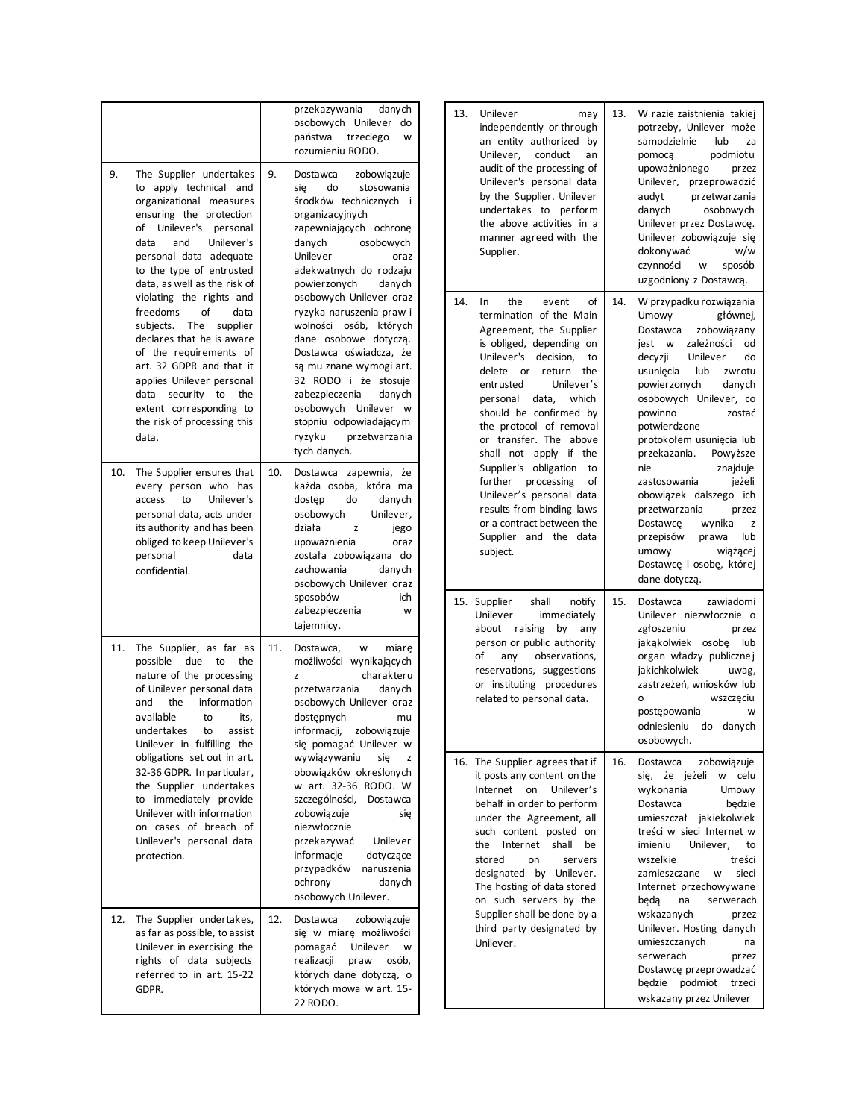| 9.  | The Supplier undertakes<br>to apply technical and<br>organizational measures<br>ensuring the protection<br>of Unilever's personal<br>data<br>and<br>Unilever's<br>personal data adequate<br>to the type of entrusted<br>data, as well as the risk of                                                  | przekazywania<br>danych<br>osobowych Unilever do<br>państwa<br>trzeciego<br>W<br>rozumieniu RODO.<br>9.<br>zobowiązuje<br>Dostawca<br>do<br>stosowania<br>się<br>środków technicznych i<br>organizacyjnych<br>zapewniających ochronę<br>osobowych<br>danych<br>Unilever<br>oraz<br>adekwatnych do rodzaju<br>powierzonych<br>danych |                                                                                                                                                                                                                                                                                                             | Unilever<br>13.<br>may<br>independently or through<br>an entity authorized by<br>conduct<br>Unilever.<br>an<br>audit of the processing of<br>Unilever's personal data<br>by the Supplier. Unilever<br>undertakes to perform<br>the above activities in a<br>manner agreed with the<br>Supplier.                                           | 13. | W razie zaistnienia takiej<br>potrzeby, Unilever może<br>samodzielnie<br>lub<br>za<br>podmiotu<br>pomoca<br>upoważnionego<br>przez<br>Unilever, przeprowadzić<br>audyt<br>przetwarzania<br>danych<br>osobowych<br>Unilever przez Dostawcę.<br>Unilever zobowiązuje się<br>dokonywać<br>w/w<br>czynności<br>sposób<br>W<br>uzgodniony z Dostawcą. |
|-----|-------------------------------------------------------------------------------------------------------------------------------------------------------------------------------------------------------------------------------------------------------------------------------------------------------|-------------------------------------------------------------------------------------------------------------------------------------------------------------------------------------------------------------------------------------------------------------------------------------------------------------------------------------|-------------------------------------------------------------------------------------------------------------------------------------------------------------------------------------------------------------------------------------------------------------------------------------------------------------|-------------------------------------------------------------------------------------------------------------------------------------------------------------------------------------------------------------------------------------------------------------------------------------------------------------------------------------------|-----|--------------------------------------------------------------------------------------------------------------------------------------------------------------------------------------------------------------------------------------------------------------------------------------------------------------------------------------------------|
|     | violating the rights and<br>$\mathsf{of}$<br>freedoms<br>data<br>subjects. The supplier<br>declares that he is aware<br>of the requirements of<br>art. 32 GDPR and that it<br>applies Unilever personal<br>data security to<br>the<br>extent corresponding to<br>the risk of processing this<br>data. |                                                                                                                                                                                                                                                                                                                                     | osobowych Unilever oraz<br>ryzyka naruszenia prawi<br>wolności osób, których<br>dane osobowe dotyczą.<br>Dostawca oświadcza, że<br>są mu znane wymogi art.<br>32 RODO i że stosuje<br>zabezpieczenia<br>danych<br>osobowych Unilever w<br>stopniu odpowiadającym<br>ryzyku<br>przetwarzania<br>tych danych. | 14.<br>event<br>of<br>In<br>the<br>termination of the Main<br>Agreement, the Supplier<br>is obliged, depending on<br>Unilever's decision,<br>to<br>delete or return<br>the<br>Unilever's<br>entrusted<br>personal data,<br>which<br>should be confirmed by<br>the protocol of removal<br>or transfer. The above<br>shall not apply if the | 14. | W przypadku rozwiązania<br>Umowy<br>głównej,<br>zobowiązany<br>Dostawca<br>jest w zależności<br>od<br>decyzji<br>Unilever<br>do<br>lub<br>usunięcia<br>zwrotu<br>powierzonych<br>danych<br>osobowych Unilever, co<br>powinno<br>zostać<br>potwierdzone<br>protokołem usunięcia lub<br>przekazania.<br>Powyższe                                   |
| 10. | The Supplier ensures that<br>every person who has<br>Unilever's<br>access<br>to<br>personal data, acts under<br>its authority and has been<br>obliged to keep Unilever's<br>personal<br>data<br>confidential.                                                                                         | 10.                                                                                                                                                                                                                                                                                                                                 | Dostawca zapewnia, że<br>każda osoba, która ma<br>dostep<br>do<br>danych<br>osobowych<br>Unilever,<br>działa<br>z<br>jego<br>upoważnienia<br>oraz<br>została zobowiązana do<br>zachowania<br>danych<br>osobowych Unilever oraz<br>sposobów<br>ich                                                           | Supplier's obligation to<br>further processing<br>of<br>Unilever's personal data<br>results from binding laws<br>or a contract between the<br>Supplier and the data<br>subject.                                                                                                                                                           |     | nie<br>znajduje<br>zastosowania<br>jeżeli<br>obowiązek dalszego ich<br>przetwarzania<br>przez<br>Dostawce<br>wynika<br>z<br>przepisów<br>prawa<br>lub<br>umowy<br>wiążącej<br>Dostawcę i osobę, której<br>dane dotyczą.                                                                                                                          |
| 11. | The Supplier, as far as<br>possible<br>due to<br>the<br>nature of the processing<br>of Unilever personal data<br>information<br>and<br>the<br>available<br>to<br>its,<br>undertakes<br>assist<br>to<br>Unilever in fulfilling the                                                                     | 11.                                                                                                                                                                                                                                                                                                                                 | zabezpieczenia<br>W<br>tajemnicy.<br>Dostawca,<br>w<br>miare<br>możliwości wynikających<br>charakteru<br>z<br>danych<br>przetwarzania<br>osobowych Unilever oraz<br>dostępnych<br>mu<br>informacji,<br>zobowiązuje<br>się pomagać Unilever w                                                                | 15. Supplier<br>shall<br>notify<br>immediately<br>Unilever<br>about raising by<br>any<br>person or public authority<br>any<br>observations,<br>of<br>reservations, suggestions<br>or instituting procedures<br>related to personal data.                                                                                                  | 15. | zawiadomi<br>Dostawca<br>Unilever niezwłocznie o<br>zgłoszeniu<br>przez<br>jakąkolwiek osobę lub<br>organ władzy publicznej<br>jakichkolwiek<br>uwag,<br>zastrzeżeń, wniosków lub<br>$\circ$<br>wszczęciu<br>postępowania<br>W<br>odniesieniu do danych<br>osobowych.                                                                            |
|     | obligations set out in art.<br>32-36 GDPR. In particular,<br>the Supplier undertakes<br>to immediately provide<br>Unilever with information<br>on cases of breach of<br>Unilever's personal data<br>protection.                                                                                       |                                                                                                                                                                                                                                                                                                                                     | wywiązywaniu<br>się<br>z<br>obowiązków określonych<br>w art. 32-36 RODO. W<br>szczególności,<br>Dostawca<br>zobowiązuje<br>się<br>niezwłocznie<br>Unilever<br>przekazywać<br>informacje<br>dotyczące<br>przypadków<br>naruszenia<br>ochrony<br>danych<br>osobowych Unilever.                                | 16. The Supplier agrees that if<br>it posts any content on the<br>Internet on Unilever's<br>behalf in order to perform<br>under the Agreement, all<br>such content posted on<br>the Internet shall be<br>stored<br>on<br>servers<br>designated by Unilever.<br>The hosting of data stored<br>on such servers by the                       | 16. | Dostawca<br>zobowiązuje<br>się, że jeżeli w celu<br>wykonania<br>Umowy<br>będzie<br>Dostawca<br>umieszczał jakiekolwiek<br>treści w sieci Internet w<br>Unilever,<br>imieniu<br>to<br>wszelkie<br>treści<br>zamieszczane<br>sieci<br>w<br>Internet przechowywane<br>beda<br>serwerach<br>na                                                      |
|     | 12. The Supplier undertakes,<br>as far as possible, to assist<br>Unilever in exercising the<br>rights of data subjects<br>referred to in art. 15-22<br>GDPR.                                                                                                                                          | 12.                                                                                                                                                                                                                                                                                                                                 | Dostawca<br>zobowiązuje<br>się w miarę możliwości<br>Unilever w<br>pomagać<br>realizacji<br>praw<br>osób,<br>których dane dotyczą, o<br>których mowa w art. 15-<br>22 RODO.                                                                                                                                 | Supplier shall be done by a<br>third party designated by<br>Unilever.                                                                                                                                                                                                                                                                     |     | wskazanych<br>przez<br>Unilever. Hosting danych<br>umieszczanych<br>na<br>serwerach<br>przez<br>Dostawcę przeprowadzać<br>będzie podmiot trzeci<br>wskazany przez Unilever                                                                                                                                                                       |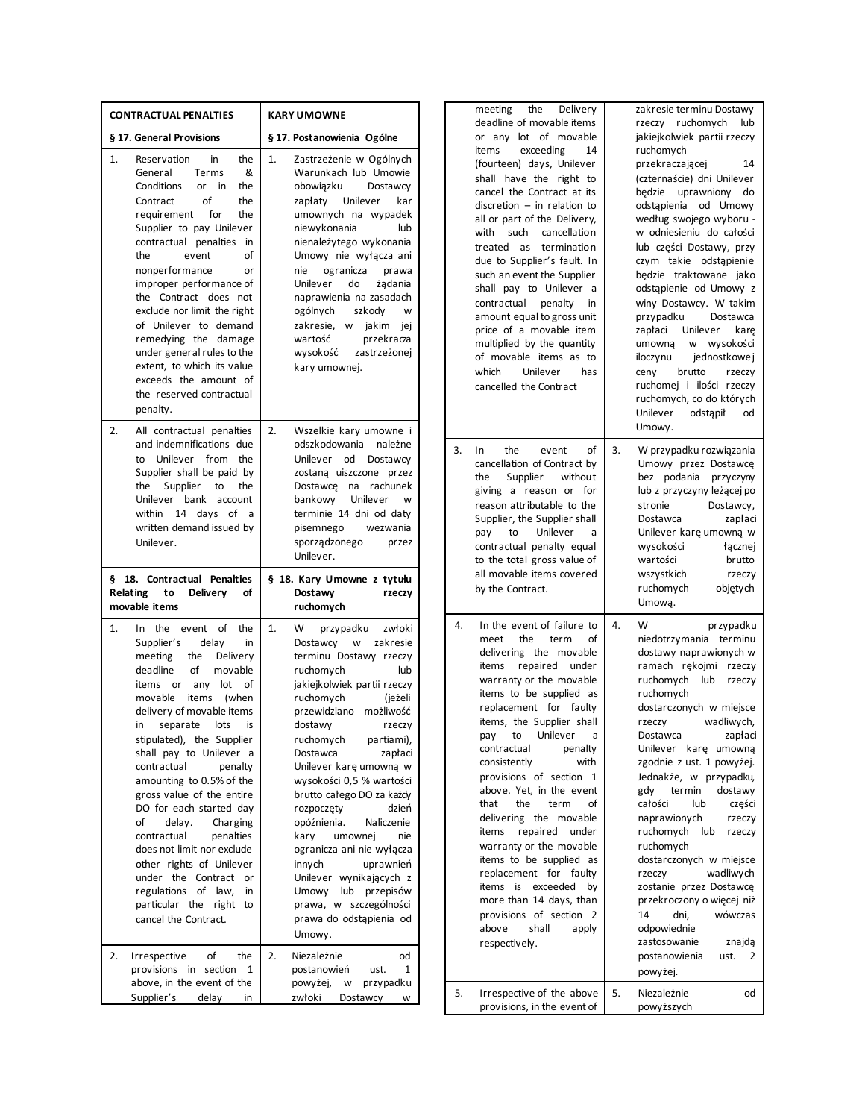| <b>CONTRACTUAL PENALTIES</b>                                                                                                                                                                                                                                                                                                                                                                                                                                                                                                                                                                                                        | <b>KARY UMOWNE</b>                                                                                                                                                                                                                                                                                                                                                                                                                                                                                                                                                                                   | the<br>Delivery<br>meeting<br>deadline of movable items                                                                                                                                                                                                                                                                                                                                                                                                                                                                                                                                                                                             | zakresie terminu Dostawy<br>rzeczy ruchomych<br>lub                                                                                                                                                                                                                                                                                                                                                                                                                                                                                                                                                |
|-------------------------------------------------------------------------------------------------------------------------------------------------------------------------------------------------------------------------------------------------------------------------------------------------------------------------------------------------------------------------------------------------------------------------------------------------------------------------------------------------------------------------------------------------------------------------------------------------------------------------------------|------------------------------------------------------------------------------------------------------------------------------------------------------------------------------------------------------------------------------------------------------------------------------------------------------------------------------------------------------------------------------------------------------------------------------------------------------------------------------------------------------------------------------------------------------------------------------------------------------|-----------------------------------------------------------------------------------------------------------------------------------------------------------------------------------------------------------------------------------------------------------------------------------------------------------------------------------------------------------------------------------------------------------------------------------------------------------------------------------------------------------------------------------------------------------------------------------------------------------------------------------------------------|----------------------------------------------------------------------------------------------------------------------------------------------------------------------------------------------------------------------------------------------------------------------------------------------------------------------------------------------------------------------------------------------------------------------------------------------------------------------------------------------------------------------------------------------------------------------------------------------------|
| § 17. General Provisions                                                                                                                                                                                                                                                                                                                                                                                                                                                                                                                                                                                                            | § 17. Postanowienia Ogólne                                                                                                                                                                                                                                                                                                                                                                                                                                                                                                                                                                           | or any lot of movable                                                                                                                                                                                                                                                                                                                                                                                                                                                                                                                                                                                                                               | jakiejkolwiek partii rzeczy                                                                                                                                                                                                                                                                                                                                                                                                                                                                                                                                                                        |
| the<br>1.<br>Reservation<br>in<br>&<br>General<br>Terms<br>Conditions<br>the<br>or in<br>Contract<br>οf<br>the<br>requirement for<br>the<br>Supplier to pay Unilever<br>contractual penalties in<br>οf<br>the<br>event<br>nonperformance<br>or<br>improper performance of<br>the Contract does not<br>exclude nor limit the right<br>of Unilever to demand<br>remedying the damage<br>under general rules to the<br>extent, to which its value<br>exceeds the amount of<br>the reserved contractual<br>penalty.                                                                                                                     | 1.<br>Zastrzeżenie w Ogólnych<br>Warunkach lub Umowie<br>obowiązku<br>Dostawcy<br>zapłaty Unilever<br>kar<br>umownych na wypadek<br>niewykonania<br>lub<br>nienależytego wykonania<br>Umowy nie wyłącza ani<br>nie<br>ogranicza<br>prawa<br>żądania<br>Unilever<br>do<br>naprawienia na zasadach<br>ogólnych<br>szkody<br>${\mathsf W}$<br>zakresie, w jakim jej<br>wartość<br>przekracza<br>wysokość<br>zastrzeżonej<br>kary umownej.                                                                                                                                                               | exceeding<br>items<br>14<br>(fourteen) days, Unilever<br>shall have the right to<br>cancel the Contract at its<br>$discretion - in relation to$<br>all or part of the Delivery,<br>with such cancellation<br>treated as termination<br>due to Supplier's fault. In<br>such an event the Supplier<br>shall pay to Unilever a<br>contractual penalty<br>in<br>amount equal to gross unit<br>price of a movable item<br>multiplied by the quantity<br>of movable items as to<br>which<br>Unilever<br>has<br>cancelled the Contract                                                                                                                     | ruchomych<br>przekraczającej<br>14<br>(czternaście) dni Unilever<br>będzie uprawniony do<br>odstąpienia od Umowy<br>według swojego wyboru -<br>w odniesieniu do całości<br>lub części Dostawy, przy<br>czym takie odstąpienie<br>będzie traktowane jako<br>odstąpienie od Umowy z<br>winy Dostawcy. W takim<br>przypadku<br>Dostawca<br>Unilever<br>zapłaci<br>kare<br>w wysokości<br>umowną<br>iloczynu<br>jednostkowe j<br>brutto<br>ceny<br>rzeczy<br>ruchomej i ilości rzeczy<br>ruchomych, co do których<br>Unilever<br>odstapił<br>od                                                        |
| 2.<br>All contractual penalties<br>and indemnifications due<br>to Unilever from the<br>Supplier shall be paid by<br>the Supplier to<br>the<br>Unilever bank account<br>within 14 days of a<br>written demand issued by<br>Unilever.<br>§ 18. Contractual Penalties<br>Relating<br>to<br>Delivery<br>of<br>movable items                                                                                                                                                                                                                                                                                                             | 2.<br>Wszelkie kary umowne i<br>odszkodowania należne<br>Unilever od Dostawcy<br>zostaną uiszczone przez<br>Dostawce na rachunek<br>Unilever<br>bankowy<br>W<br>terminie 14 dni od daty<br>pisemnego<br>wezwania<br>sporządzonego<br>przez<br>Unilever.<br>§ 18. Kary Umowne z tytułu<br>Dostawy<br>rzeczy<br>ruchomych                                                                                                                                                                                                                                                                              | 3.<br>the<br>οf<br>$\ln$<br>event<br>cancellation of Contract by<br>the<br>Supplier<br>without<br>giving a reason or for<br>reason attributable to the<br>Supplier, the Supplier shall<br>Unilever<br>pay<br>to<br>a<br>contractual penalty equal<br>to the total gross value of<br>all movable items covered<br>by the Contract.                                                                                                                                                                                                                                                                                                                   | Umowy.<br>3.<br>W przypadku rozwiązania<br>Umowy przez Dostawcę<br>bez podania przyczyny<br>lub z przyczyny leżącej po<br>stronie<br>Dostawcy,<br>Dostawca<br>zapłaci<br>Unilever karę umowną w<br>wysokości<br>łącznej<br>brutto<br>wartości<br>wszystkich<br>rzeczy<br>objętych<br>ruchomych<br>Umową.                                                                                                                                                                                                                                                                                           |
| In the<br>event of<br>the<br>1.<br>delay<br>Supplier's<br>in<br>meeting<br>Delivery<br>the<br>deadline<br>of<br>movable<br>any lot of<br>items or<br>movable<br>items (when<br>delivery of movable items<br>separate lots<br>in<br>is<br>stipulated), the Supplier<br>shall pay to Unilever a<br>contractual<br>penalty<br>amounting to 0.5% of the<br>gross value of the entire<br>DO for each started day<br>of<br>delay.<br>Charging<br>contractual<br>penalties<br>does not limit nor exclude<br>other rights of Unilever<br>under the Contract or<br>regulations of law, in<br>particular the right to<br>cancel the Contract. | 1.<br>W<br>przypadku<br>zwłoki<br>Dostawcy<br>w zakresie<br>terminu Dostawy rzeczy<br>ruchomych<br>lub<br>jakiejkolwiek partii rzeczy<br>ruchomych<br>(jeżeli<br>przewidziano możliwość<br>dostawy<br>rzeczy<br>partiami),<br>ruchomych<br>Dostawca<br>zapłaci<br>Unilever karę umowną w<br>wysokości 0,5 % wartości<br>brutto całego DO za każdy<br>rozpoczęty<br>dzień<br>opóźnienia.<br>Naliczenie<br>kary<br>umownej<br>nie<br>ogranicza ani nie wyłącza<br>innych<br>uprawnień<br>Unilever wynikających z<br>Umowy lub przepisów<br>prawa, w szczególności<br>prawa do odstąpienia od<br>Umowy. | 4.<br>In the event of failure to<br>meet<br>the<br>term<br>of<br>delivering the movable<br>items repaired under<br>warranty or the movable<br>items to be supplied as<br>replacement for faulty<br>items, the Supplier shall<br>pay to Unilever a<br>contractual<br>penalty<br>consistently<br>with<br>provisions of section 1<br>above. Yet, in the event<br>term<br>that<br>the<br>of<br>delivering the movable<br>items repaired under<br>warranty or the movable<br>items to be supplied as<br>replacement for faulty<br>items is exceeded by<br>more than 14 days, than<br>provisions of section 2<br>shall<br>above<br>apply<br>respectively. | 4.<br>W<br>przypadku<br>niedotrzymania terminu<br>dostawy naprawionych w<br>ramach rękojmi rzeczy<br>ruchomych lub rzeczy<br>ruchomych<br>dostarczonych w miejsce<br>rzeczy<br>wadliwych,<br>zapłaci<br>Dostawca<br>Unilever karę umowną<br>zgodnie z ust. 1 powyżej.<br>Jednakże, w przypadku,<br>termin<br>dostawy<br>gdy<br>całości<br>lub<br>części<br>naprawionych<br>rzeczy<br>ruchomych lub rzeczy<br>ruchomych<br>dostarczonych w miejsce<br>wadliwych<br>rzeczy<br>zostanie przez Dostawcę<br>przekroczony o więcej niż<br>14<br>dni,<br>wówczas<br>odpowiednie<br>zastosowanie<br>znajdą |
| Irrespective<br>of<br>the<br>2.<br>provisions in section 1<br>above, in the event of the<br>Supplier's<br>delay<br>in                                                                                                                                                                                                                                                                                                                                                                                                                                                                                                               | 2.<br>Niezależnie<br>od<br>postanowień<br>ust.<br>1<br>powyżej, w przypadku<br>zwłoki<br>Dostawcy<br>w                                                                                                                                                                                                                                                                                                                                                                                                                                                                                               | 5.<br>Irrespective of the above<br>provisions, in the event of                                                                                                                                                                                                                                                                                                                                                                                                                                                                                                                                                                                      | ust. $2$<br>postanowienia<br>powyżej.<br>5.<br>Niezależnie<br>od<br>powyższych                                                                                                                                                                                                                                                                                                                                                                                                                                                                                                                     |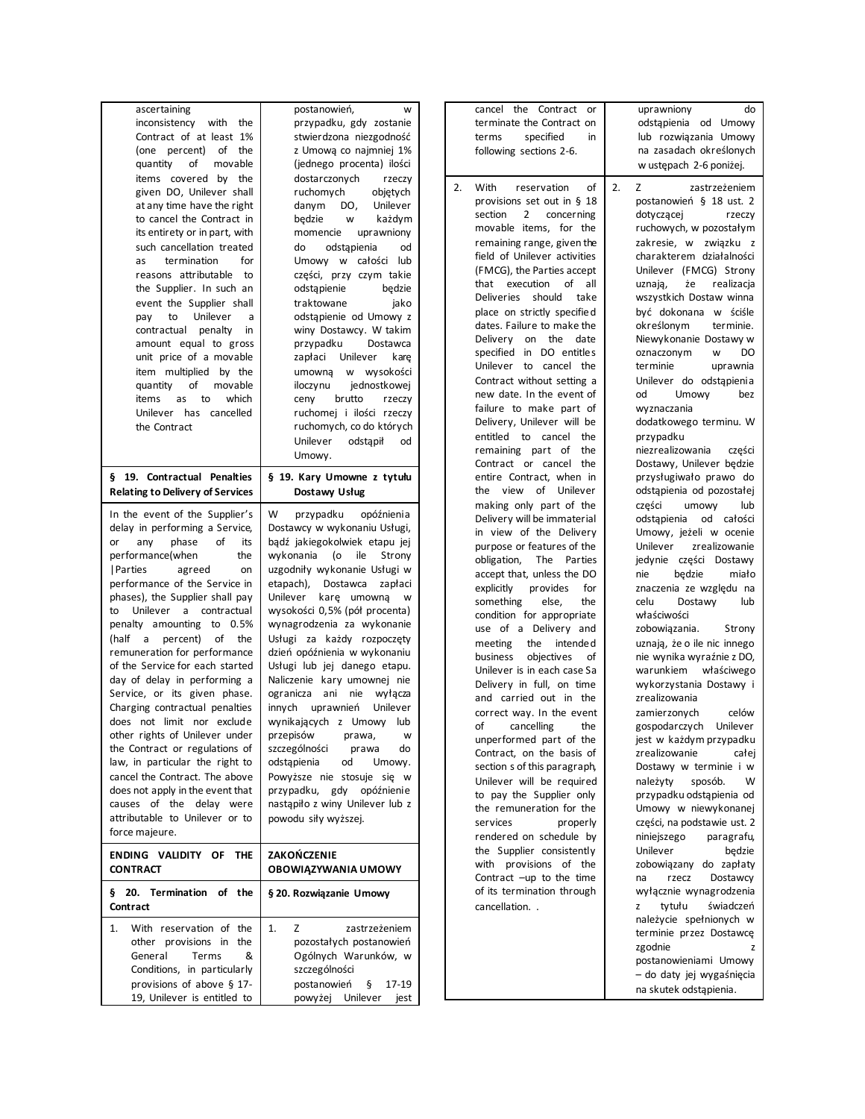| ascertaining<br>with the<br>inconsistency<br>Contract of at least 1%<br>(one percent) of the<br>quantity<br>of<br>movable<br>items covered by the<br>given DO, Unilever shall<br>at any time have the right<br>to cancel the Contract in<br>its entirety or in part, with<br>such cancellation treated<br>termination<br>for<br>as<br>reasons attributable<br>to<br>the Supplier. In such an<br>event the Supplier shall<br>Unilever<br>to<br>pay<br>a<br>contractual penalty<br>in<br>amount equal to gross<br>unit price of a movable<br>item multiplied by the<br>of<br>quantity<br>movable<br>which<br>items<br>as<br>to<br>Unilever has cancelled<br>the Contract                                                                                                                  | postanowień,<br>W<br>przypadku, gdy zostanie<br>stwierdzona niezgodność<br>z Umową co najmniej 1%<br>(jednego procenta) ilości<br>dostarczonych<br>rzeczy<br>ruchomych<br>objętych<br>Unilever<br>danym<br>DO,<br>będzie<br>każdym<br>W<br>uprawniony<br>momencie<br>do<br>odstąpienia<br>od<br>Umowy w całości lub<br>części, przy czym takie<br>odstąpienie<br>będzie<br>traktowane<br>jako<br>odstapienie od Umowy z<br>winy Dostawcy. W takim<br>przypadku<br>Dostawca<br>Unilever<br>kare<br>zapłaci<br>w wysokości<br>umowną<br>iloczynu<br>jednostkowej<br>brutto<br>ceny<br>rzeczy<br>ruchomej i ilości rzeczy<br>ruchomych, co do których<br>Unilever<br>odstąpił<br>od                                             | cancel the Contract or<br>terminate the Contract on<br>specified<br>in<br>terms<br>following sections 2-6.<br>With<br>of<br>2.<br>reservation<br>provisions set out in $§$ 18<br>section<br>$\overline{2}$<br>concerning<br>movable items, for the<br>remaining range, given the<br>field of Unilever activities<br>(FMCG), the Parties accept<br>that execution<br>of all<br>Deliveries should<br>take<br>place on strictly specified<br>dates. Failure to make the<br>Delivery on the date<br>specified in DO entitles<br>Unilever to cancel the<br>Contract without setting a<br>new date. In the event of<br>failure to make part of<br>Delivery, Unilever will be<br>entitled to cancel the<br>remaining part of the                | uprawniony<br>do<br>odstąpienia od Umowy<br>lub rozwiązania Umowy<br>na zasadach określonych<br>w ustępach 2-6 poniżej.<br>2.<br>Z<br>zastrzeżeniem<br>postanowień § 18 ust. 2<br>dotyczącej<br>rzeczy<br>ruchowych, w pozostałym<br>zakresie, w związku z<br>charakterem działalności<br>Unilever (FMCG) Strony<br>realizacja<br>uznają,<br>że<br>wszystkich Dostaw winna<br>być dokonana w ściśle<br>określonym<br>terminie.<br>Niewykonanie Dostawy w<br>oznaczonym<br>DO<br>W<br>terminie<br>uprawnia<br>Unilever do odstąpienia<br>Umowy<br>od<br>bez<br>wyznaczania<br>dodatkowego terminu. W<br>przypadku<br>niezrealizowania<br>części                              |
|-----------------------------------------------------------------------------------------------------------------------------------------------------------------------------------------------------------------------------------------------------------------------------------------------------------------------------------------------------------------------------------------------------------------------------------------------------------------------------------------------------------------------------------------------------------------------------------------------------------------------------------------------------------------------------------------------------------------------------------------------------------------------------------------|------------------------------------------------------------------------------------------------------------------------------------------------------------------------------------------------------------------------------------------------------------------------------------------------------------------------------------------------------------------------------------------------------------------------------------------------------------------------------------------------------------------------------------------------------------------------------------------------------------------------------------------------------------------------------------------------------------------------------|------------------------------------------------------------------------------------------------------------------------------------------------------------------------------------------------------------------------------------------------------------------------------------------------------------------------------------------------------------------------------------------------------------------------------------------------------------------------------------------------------------------------------------------------------------------------------------------------------------------------------------------------------------------------------------------------------------------------------------------|-----------------------------------------------------------------------------------------------------------------------------------------------------------------------------------------------------------------------------------------------------------------------------------------------------------------------------------------------------------------------------------------------------------------------------------------------------------------------------------------------------------------------------------------------------------------------------------------------------------------------------------------------------------------------------|
| § 19. Contractual Penalties<br><b>Relating to Delivery of Services</b>                                                                                                                                                                                                                                                                                                                                                                                                                                                                                                                                                                                                                                                                                                                  | Umowy.<br>§ 19. Kary Umowne z tytułu<br>Dostawy Usług                                                                                                                                                                                                                                                                                                                                                                                                                                                                                                                                                                                                                                                                        | Contract or cancel the<br>entire Contract, when in<br>the view of Unilever                                                                                                                                                                                                                                                                                                                                                                                                                                                                                                                                                                                                                                                               | Dostawy, Unilever bedzie<br>przysługiwało prawo do<br>odstąpienia od pozostałej                                                                                                                                                                                                                                                                                                                                                                                                                                                                                                                                                                                             |
| In the event of the Supplier's<br>delay in performing a Service,<br>phase<br>οf<br>its<br>any<br>or<br>performance(when<br>the<br>  Parties<br>agreed<br>on<br>performance of the Service in<br>phases), the Supplier shall pay<br>to Unilever a contractual<br>penalty amounting to 0.5%<br>(half a percent) of<br>the<br>remuneration for performance<br>of the Service for each started<br>day of delay in performing a<br>Service, or its given phase.<br>Charging contractual penalties<br>does not limit nor exclude<br>other rights of Unilever under<br>the Contract or regulations of<br>law, in particular the right to<br>cancel the Contract. The above<br>does not apply in the event that<br>causes of the delay were<br>attributable to Unilever or to<br>force majeure. | W<br>przypadku<br>opóźnienia<br>Dostawcy w wykonaniu Usługi,<br>bądź jakiegokolwiek etapu jej<br>wykonania<br>(o<br>ile<br>Strony<br>uzgodniły wykonanie Usługi w<br>etapach), Dostawca zapłaci<br>Unilever karę umowną w<br>wysokości 0,5% (pół procenta)<br>wynagrodzenia za wykonanie<br>Usługi za każdy rozpoczęty<br>dzień opóźnienia w wykonaniu<br>Usługi lub jej danego etapu.<br>Naliczenie kary umownej nie<br>ogranicza ani nie wyłącza<br>innych uprawnień Unilever<br>wynikających z Umowy lub<br>przepisów<br>prawa,<br>W<br>szczególności<br>prawa<br>do<br>odstąpienia<br>od<br>Umowy.<br>Powyższe nie stosuje się w<br>przypadku, gdy opóźnienie<br>nastąpiło z winy Unilever lub z<br>powodu siły wyższej. | making only part of the<br>Delivery will be immaterial<br>in view of the Delivery<br>purpose or features of the<br>obligation,<br>The Parties<br>accept that, unless the DO<br>explicitly<br>provides<br>for<br>something<br>else,<br>the<br>condition for appropriate<br>use of a Delivery and<br>meeting<br>the intended<br>objectives<br>business<br>οf<br>Unilever is in each case Sa<br>Delivery in full, on time<br>and carried out in the<br>correct way. In the event<br>of<br>cancelling<br>the<br>unperformed part of the<br>Contract, on the basis of<br>section s of this paragraph,<br>Unilever will be required<br>to pay the Supplier only<br>the remuneration for the<br>services<br>properly<br>rendered on schedule by | części<br>umowy<br>lub<br>odstąpienia od całości<br>Umowy, jeżeli w ocenie<br>Unilever<br>zrealizowanie<br>jedynie części Dostawy<br>nie<br>będzie<br>miało<br>znaczenia ze względu na<br>celu<br>Dostawy<br>lub<br>właściwości<br>zobowiązania.<br>Strony<br>uznają, że o ile nic innego<br>nie wynika wyraźnie z DO,<br>warunkiem właściwego<br>wykorzystania Dostawy i<br>zrealizowania<br>zamierzonych<br>celów<br>gospodarczych<br>Unilever<br>jest w każdym przypadku<br>zrealizowanie<br>całej<br>Dostawy w terminie i w<br>należyty<br>sposób.<br>W<br>przypadku odstąpienia od<br>Umowy w niewykonanej<br>części, na podstawie ust. 2<br>niniejszego<br>paragrafu, |
| ENDING VALIDITY OF THE<br><b>CONTRACT</b>                                                                                                                                                                                                                                                                                                                                                                                                                                                                                                                                                                                                                                                                                                                                               | ZAKOŃCZENIE<br>OBOWIĄZYWANIA UMOWY                                                                                                                                                                                                                                                                                                                                                                                                                                                                                                                                                                                                                                                                                           | the Supplier consistently<br>with provisions of the<br>Contract -up to the time                                                                                                                                                                                                                                                                                                                                                                                                                                                                                                                                                                                                                                                          | Unilever<br>będzie<br>zobowiązany do zapłaty<br>Dostawcy<br>rzecz<br>na                                                                                                                                                                                                                                                                                                                                                                                                                                                                                                                                                                                                     |
| § 20. Termination of the<br>Contract                                                                                                                                                                                                                                                                                                                                                                                                                                                                                                                                                                                                                                                                                                                                                    | § 20. Rozwiązanie Umowy                                                                                                                                                                                                                                                                                                                                                                                                                                                                                                                                                                                                                                                                                                      | of its termination through<br>cancellation                                                                                                                                                                                                                                                                                                                                                                                                                                                                                                                                                                                                                                                                                               | wyłącznie wynagrodzenia<br>tytułu<br>świadczeń<br>z                                                                                                                                                                                                                                                                                                                                                                                                                                                                                                                                                                                                                         |
| With reservation of the<br>1.<br>other provisions in the<br>Terms<br>General<br>&<br>Conditions, in particularly<br>provisions of above § 17-<br>19, Unilever is entitled to                                                                                                                                                                                                                                                                                                                                                                                                                                                                                                                                                                                                            | 1.<br>Z<br>zastrzeżeniem<br>pozostałych postanowień<br>Ogólnych Warunków, w<br>szczególności<br>postanowień<br>$\S$ 17-19<br>powyżej Unilever jest                                                                                                                                                                                                                                                                                                                                                                                                                                                                                                                                                                           |                                                                                                                                                                                                                                                                                                                                                                                                                                                                                                                                                                                                                                                                                                                                          | należycie spełnionych w<br>terminie przez Dostawcę<br>zgodnie<br>postanowieniami Umowy<br>- do daty jej wygaśnięcia<br>na skutek odstąpienia.                                                                                                                                                                                                                                                                                                                                                                                                                                                                                                                               |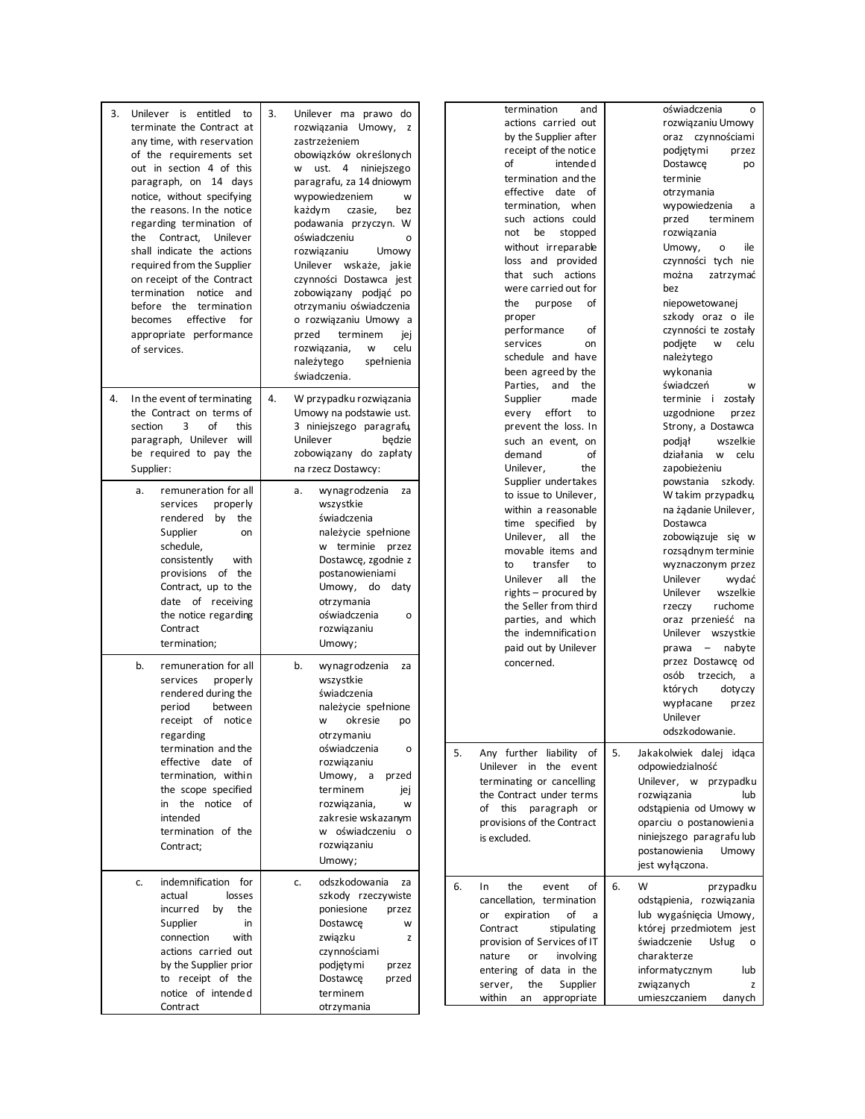| 3.<br>Unilever is entitled to<br>terminate the Contract at<br>any time, with reservation<br>of the requirements set<br>out in section 4 of this<br>paragraph, on 14 days<br>notice, without specifying<br>the reasons. In the notice<br>regarding termination of<br>the Contract, Unilever<br>shall indicate the actions<br>required from the Supplier<br>on receipt of the Contract<br>termination notice and<br>before the termination<br>effective<br>becomes<br>for<br>appropriate performance<br>of services. | 3.<br>Unilever ma prawo do<br>rozwiązania Umowy, z<br>zastrzeżeniem<br>obowiązków określonych<br>w ust. 4 niniejszego<br>paragrafu, za 14 dniowym<br>wypowiedzeniem<br>W<br>każdym<br>czasie,<br>bez<br>podawania przyczyn. W<br>oświadczeniu<br>$\circ$<br>rozwiązaniu<br>Umowy<br>Unilever wskaże, jakie<br>czynności Dostawca jest<br>zobowiązany podjąć po<br>otrzymaniu oświadczenia<br>o rozwiązaniu Umowy a<br>przed<br>terminem<br>jej<br>celu<br>rozwiązania,<br>w<br>należytego<br>spełnienia<br>świadczenia. | termination<br>and<br>actions carried out<br>by the Supplier after<br>receipt of the notice<br>of<br>intende d<br>termination and the<br>effective date<br>of<br>termination, when<br>such actions could<br>not<br>be<br>stopped<br>without irreparable<br>loss and provided<br>that such actions<br>were carried out for<br>of<br>purpose<br>the<br>proper<br>performance<br>of<br>services<br>on<br>schedule and have<br>been agreed by the<br>Parties,<br>and the | oświadczenia<br>o<br>rozwiązaniu Umowy<br>oraz czynnościami<br>podjętymi<br>przez<br>Dostawce<br>po<br>terminie<br>otrzymania<br>wypowiedzenia<br>a<br>przed<br>terminem<br>rozwiązania<br>Umowy,<br>ile<br>$\mathsf{o}$<br>czynności tych nie<br>można<br>zatrzymać<br>bez<br>niepowetowanej<br>szkody oraz o ile<br>czynności te zostały<br>podjęte<br>w<br>celu<br>należytego<br>wykonania<br>świadczeń<br>W |
|--------------------------------------------------------------------------------------------------------------------------------------------------------------------------------------------------------------------------------------------------------------------------------------------------------------------------------------------------------------------------------------------------------------------------------------------------------------------------------------------------------------------|-------------------------------------------------------------------------------------------------------------------------------------------------------------------------------------------------------------------------------------------------------------------------------------------------------------------------------------------------------------------------------------------------------------------------------------------------------------------------------------------------------------------------|----------------------------------------------------------------------------------------------------------------------------------------------------------------------------------------------------------------------------------------------------------------------------------------------------------------------------------------------------------------------------------------------------------------------------------------------------------------------|-----------------------------------------------------------------------------------------------------------------------------------------------------------------------------------------------------------------------------------------------------------------------------------------------------------------------------------------------------------------------------------------------------------------|
| In the event of terminating<br>4.<br>the Contract on terms of<br>3<br>οf<br>section<br>this<br>paragraph, Unilever will<br>be required to pay the<br>Supplier:                                                                                                                                                                                                                                                                                                                                                     | 4.<br>W przypadku rozwiązania<br>Umowy na podstawie ust.<br>3 niniejszego paragrafu,<br>Unilever<br>bedzie<br>zobowiązany do zapłaty<br>na rzecz Dostawcy:                                                                                                                                                                                                                                                                                                                                                              | Supplier<br>made<br>every effort<br>to<br>prevent the loss. In<br>such an event, on<br>οf<br>demand<br>Unilever,<br>the                                                                                                                                                                                                                                                                                                                                              | terminie i zostały<br>uzgodnione<br>przez<br>Strony, a Dostawca<br>wszelkie<br>podjął<br>działania<br>W<br>celu<br>zapobieżeniu                                                                                                                                                                                                                                                                                 |
| remuneration for all<br>a.<br>properly<br>services<br>rendered<br>by the<br>Supplier<br>on<br>schedule,<br>consistently<br>with<br>provisions of the<br>Contract, up to the<br>date of receiving<br>the notice regarding<br>Contract<br>termination;                                                                                                                                                                                                                                                               | wynagrodzenia<br>a.<br>za<br>wszystkie<br>świadczenia<br>należycie spełnione<br>w terminie przez<br>Dostawcę, zgodnie z<br>postanowieniami<br>Umowy, do<br>daty<br>otrzymania<br>oświadczenia<br>$\circ$<br>rozwiązaniu<br>Umowy;                                                                                                                                                                                                                                                                                       | Supplier undertakes<br>to issue to Unilever,<br>within a reasonable<br>time specified<br>by<br>Unilever, all the<br>movable items and<br>transfer<br>to<br>to<br>Unilever<br>all<br>the<br>rights – procured by<br>the Seller from third<br>parties, and which<br>the indemnification<br>paid out by Unilever                                                                                                                                                        | powstania szkody.<br>W takim przypadku,<br>na żądanie Unilever,<br>Dostawca<br>zobowiązuje się w<br>rozsądnym terminie<br>wyznaczonym przez<br>Unilever<br>wydać<br>Unilever<br>wszelkie<br>ruchome<br>rzeczy<br>oraz przenieść na<br>Unilever wszystkie<br>prawa - nabyte                                                                                                                                      |
| b.<br>remuneration for all<br>properly<br>services<br>rendered during the<br>period<br>between<br>receipt of notice<br>regarding                                                                                                                                                                                                                                                                                                                                                                                   | b.<br>wynagrodzenia<br>za<br>wszystkie<br>świadczenia<br>należycie spełnione<br>okresie<br>w<br>po<br>otrzymaniu                                                                                                                                                                                                                                                                                                                                                                                                        | concerned.                                                                                                                                                                                                                                                                                                                                                                                                                                                           | przez Dostawcę od<br>osób<br>trzecich,<br>a<br>których<br>dotyczy<br>wypłacane<br>przez<br>Unilever<br>odszkodowanie.                                                                                                                                                                                                                                                                                           |
| termination and the<br>effective date of<br>termination, within<br>the scope specified<br>in the notice of<br>intended<br>termination of the<br>Contract;                                                                                                                                                                                                                                                                                                                                                          | oświadczenia<br>o<br>rozwiązaniu<br>Umowy, a<br>przed<br>terminem<br>jej<br>rozwiązania,<br>W<br>zakresie wskazanym<br>w oświadczeniu o<br>rozwiązaniu<br>Umowy;                                                                                                                                                                                                                                                                                                                                                        | 5.<br>Any further liability of<br>Unilever in the event<br>terminating or cancelling<br>the Contract under terms<br>of this paragraph or<br>provisions of the Contract<br>is excluded.                                                                                                                                                                                                                                                                               | 5.<br>Jakakolwiek dalej idąca<br>odpowiedzialność<br>Unilever, w przypadku<br>lub<br>rozwiązania<br>odstąpienia od Umowy w<br>oparciu o postanowienia<br>niniejszego paragrafu lub<br>postanowienia<br>Umowy<br>jest wyłączona.                                                                                                                                                                                 |
| indemnification for<br>c.<br>actual<br>losses<br>incurred<br>the<br>by<br>Supplier<br>in<br>connection<br>with<br>actions carried out<br>by the Supplier prior<br>to receipt of the<br>notice of intended<br>Contract                                                                                                                                                                                                                                                                                              | odszkodowania<br>c.<br>za<br>szkody rzeczywiste<br>poniesione<br>przez<br>Dostawce<br>W<br>związku<br>z<br>czynnościami<br>podjętymi<br>przez<br>Dostawce<br>przed<br>terminem<br>otrzymania                                                                                                                                                                                                                                                                                                                            | 6.<br>of<br>In<br>the<br>event<br>cancellation, termination<br>expiration<br>of<br>or<br>a<br>Contract<br>stipulating<br>provision of Services of IT<br>involving<br>nature<br>or<br>entering of data in the<br>the<br>Supplier<br>server,<br>within<br>an appropriate                                                                                                                                                                                               | 6.<br>przypadku<br>w<br>odstąpienia, rozwiązania<br>lub wygaśnięcia Umowy,<br>której przedmiotem jest<br>świadczenie<br>Usług<br>$\circ$<br>charakterze<br>informatycznym<br>lub<br>związanych<br>z<br>umieszczaniem<br>danych                                                                                                                                                                                  |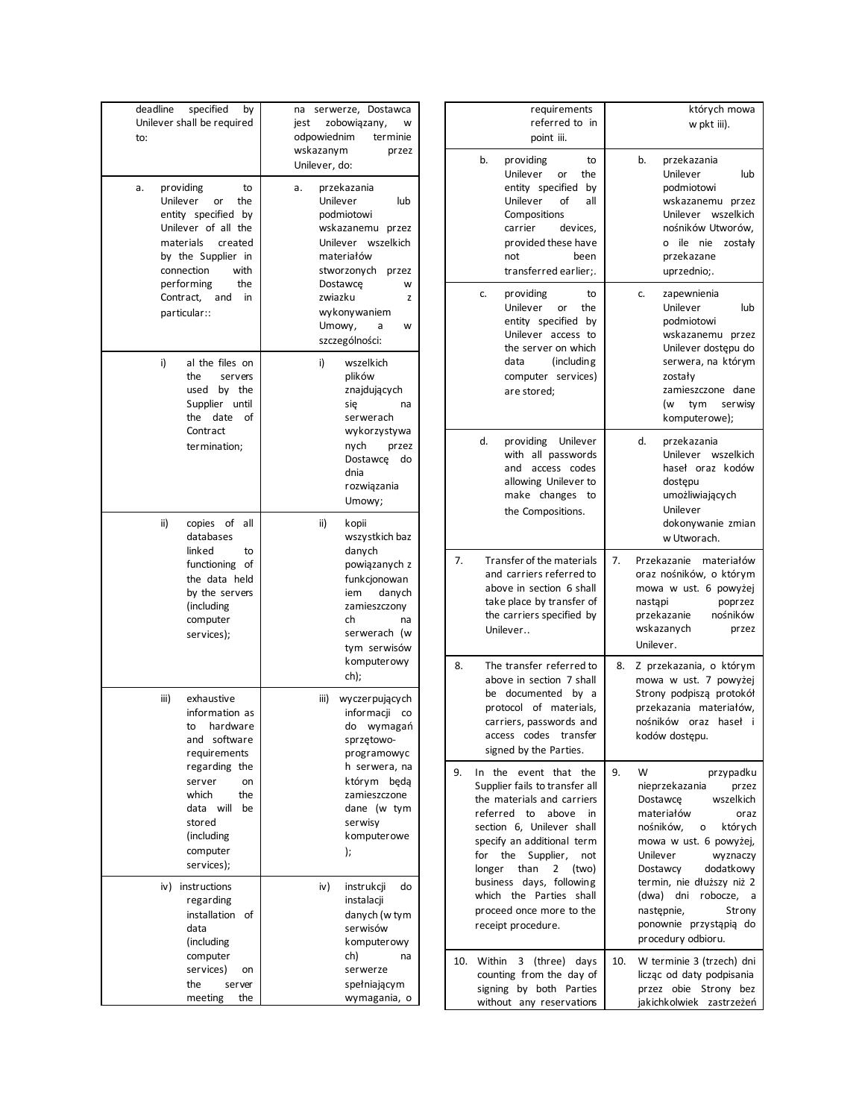| deadline<br>specified<br>by<br>Unilever shall be required<br>to:                                                                                                                                                                | serwerze, Dostawca<br>na<br>jest<br>zobowiązany,<br>w<br>odpowiednim<br>terminie<br>wskazanym<br>przez<br>Unilever, do:                                                                                                   |
|---------------------------------------------------------------------------------------------------------------------------------------------------------------------------------------------------------------------------------|---------------------------------------------------------------------------------------------------------------------------------------------------------------------------------------------------------------------------|
| providing<br>to<br>a.<br>Unilever<br>or<br>the<br>entity specified by<br>Unilever of all the<br>materials<br>created<br>by the Supplier in<br>connection<br>with<br>performing<br>the<br>Contract,<br>and<br>in<br>particular:: | przekazania<br>a.<br>Unilever<br>lub<br>podmiotowi<br>wskazanemu przez<br>Unilever wszelkich<br>materiałów<br>stworzonych<br>przez<br>Dostawce<br>w<br>zwiazku<br>z<br>wykonywaniem<br>Umowy,<br>а<br>w<br>szczególności: |
| i)<br>al the files on<br>the<br>servers<br>used<br>by the<br>Supplier<br>until<br>the<br>date<br>οf<br>Contract<br>termination;                                                                                                 | i)<br>wszelkich<br>plików<br>znajdujących<br>się<br>na<br>serwerach<br>wykorzystywa<br>nych<br>przez<br>Dostawce<br>do<br>dnia<br>rozwiązania<br>Umowy;                                                                   |
| ii)<br>copies of<br>all<br>databases<br>linked<br>to<br>functioning<br>οf<br>the data held<br>by the servers<br>(including<br>computer<br>services);                                                                            | ii)<br>kopii<br>wszystkich baz<br>danych<br>powiązanych z<br>funkcjonowan<br>danych<br>iem<br>zamieszczony<br>ch<br>na<br>serwerach (w<br>tym serwisów<br>komputerowy<br>ch);                                             |
| iii)<br>exhaustive<br>information as<br>hardware<br>to<br>software<br>and<br>requirements<br>regarding the<br>server<br>on<br>which<br>the<br>data<br>will<br>be<br>stored<br>(including<br>computer<br>services);              | iii)<br>wyczerpujących<br>informacji<br>co<br>do<br>wymagań<br>sprzętowo-<br>programowyc<br>h serwera, na<br>którym<br>będą<br>zamieszczone<br>dane (w tym<br>serwisy<br>komputerowe<br>);                                |
| iv)<br>instructions<br>regarding<br>installation<br>of<br>data<br>(including<br>computer<br>services)<br>on<br>the<br>server<br>the<br>meeting                                                                                  | iv)<br>instrukcji<br>do<br>instalacji<br>danych (w tym<br>serwisów<br>komputerowy<br>ch)<br>na<br>serwerze<br>spełniającym<br>wymagania, o                                                                                |

| requirements<br>referred to in<br>point iii.                                                                                                                                                                                                                                                                                                                                            | których mowa<br>w pkt iii).                                                                                                                                                                                                                                                                                                                  |  |  |  |  |
|-----------------------------------------------------------------------------------------------------------------------------------------------------------------------------------------------------------------------------------------------------------------------------------------------------------------------------------------------------------------------------------------|----------------------------------------------------------------------------------------------------------------------------------------------------------------------------------------------------------------------------------------------------------------------------------------------------------------------------------------------|--|--|--|--|
| b.<br>providing<br>to<br>Unilever<br>or<br>the<br>entity specified<br>by<br>Unilever<br>οf<br>all<br>Compositions<br>carrier<br>devices,<br>provided these have<br>been<br>not<br>transferred earlier;.                                                                                                                                                                                 | przekazania<br>b.<br>Unilever<br>lub<br>podmiotowi<br>wskazanemu przez<br>Unilever wszelkich<br>nośników Utworów,<br>ile nie<br>zostały<br>$\mathbf{o}$<br>przekazane<br>uprzednio;.                                                                                                                                                         |  |  |  |  |
| providing<br>to<br>c.<br>Unilever<br>the<br>or<br>entity specified by<br>Unilever access to<br>the server on which<br>data<br>(including)<br>computer services)<br>are stored;                                                                                                                                                                                                          | zapewnienia<br>c.<br>Unilever<br>lub<br>podmiotowi<br>wskazanemu przez<br>Unilever dostępu do<br>serwera, na którym<br>zostały<br>zamieszczone dane<br>serwisy<br>(w<br>tym<br>komputerowe);                                                                                                                                                 |  |  |  |  |
| d.<br>Unilever<br>providing<br>with all passwords<br>access codes<br>and<br>allowing Unilever to<br>make changes to<br>the Compositions.                                                                                                                                                                                                                                                | d.<br>przekazania<br>Unilever<br>wszelkich<br>haseł oraz kodów<br>dostępu<br>umożliwiających<br>Unilever<br>dokonywanie zmian<br>w Utworach.                                                                                                                                                                                                 |  |  |  |  |
| 7.<br>Transfer of the materials<br>and carriers referred to<br>above in section 6 shall<br>take place by transfer of<br>the carriers specified by<br>Unilever                                                                                                                                                                                                                           | 7.<br>Przekazanie<br>materiałów<br>oraz nośników, o którym<br>mowa w ust. 6 powyżej<br>nastąpi<br>poprzez<br>nośników<br>przekazanie<br>wskazanych<br>przez<br>Unilever.                                                                                                                                                                     |  |  |  |  |
| The transfer referred to<br>8.<br>above in section 7 shall<br>be documented<br>by a<br>protocol of materials,<br>carriers, passwords and<br>access codes transfer<br>signed by the Parties.                                                                                                                                                                                             | 8.<br>Z przekazania, o którym<br>mowa w ust. 7 powyżej<br>Strony podpiszą protokół<br>przekazania materiałów,<br>nośników oraz<br>haseł<br>-i<br>kodów dostępu.                                                                                                                                                                              |  |  |  |  |
| 9.<br>In<br>the<br>event that<br>the<br>Supplier fails to transfer all<br>the materials and carriers<br>referred<br>above<br>to<br>in<br>section 6, Unilever shall<br>specify an additional term<br>for<br>the<br>Supplier,<br>not<br>than<br>2<br>longer<br>(two)<br>business<br>days, following<br>Parties<br>which<br>the<br>shall<br>proceed once more to the<br>receipt procedure. | 9.<br>W<br>przypadku<br>nieprzekazania<br>przez<br>Dostawce<br>wszelkich<br>materiałów<br>oraz<br>nośników.<br>których<br>о<br>mowa w ust. 6 powyżej,<br>Unilever<br>wyznaczy<br>Dostawcy<br>dodatkowy<br>termin, nie dłuższy niż 2<br>(dwa)<br>dni<br>robocze,<br>a<br>nastepnie,<br>Strony<br>ponownie przystąpią do<br>procedury odbioru. |  |  |  |  |
| 10.<br>Within<br>3<br>(three) days<br>counting from the day of<br>signing by both Parties<br>without any reservations                                                                                                                                                                                                                                                                   | 10.<br>W terminie 3 (trzech) dni<br>licząc od daty podpisania<br>przez obie<br>Strony bez<br>jakichkolwiek<br>zastrzeżeń                                                                                                                                                                                                                     |  |  |  |  |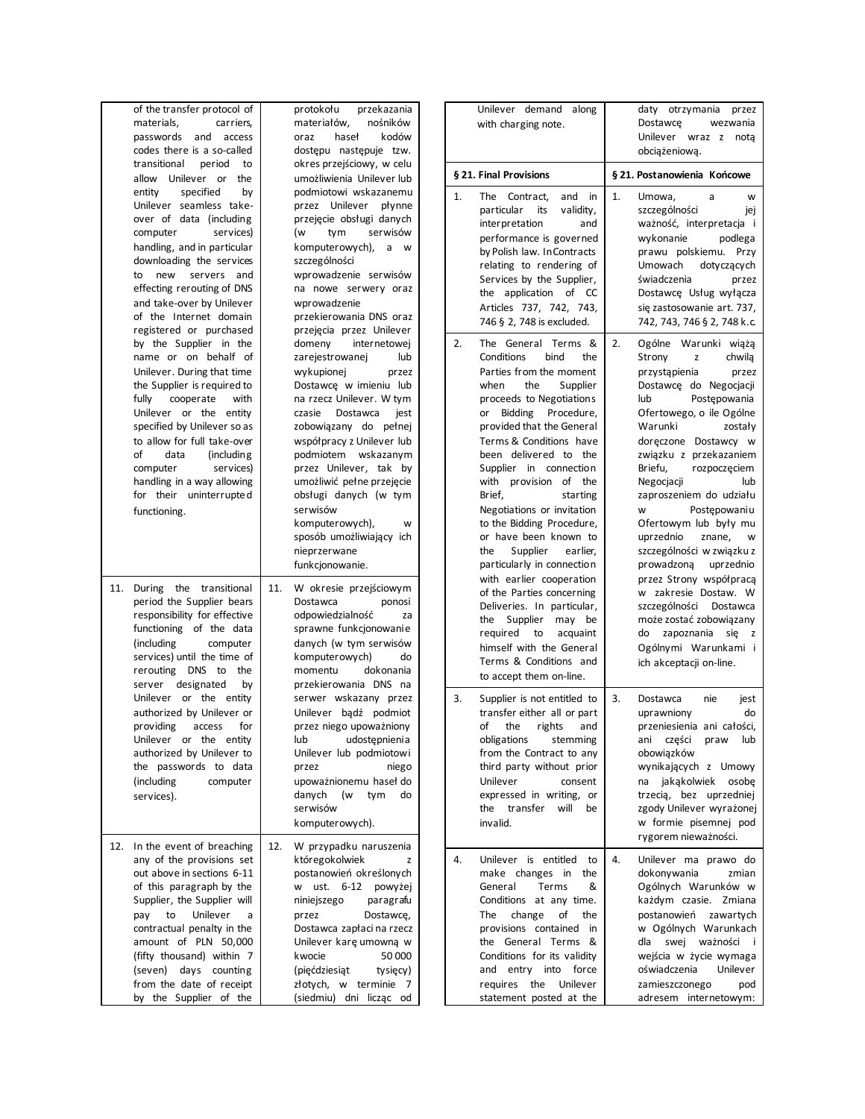| of the transfer protocol of<br>materials,<br>carriers,<br>passwords<br>and access<br>codes there is a so-called<br>transitional<br>period<br>to                                                                                                                                                                                                                                         | protokołu<br>przekazania<br>nośników<br>materiałów,<br>haseł<br>kodów<br>oraz<br>dostępu następuje tzw.<br>okres przejściowy, w celu                                                                                                                                                                                                                                                       | Unilever demand along<br>with charging note.<br>§ 21. Final Provisions                                                                                                                                                                                                                                                                                                                                             | daty otrzymania<br>przez<br>Dostawce<br>wezwania<br>Unilever wraz z nota<br>obciążeniową.<br>§ 21. Postanowienia Końcowe                                                                                                                                                                                                                                                                   |
|-----------------------------------------------------------------------------------------------------------------------------------------------------------------------------------------------------------------------------------------------------------------------------------------------------------------------------------------------------------------------------------------|--------------------------------------------------------------------------------------------------------------------------------------------------------------------------------------------------------------------------------------------------------------------------------------------------------------------------------------------------------------------------------------------|--------------------------------------------------------------------------------------------------------------------------------------------------------------------------------------------------------------------------------------------------------------------------------------------------------------------------------------------------------------------------------------------------------------------|--------------------------------------------------------------------------------------------------------------------------------------------------------------------------------------------------------------------------------------------------------------------------------------------------------------------------------------------------------------------------------------------|
| allow Unilever or the<br>entity<br>specified<br>by<br>Unilever seamless take-<br>over of data (including<br>services)<br>computer<br>handling, and in particular<br>downloading the services<br>to new<br>servers and<br>effecting rerouting of DNS<br>and take-over by Unilever<br>of the Internet domain<br>registered or purchased<br>by the Supplier in the<br>name or on behalf of | umożliwienia Unilever lub<br>podmiotowi wskazanemu<br>przez Unilever płynne<br>przejęcie obsługi danych<br>tym<br>serwisów<br>(w<br>komputerowych), a w<br>szczególności<br>wprowadzenie serwisów<br>na nowe serwery oraz<br>wprowadzenie<br>przekierowania DNS oraz<br>przejęcia przez Unilever<br>domeny<br>internetowej<br>lub                                                          | The Contract,<br>1.<br>and in<br>particular<br>its<br>validity,<br>interpretation<br>and<br>performance is governed<br>by Polish law. In Contracts<br>relating to rendering of<br>Services by the Supplier,<br>the application of CC<br>Articles 737, 742, 743,<br>746 § 2, 748 is excluded.<br>2.<br>The General Terms &<br>Conditions<br>bind<br>the                                                             | 1.<br>Umowa,<br>a<br>W<br>szczególności<br>iej<br>ważność, interpretacja i<br>wykonanie<br>podlega<br>prawu polskiemu. Przy<br>Umowach<br>dotyczących<br>świadczenia<br>przez<br>Dostawcę Usług wyłącza<br>się zastosowanie art. 737,<br>742, 743, 746 § 2, 748 k.c.<br>2.<br>Ogólne Warunki wiążą<br>Strony<br>chwila                                                                     |
| Unilever. During that time<br>the Supplier is required to<br>cooperate<br>with<br>fully<br>Unilever or the entity<br>specified by Unilever so as<br>to allow for full take-over<br>data<br>of<br>(including)<br>computer<br>services)<br>handling in a way allowing<br>for their uninterrupted<br>functioning.                                                                          | zarejestrowanej<br>wykupionej<br>przez<br>Dostawcę w imieniu lub<br>na rzecz Unilever. W tym<br>czasie<br>Dostawca<br>jest<br>zobowiązany do pełnej<br>współpracy z Unilever lub<br>podmiotem wskazanym<br>przez Unilever, tak by<br>umożliwić pełne przejęcie<br>obsługi danych (w tym<br>serwisów<br>komputerowych),<br>w<br>sposób umożliwiający ich<br>nieprzerwane<br>funkcjonowanie. | Parties from the moment<br>when<br>the<br>Supplier<br>proceeds to Negotiations<br>or Bidding Procedure,<br>provided that the General<br>Terms & Conditions have<br>been delivered to the<br>Supplier in connection<br>with provision of the<br>Brief,<br>starting<br>Negotiations or invitation<br>to the Bidding Procedure,<br>or have been known to<br>the<br>Supplier<br>earlier,<br>particularly in connection | z<br>przystąpienia<br>przez<br>Dostawcę do Negocjacji<br>lub<br>Postępowania<br>Ofertowego, o ile Ogólne<br>Warunki<br>zostały<br>doreczone Dostawcy w<br>związku z przekazaniem<br>Briefu,<br>rozpoczęciem<br>Negocjacji<br>lub<br>zaproszeniem do udziału<br>Postępowaniu<br>W<br>Ofertowym lub były mu<br>uprzednio<br>znane,<br>W<br>szczególności w związku z<br>prowadzoną uprzednio |
| 11. During the transitional<br>period the Supplier bears<br>responsibility for effective<br>functioning of the data<br>(including)<br>computer<br>services) until the time of<br>rerouting DNS to<br>the<br>server designated<br>by                                                                                                                                                     | W okresie przejściowym<br>11.<br>Dostawca<br>ponosi<br>odpowiedzialność<br>za<br>sprawne funkcjonowanie<br>danych (w tym serwisów<br>komputerowych)<br>do<br>momentu<br>dokonania<br>przekierowania DNS na                                                                                                                                                                                 | with earlier cooperation<br>of the Parties concerning<br>Deliveries. In particular,<br>the Supplier may be<br>required to<br>acquaint<br>himself with the General<br>Terms & Conditions and<br>to accept them on-line.                                                                                                                                                                                             | przez Strony współpracą<br>w zakresie Dostaw. W<br>szczególności Dostawca<br>może zostać zobowiązany<br>do zapoznania się z<br>Ogólnymi Warunkami i<br>ich akceptacji on-line.                                                                                                                                                                                                             |
| Unilever or the entity<br>authorized by Unilever or<br>providing<br>access<br>for<br>Unilever or the entity<br>authorized by Unilever to<br>the passwords to data<br>(including<br>computer<br>services).                                                                                                                                                                               | serwer wskazany przez<br>Unilever badź podmiot<br>przez niego upoważniony<br>udostępnienia<br>lub<br>Unilever lub podmiotowi<br>niego<br>przez<br>upoważnionemu haseł do<br>(w tym<br>danych<br>do<br>serwisów<br>komputerowych).                                                                                                                                                          | 3.<br>Supplier is not entitled to<br>transfer either all or part<br>of<br>the<br>rights<br>and<br>obligations<br>stemming<br>from the Contract to any<br>third party without prior<br>Unilever<br>consent<br>expressed in writing, or<br>the transfer<br>will<br>be<br>invalid.                                                                                                                                    | 3.<br>Dostawca<br>nie<br>jest<br>uprawniony<br>do<br>przeniesienia ani całości,<br>ani części<br>praw<br>lub<br>obowiązków<br>wynikających z Umowy<br>na jakakolwiek osobę<br>trzecią, bez uprzedniej<br>zgody Unilever wyrażonej<br>w formie pisemnej pod<br>rygorem nieważności.                                                                                                         |
| 12. In the event of breaching<br>any of the provisions set<br>out above in sections 6-11<br>of this paragraph by the<br>Supplier, the Supplier will<br>Unilever<br>pay<br>to<br>a<br>contractual penalty in the<br>amount of PLN 50,000<br>(fifty thousand) within 7<br>(seven) days counting<br>from the date of receipt<br>by the Supplier of the                                     | 12.<br>W przypadku naruszenia<br>któregokolwiek<br>z<br>postanowień określonych<br>w ust. 6-12 powyżej<br>niniejszego<br>paragrafu<br>przez<br>Dostawcę,<br>Dostawca zapłaci na rzecz<br>Unilever karę umowną w<br>kwocie<br>50 000<br>(pięćdziesiąt<br>tysięcy)<br>złotych, w terminie 7<br>(siedmiu) dni licząc od                                                                       | 4.<br>Unilever is entitled to<br>make changes in<br>the<br>General<br>Terms<br>&<br>Conditions at any time.<br>change<br>The<br>of<br>the<br>provisions contained in<br>the General Terms &<br>Conditions for its validity<br>and entry into force<br>requires the Unilever<br>statement posted at the                                                                                                             | 4.<br>Unilever ma prawo do<br>dokonywania<br>zmian<br>Ogólnych Warunków w<br>każdym czasie. Zmiana<br>postanowień zawartych<br>w Ogólnych Warunkach<br>dla swej ważności i<br>wejścia w życie wymaga<br>oświadczenia<br>Unilever<br>zamieszczonego<br>pod<br>adresem internetowym:                                                                                                         |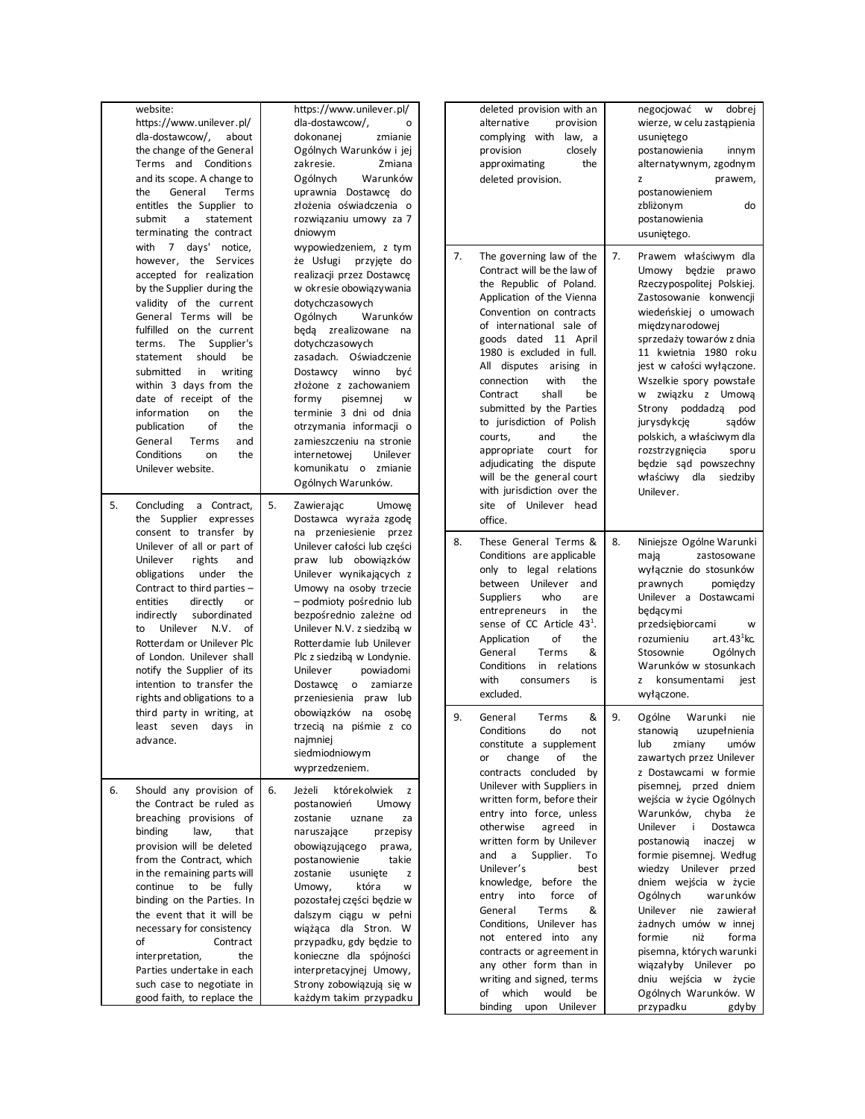|    | website:<br>https://www.unilever.pl/<br>dla-dostawcow/,<br>about<br>the change of the General<br>Terms and Conditions<br>and its scope. A change to<br>the<br>General<br>Terms<br>entitles the Supplier to<br>submit<br>a<br>statement<br>terminating the contract<br>with 7 days' notice,                                                                                                                                                                                                                  | https://www.unilever.pl/<br>dla-dostawcow/,<br>o<br>dokonanej<br>zmianie<br>Ogólnych Warunków i jej<br>zakresie.<br>Zmiana<br>Ogólnych<br>Warunków<br>uprawnia Dostawcę do<br>złożenia oświadczenia o<br>rozwiązaniu umowy za 7<br>dniowym<br>wypowiedzeniem, z tym |                                                                                                                                                                                                                                                                                                                                                                                                                                                                         |                |  | deleted provision with an<br>alternative<br>provision<br>complying with law, a<br>provision<br>closely<br>the<br>approximating<br>deleted provision.                                                                                                                                                                                                                                                                                                                                                                   |          | negocjować w<br>dobrej<br>wierze, w celu zastąpienia<br>usuniętego<br>postanowienia<br>innym<br>alternatywnym, zgodnym<br>prawem,<br>z<br>postanowieniem<br>zbliżonym<br>do<br>postanowienia<br>usuniętego.                                                                                                                                                                                                                                                   |
|----|-------------------------------------------------------------------------------------------------------------------------------------------------------------------------------------------------------------------------------------------------------------------------------------------------------------------------------------------------------------------------------------------------------------------------------------------------------------------------------------------------------------|---------------------------------------------------------------------------------------------------------------------------------------------------------------------------------------------------------------------------------------------------------------------|-------------------------------------------------------------------------------------------------------------------------------------------------------------------------------------------------------------------------------------------------------------------------------------------------------------------------------------------------------------------------------------------------------------------------------------------------------------------------|----------------|--|------------------------------------------------------------------------------------------------------------------------------------------------------------------------------------------------------------------------------------------------------------------------------------------------------------------------------------------------------------------------------------------------------------------------------------------------------------------------------------------------------------------------|----------|---------------------------------------------------------------------------------------------------------------------------------------------------------------------------------------------------------------------------------------------------------------------------------------------------------------------------------------------------------------------------------------------------------------------------------------------------------------|
|    | however, the Services<br>accepted for realization<br>by the Supplier during the<br>validity of the current<br>General Terms will be<br>fulfilled on the current<br>The Supplier's<br>terms.<br>should<br>statement<br>be<br>submitted<br>in<br>writing<br>within 3 days from the<br>date of receipt of the<br>information<br>the<br>on<br>of<br>publication<br>the<br>and<br>General<br>Terms<br>Conditions<br>on<br>the<br>Unilever website.                                                               |                                                                                                                                                                                                                                                                     | że Usługi przyjęte do<br>realizacji przez Dostawcę<br>w okresie obowiązywania<br>dotychczasowych<br>Ogólnych<br>Warunków<br>będą zrealizowane na<br>dotychczasowych<br>zasadach. Oświadczenie<br>być<br>Dostawcy<br>winno<br>złożone z zachowaniem<br>formy<br>pisemnej<br>W<br>terminie 3 dni od dnia<br>otrzymania informacji o<br>zamieszczeniu na stronie<br>Unilever<br>internetowei<br>komunikatu o zmianie<br>Ogólnych Warunków.                                 | 7.<br>8.<br>9. |  | The governing law of the<br>Contract will be the law of<br>the Republic of Poland.<br>Application of the Vienna<br>Convention on contracts<br>of international sale of<br>goods dated 11 April<br>1980 is excluded in full.<br>All disputes arising in<br>connection<br>with<br>the<br>shall<br>Contract<br>be<br>submitted by the Parties<br>to jurisdiction of Polish<br>courts,<br>and<br>the<br>for<br>appropriate<br>court<br>adjudicating the dispute<br>will be the general court<br>with jurisdiction over the | 7.       | Prawem właściwym dla<br>Umowy będzie prawo<br>Rzeczypospolitej Polskiej.<br>Zastosowanie konwencji<br>wiedeńskiej o umowach<br>międzynarodowej<br>sprzedaży towarów z dnia<br>11 kwietnia 1980 roku<br>jest w całości wyłączone.<br>Wszelkie spory powstałe<br>w związku z Umową<br>Strony poddadzą<br>pod<br>jurysdykcję<br>sądów<br>polskich, a właściwym dla<br>rozstrzygnięcia<br>sporu<br>będzie sąd powszechny<br>właściwy dla<br>siedziby<br>Unilever. |
| 5. | Concluding a Contract,<br>the Supplier expresses<br>consent to transfer by<br>Unilever of all or part of<br>Unilever<br>rights<br>and<br>under the<br>obligations<br>Contract to third parties -<br>entities<br>directly<br>or<br>indirectly<br>subordinated<br>Unilever N.V. of<br>to<br>Rotterdam or Unilever Plc<br>of London. Unilever shall<br>notify the Supplier of its<br>intention to transfer the<br>rights and obligations to a<br>third party in writing, at<br>least seven days in<br>advance. | 5.                                                                                                                                                                                                                                                                  | Zawierając<br>Umowe<br>Dostawca wyraża zgodę<br>na przeniesienie przez<br>Unilever całości lub części<br>praw lub obowiązków<br>Unilever wynikających z<br>Umowy na osoby trzecie<br>- podmioty pośrednio lub<br>bezpośrednio zależne od<br>Unilever N.V. z siedzibą w<br>Rotterdamie lub Unilever<br>Plc z siedzibą w Londynie.<br>Unilever<br>powiadomi<br>Dostawce o zamiarze<br>przeniesienia praw lub<br>obowiązków na osobę<br>trzecią na piśmie z co<br>najmniej |                |  | site of Unilever head<br>office.<br>These General Terms &<br>Conditions are applicable<br>only to legal relations<br>between Unilever<br>and<br>who<br>Suppliers<br>are<br>entrepreneurs in<br>the<br>sense of CC Article 43 <sup>1</sup> .<br>of<br>Application<br>the<br>&<br>General<br>Terms<br>Conditions<br>in relations<br>with<br>consumers<br>is<br>excluded.<br>&<br>General<br>Terms<br>Conditions<br>do<br>not                                                                                             | 8.<br>9. | Niniejsze Ogólne Warunki<br>mają<br>zastosowane<br>wyłącznie do stosunków<br>prawnych<br>pomiędzy<br>Unilever a Dostawcami<br>będącymi<br>przedsiębiorcami<br>w<br>art. $431$ kc.<br>rozumieniu<br>Ogólnych<br>Stosownie<br>Warunków w stosunkach<br>z konsumentami<br>jest<br>wyłączone.<br>Ogólne<br>Warunki<br>nie<br>uzupełnienia<br>stanowią                                                                                                             |
| 6. | Should any provision of<br>the Contract be ruled as<br>breaching provisions of<br>binding<br>law,<br>that<br>provision will be deleted<br>from the Contract, which<br>in the remaining parts will<br>continue to be fully                                                                                                                                                                                                                                                                                   | 6.                                                                                                                                                                                                                                                                  | siedmiodniowym<br>wyprzedzeniem.<br>Jeżeli<br>którekolwiek<br>z<br>postanowień<br>Umowy<br>zostanie<br>uznane<br>za<br>naruszające<br>przepisy<br>obowiązującego<br>prawa,<br>postanowienie<br>takie<br>zostanie<br>usunięte<br>z<br>Umowy,<br>która<br>W                                                                                                                                                                                                               |                |  | constitute a supplement<br>change<br>of<br>the<br>or<br>contracts concluded<br>by<br>Unilever with Suppliers in<br>written form, before their<br>entry into force, unless<br>otherwise<br>agreed<br>in<br>written form by Unilever<br>and<br>a Supplier.<br>To<br>Unilever's<br>best<br>knowledge, before<br>the                                                                                                                                                                                                       |          | lub<br>zmiany<br>umów<br>zawartych przez Unilever<br>z Dostawcami w formie<br>pisemnej, przed dniem<br>wejścia w życie Ogólnych<br>Warunków, chyba że<br>Unilever i<br>Dostawca<br>postanowią<br>inaczej w<br>formie pisemnej. Według<br>wiedzy Unilever przed<br>dniem wejścia w życie                                                                                                                                                                       |
|    | binding on the Parties. In<br>the event that it will be<br>necessary for consistency<br>οf<br>Contract<br>interpretation,<br>the<br>Parties undertake in each<br>such case to negotiate in<br>good faith, to replace the                                                                                                                                                                                                                                                                                    |                                                                                                                                                                                                                                                                     | pozostałej części będzie w<br>dalszym ciągu w pełni<br>wiążąca dla Stron. W<br>przypadku, gdy będzie to<br>konieczne dla spójności<br>interpretacyjnej Umowy,<br>Strony zobowiązują się w<br>każdym takim przypadku                                                                                                                                                                                                                                                     |                |  | entry into<br>force<br>of<br>Terms<br>General<br>&<br>Conditions, Unilever has<br>not entered into<br>any<br>contracts or agreement in<br>any other form than in<br>writing and signed, terms<br>of which<br>would<br>be<br>binding upon Unilever                                                                                                                                                                                                                                                                      |          | Ogólnych<br>warunków<br>Unilever<br>nie zawierał<br>żadnych umów w innej<br>formie<br>niż<br>forma<br>pisemna, których warunki<br>wiązałyby Unilever po<br>dniu wejścia w życie<br>Ogólnych Warunków. W<br>przypadku<br>gdyby                                                                                                                                                                                                                                 |